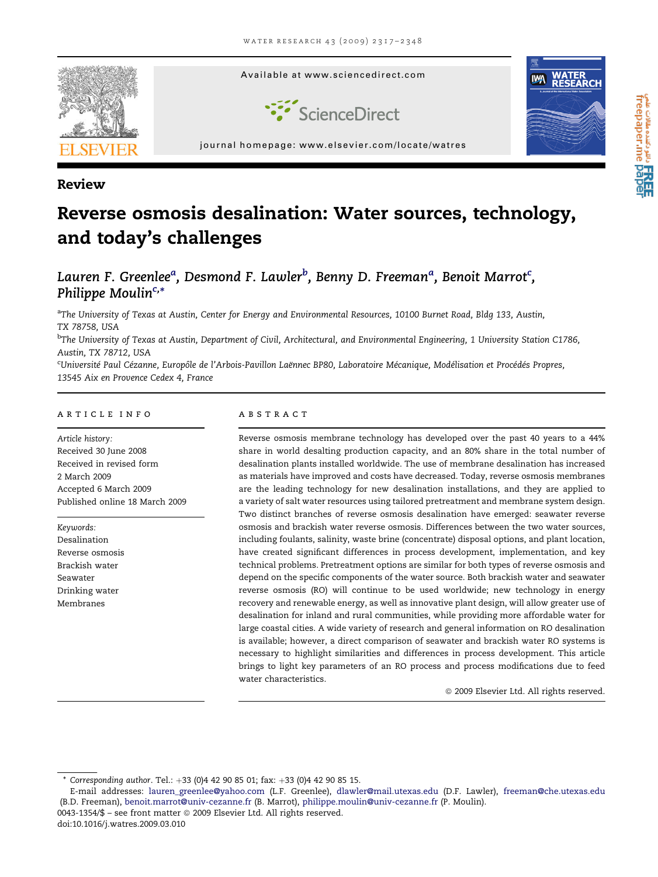

# Review

# Reverse osmosis desalination: Water sources, technology, and today's challenges

# Lauren F. Greenlee<sup>a</sup>, Desmond F. Lawler<sup>b</sup>, Benny D. Freeman<sup>a</sup>, Benoit Marrot<sup>c</sup>, Philippe Moulin<sup>c,</sup>\*

<sup>a</sup>The University of Texas at Austin, Center for Energy and Environmental Resources, 10100 Burnet Road, Bldg 133, Austin, TX 78758, USA

<sup>b</sup>The University of Texas at Austin, Department of Civil, Architectural, and Environmental Engineering, 1 University Station C1786, Austin, TX 78712, USA

<sup>c</sup>Université Paul Cézanne, Europôle de l'Arbois-Pavillon Laënnec BP80, Laboratoire Mécanique, Modélisation et Procédés Propres, 13545 Aix en Provence Cedex 4, France

#### article info

Article history: Received 30 June 2008 Received in revised form 2 March 2009 Accepted 6 March 2009 Published online 18 March 2009

Keywords: Desalination Reverse osmosis Brackish water Seawater Drinking water Membranes

# **ABSTRACT**

Reverse osmosis membrane technology has developed over the past 40 years to a 44% share in world desalting production capacity, and an 80% share in the total number of desalination plants installed worldwide. The use of membrane desalination has increased as materials have improved and costs have decreased. Today, reverse osmosis membranes are the leading technology for new desalination installations, and they are applied to a variety of salt water resources using tailored pretreatment and membrane system design. Two distinct branches of reverse osmosis desalination have emerged: seawater reverse osmosis and brackish water reverse osmosis. Differences between the two water sources, including foulants, salinity, waste brine (concentrate) disposal options, and plant location, have created significant differences in process development, implementation, and key technical problems. Pretreatment options are similar for both types of reverse osmosis and depend on the specific components of the water source. Both brackish water and seawater reverse osmosis (RO) will continue to be used worldwide; new technology in energy recovery and renewable energy, as well as innovative plant design, will allow greater use of desalination for inland and rural communities, while providing more affordable water for large coastal cities. A wide variety of research and general information on RO desalination is available; however, a direct comparison of seawater and brackish water RO systems is necessary to highlight similarities and differences in process development. This article brings to light key parameters of an RO process and process modifications due to feed water characteristics.

ª 2009 Elsevier Ltd. All rights reserved.

\* Corresponding author. Tel.:  $+33$  (0)4 42 90 85 01; fax:  $+33$  (0)4 42 90 85 15.

E-mail addresses: [lauren\\_greenlee@yahoo.com](mailto:lauren_greenlee@yahoo.com) (L.F. Greenlee), [dlawler@mail.utexas.edu](mailto:dlawler@mail.utexas.edu) (D.F. Lawler), [freeman@che.utexas.edu](mailto:freeman@che.utexas.edu) (B.D. Freeman), [benoit.marrot@univ-cezanne.fr](mailto:benoit.marrot@univ-cezanne.fr) (B. Marrot), [philippe.moulin@univ-cezanne.fr](mailto:philippe.moulin@univ-cezanne.fr) (P. Moulin). 0043-1354/\$ - see front matter © 2009 Elsevier Ltd. All rights reserved.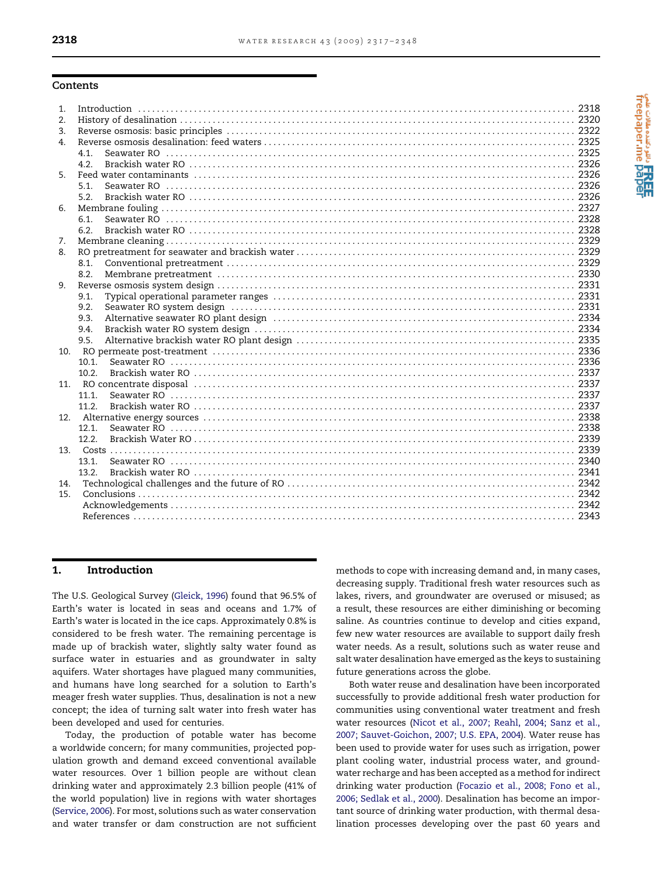# **Contents**

| 1.             |                   |  |
|----------------|-------------------|--|
| 2.             |                   |  |
| 3.             |                   |  |
| 4 <sup>1</sup> |                   |  |
|                | 4.1               |  |
|                | 4.2 <sub>1</sub>  |  |
| $5 -$          |                   |  |
|                | 5.1.              |  |
|                | 5.2.              |  |
| 6.             |                   |  |
|                | 6.1.              |  |
|                | 6.2.              |  |
| 7.             |                   |  |
| 8.             |                   |  |
|                | 8.1.              |  |
|                | 8.2.              |  |
| 9.             |                   |  |
|                | 9.1.              |  |
|                | 9.2.              |  |
|                | 9.3.              |  |
|                | 9.4.              |  |
|                | 9.5.              |  |
|                |                   |  |
|                | 10.1.             |  |
|                |                   |  |
|                |                   |  |
|                | 11.1.             |  |
|                | 11.2 <sub>1</sub> |  |
|                |                   |  |
|                | 12.1.             |  |
|                |                   |  |
|                |                   |  |
|                | 13.1.             |  |
|                | 13.2              |  |
| 14.            |                   |  |
| 15.            |                   |  |
|                |                   |  |
|                |                   |  |

# 1. Introduction

The U.S. Geological Survey ([Gleick, 1996](#page-27-0)) found that 96.5% of Earth's water is located in seas and oceans and 1.7% of Earth's water is located in the ice caps. Approximately 0.8% is considered to be fresh water. The remaining percentage is made up of brackish water, slightly salty water found as surface water in estuaries and as groundwater in salty aquifers. Water shortages have plagued many communities, and humans have long searched for a solution to Earth's meager fresh water supplies. Thus, desalination is not a new concept; the idea of turning salt water into fresh water has been developed and used for centuries.

Today, the production of potable water has become a worldwide concern; for many communities, projected population growth and demand exceed conventional available water resources. Over 1 billion people are without clean drinking water and approximately 2.3 billion people (41% of the world population) live in regions with water shortages ([Service, 2006](#page-30-0)). For most, solutions such as water conservation and water transfer or dam construction are not sufficient methods to cope with increasing demand and, in many cases, decreasing supply. Traditional fresh water resources such as lakes, rivers, and groundwater are overused or misused; as a result, these resources are either diminishing or becoming saline. As countries continue to develop and cities expand, few new water resources are available to support daily fresh water needs. As a result, solutions such as water reuse and salt water desalination have emerged as the keys to sustaining future generations across the globe.

Both water reuse and desalination have been incorporated successfully to provide additional fresh water production for communities using conventional water treatment and fresh water resources ([Nicot et al., 2007; Reahl, 2004; Sanz et al.,](#page-29-0) [2007; Sauvet-Goichon, 2007; U.S. EPA, 2004\)](#page-29-0). Water reuse has been used to provide water for uses such as irrigation, power plant cooling water, industrial process water, and groundwater recharge and has been accepted as a method for indirect drinking water production ([Focazio et al., 2008; Fono et al.,](#page-27-0) [2006; Sedlak et al., 2000](#page-27-0)). Desalination has become an important source of drinking water production, with thermal desalination processes developing over the past 60 years and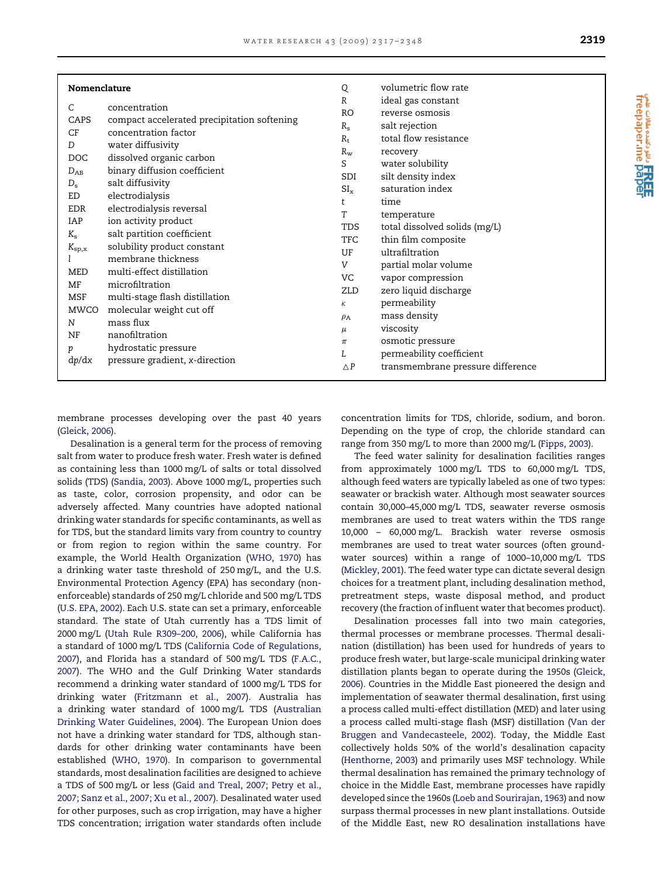membrane processes developing over the past 40 years [\(Gleick, 2006](#page-27-0)).

Desalination is a general term for the process of removing salt from water to produce fresh water. Fresh water is defined as containing less than 1000 mg/L of salts or total dissolved solids (TDS) [\(Sandia, 2003\)](#page-30-0). Above 1000 mg/L, properties such as taste, color, corrosion propensity, and odor can be adversely affected. Many countries have adopted national drinking water standards for specific contaminants, as well as for TDS, but the standard limits vary from country to country or from region to region within the same country. For example, the World Health Organization [\(WHO, 1970](#page-31-0)) has a drinking water taste threshold of 250 mg/L, and the U.S. Environmental Protection Agency (EPA) has secondary (nonenforceable) standards of 250 mg/L chloride and 500 mg/L TDS [\(U.S. EPA, 2002](#page-30-0)). Each U.S. state can set a primary, enforceable standard. The state of Utah currently has a TDS limit of 2000 mg/L ([Utah Rule R309–200, 2006\)](#page-30-0), while California has a standard of 1000 mg/L TDS ([California Code of Regulations,](#page-26-0) [2007](#page-26-0)), and Florida has a standard of 500 mg/L TDS [\(F.A.C.,](#page-27-0) [2007](#page-27-0)). The WHO and the Gulf Drinking Water standards recommend a drinking water standard of 1000 mg/L TDS for drinking water [\(Fritzmann et al., 2007\)](#page-27-0). Australia has a drinking water standard of 1000 mg/L TDS [\(Australian](#page-29-0) [Drinking Water Guidelines, 2004](#page-29-0)). The European Union does not have a drinking water standard for TDS, although standards for other drinking water contaminants have been established ([WHO, 1970](#page-31-0)). In comparison to governmental standards, most desalination facilities are designed to achieve a TDS of 500 mg/L or less ([Gaid and Treal, 2007; Petry et al.,](#page-27-0) [2007; Sanz et al., 2007; Xu et al., 2007](#page-27-0)). Desalinated water used for other purposes, such as crop irrigation, may have a higher TDS concentration; irrigation water standards often include concentration limits for TDS, chloride, sodium, and boron. Depending on the type of crop, the chloride standard can range from 350 mg/L to more than 2000 mg/L ([Fipps, 2003\)](#page-27-0).

The feed water salinity for desalination facilities ranges from approximately 1000 mg/L TDS to 60,000 mg/L TDS, although feed waters are typically labeled as one of two types: seawater or brackish water. Although most seawater sources contain 30,000–45,000 mg/L TDS, seawater reverse osmosis membranes are used to treat waters within the TDS range 10,000 – 60,000 mg/L. Brackish water reverse osmosis membranes are used to treat water sources (often groundwater sources) within a range of 1000–10,000 mg/L TDS [\(Mickley, 2001](#page-29-0)). The feed water type can dictate several design choices for a treatment plant, including desalination method, pretreatment steps, waste disposal method, and product recovery (the fraction of influent water that becomes product).

Desalination processes fall into two main categories, thermal processes or membrane processes. Thermal desalination (distillation) has been used for hundreds of years to produce fresh water, but large-scale municipal drinking water distillation plants began to operate during the 1950s ([Gleick,](#page-27-0) [2006](#page-27-0)). Countries in the Middle East pioneered the design and implementation of seawater thermal desalination, first using a process called multi-effect distillation (MED) and later using a process called multi-stage flash (MSF) distillation ([Van der](#page-30-0) [Bruggen and Vandecasteele, 2002](#page-30-0)). Today, the Middle East collectively holds 50% of the world's desalination capacity [\(Henthorne, 2003\)](#page-28-0) and primarily uses MSF technology. While thermal desalination has remained the primary technology of choice in the Middle East, membrane processes have rapidly developed since the 1960s [\(Loeb and Sourirajan, 1963\)](#page-28-0) and now surpass thermal processes in new plant installations. Outside of the Middle East, new RO desalination installations have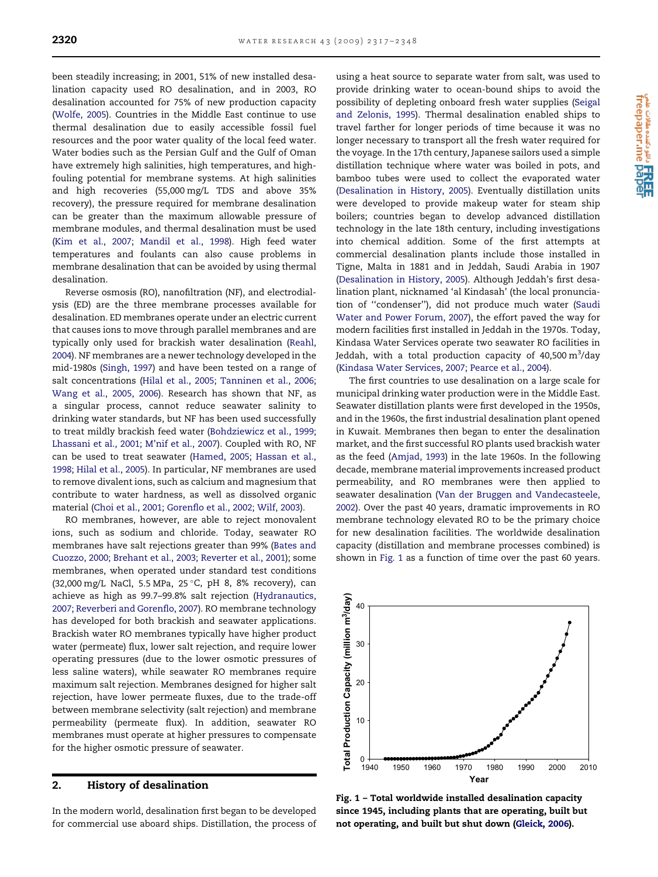been steadily increasing; in 2001, 51% of new installed desalination capacity used RO desalination, and in 2003, RO desalination accounted for 75% of new production capacity ([Wolfe, 2005](#page-31-0)). Countries in the Middle East continue to use thermal desalination due to easily accessible fossil fuel resources and the poor water quality of the local feed water. Water bodies such as the Persian Gulf and the Gulf of Oman have extremely high salinities, high temperatures, and highfouling potential for membrane systems. At high salinities and high recoveries (55,000 mg/L TDS and above 35% recovery), the pressure required for membrane desalination can be greater than the maximum allowable pressure of membrane modules, and thermal desalination must be used ([Kim et al., 2007; Mandil et al., 1998](#page-28-0)). High feed water temperatures and foulants can also cause problems in membrane desalination that can be avoided by using thermal desalination.

Reverse osmosis (RO), nanofiltration (NF), and electrodialysis (ED) are the three membrane processes available for desalination. ED membranes operate under an electric current that causes ions to move through parallel membranes and are typically only used for brackish water desalination [\(Reahl,](#page-29-0) [2004\)](#page-29-0). NF membranes are a newer technology developed in the mid-1980s [\(Singh, 1997](#page-30-0)) and have been tested on a range of salt concentrations [\(Hilal et al., 2005; Tanninen et al., 2006;](#page-28-0) [Wang et al., 2005, 2006](#page-28-0)). Research has shown that NF, as a singular process, cannot reduce seawater salinity to drinking water standards, but NF has been used successfully to treat mildly brackish feed water [\(Bohdziewicz et al., 1999;](#page-26-0) [Lhassani et al., 2001; M'nif et al., 2007\)](#page-26-0). Coupled with RO, NF can be used to treat seawater [\(Hamed, 2005; Hassan et al.,](#page-28-0) [1998; Hilal et al., 2005](#page-28-0)). In particular, NF membranes are used to remove divalent ions, such as calcium and magnesium that contribute to water hardness, as well as dissolved organic material [\(Choi et al., 2001; Gorenflo et al., 2002; Wilf, 2003\)](#page-27-0).

RO membranes, however, are able to reject monovalent ions, such as sodium and chloride. Today, seawater RO membranes have salt rejections greater than 99% ([Bates and](#page-26-0) [Cuozzo, 2000; Brehant et al., 2003; Reverter et al., 2001](#page-26-0)); some membranes, when operated under standard test conditions (32,000 mg/L NaCl, 5.5 MPa, 25 °C, pH 8, 8% recovery), can achieve as high as 99.7–99.8% salt rejection ([Hydranautics,](#page-29-0) [2007; Reverberi and Gorenflo, 2007](#page-29-0)). RO membrane technology has developed for both brackish and seawater applications. Brackish water RO membranes typically have higher product water (permeate) flux, lower salt rejection, and require lower operating pressures (due to the lower osmotic pressures of less saline waters), while seawater RO membranes require maximum salt rejection. Membranes designed for higher salt rejection, have lower permeate fluxes, due to the trade-off between membrane selectivity (salt rejection) and membrane permeability (permeate flux). In addition, seawater RO membranes must operate at higher pressures to compensate for the higher osmotic pressure of seawater.

#### 2. History of desalination

In the modern world, desalination first began to be developed for commercial use aboard ships. Distillation, the process of using a heat source to separate water from salt, was used to provide drinking water to ocean-bound ships to avoid the possibility of depleting onboard fresh water supplies [\(Seigal](#page-30-0) [and Zelonis, 1995](#page-30-0)). Thermal desalination enabled ships to travel farther for longer periods of time because it was no longer necessary to transport all the fresh water required for the voyage. In the 17th century, Japanese sailors used a simple distillation technique where water was boiled in pots, and bamboo tubes were used to collect the evaporated water ([Desalination in History, 2005\)](#page-27-0). Eventually distillation units were developed to provide makeup water for steam ship boilers; countries began to develop advanced distillation technology in the late 18th century, including investigations into chemical addition. Some of the first attempts at commercial desalination plants include those installed in Tigne, Malta in 1881 and in Jeddah, Saudi Arabia in 1907 ([Desalination in History, 2005](#page-27-0)). Although Jeddah's first desalination plant, nicknamed 'al Kindasah' (the local pronunciation of ''condenser''), did not produce much water ([Saudi](#page-26-0) [Water and Power Forum, 2007\)](#page-26-0), the effort paved the way for modern facilities first installed in Jeddah in the 1970s. Today, Kindasa Water Services operate two seawater RO facilities in Jeddah, with a total production capacity of 40,500 m<sup>3</sup>/day ([Kindasa Water Services, 2007; Pearce et al., 2004\)](#page-28-0).

The first countries to use desalination on a large scale for municipal drinking water production were in the Middle East. Seawater distillation plants were first developed in the 1950s, and in the 1960s, the first industrial desalination plant opened in Kuwait. Membranes then began to enter the desalination market, and the first successful RO plants used brackish water as the feed [\(Amjad, 1993\)](#page-26-0) in the late 1960s. In the following decade, membrane material improvements increased product permeability, and RO membranes were then applied to seawater desalination ([Van der Bruggen and Vandecasteele,](#page-30-0) [2002\)](#page-30-0). Over the past 40 years, dramatic improvements in RO membrane technology elevated RO to be the primary choice for new desalination facilities. The worldwide desalination capacity (distillation and membrane processes combined) is shown in Fig. 1 as a function of time over the past 60 years.



Fig. 1 – Total worldwide installed desalination capacity since 1945, including plants that are operating, built but not operating, and built but shut down [\(Gleick, 2006](#page-27-0)).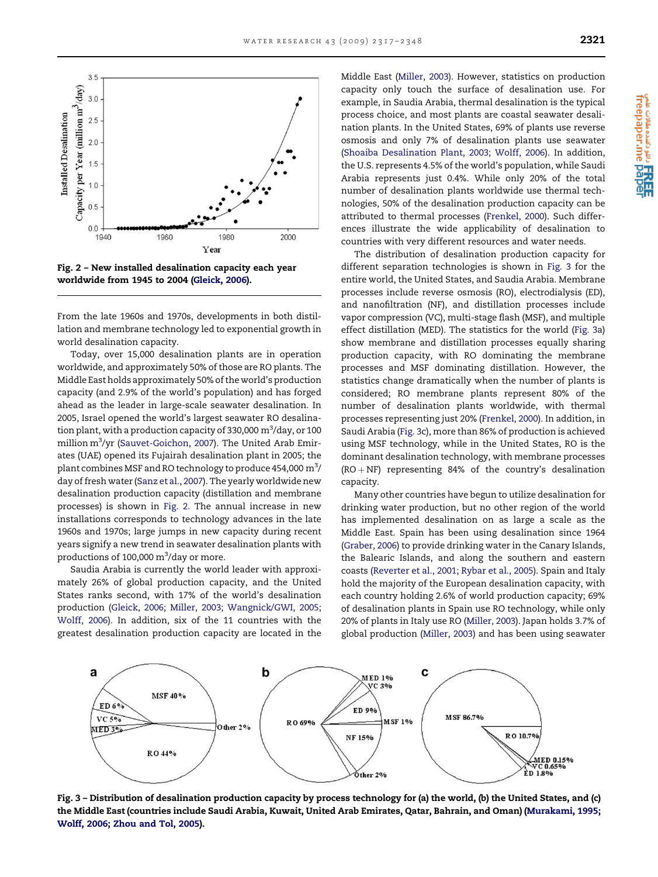

Fig. 2 – New installed desalination capacity each year worldwide from 1945 to 2004 [\(Gleick, 2006](#page-27-0)).

From the late 1960s and 1970s, developments in both distillation and membrane technology led to exponential growth in world desalination capacity.

Today, over 15,000 desalination plants are in operation worldwide, and approximately 50% of those are RO plants. The Middle East holds approximately 50% of the world's production capacity (and 2.9% of the world's population) and has forged ahead as the leader in large-scale seawater desalination. In 2005, Israel opened the world's largest seawater RO desalination plant, with a production capacity of 330,000  $\mathrm{m}^3\!/\mathrm{day}$ , or 100 million m3 /yr ([Sauvet-Goichon, 2007](#page-30-0)). The United Arab Emirates (UAE) opened its Fujairah desalination plant in 2005; the plant combines MSF and RO technology to produce 454,000  $\mathrm{m}^{3}\!/$ day of fresh water [\(Sanz et al., 2007\)](#page-30-0). The yearly worldwide new desalination production capacity (distillation and membrane processes) is shown in Fig. 2. The annual increase in new installations corresponds to technology advances in the late 1960s and 1970s; large jumps in new capacity during recent years signify a new trend in seawater desalination plants with productions of 100,000 m<sup>3</sup>/day or more.

Saudia Arabia is currently the world leader with approximately 26% of global production capacity, and the United States ranks second, with 17% of the world's desalination production ([Gleick, 2006; Miller, 2003; Wangnick/GWI, 2005;](#page-27-0) [Wolff, 2006\)](#page-27-0). In addition, six of the 11 countries with the greatest desalination production capacity are located in the Middle East ([Miller, 2003](#page-29-0)). However, statistics on production capacity only touch the surface of desalination use. For example, in Saudia Arabia, thermal desalination is the typical process choice, and most plants are coastal seawater desalination plants. In the United States, 69% of plants use reverse osmosis and only 7% of desalination plants use seawater [\(Shoaiba Desalination Plant, 2003; Wolff, 2006](#page-30-0)). In addition, the U.S. represents 4.5% of the world's population, while Saudi Arabia represents just 0.4%. While only 20% of the total number of desalination plants worldwide use thermal technologies, 50% of the desalination production capacity can be attributed to thermal processes ([Frenkel, 2000\)](#page-27-0). Such differences illustrate the wide applicability of desalination to countries with very different resources and water needs.

The distribution of desalination production capacity for different separation technologies is shown in Fig. 3 for the entire world, the United States, and Saudia Arabia. Membrane processes include reverse osmosis (RO), electrodialysis (ED), and nanofiltration (NF), and distillation processes include vapor compression (VC), multi-stage flash (MSF), and multiple effect distillation (MED). The statistics for the world (Fig. 3a) show membrane and distillation processes equally sharing production capacity, with RO dominating the membrane processes and MSF dominating distillation. However, the statistics change dramatically when the number of plants is considered; RO membrane plants represent 80% of the number of desalination plants worldwide, with thermal processes representing just 20% [\(Frenkel, 2000](#page-27-0)). In addition, in Saudi Arabia (Fig. 3c), more than 86% of production is achieved using MSF technology, while in the United States, RO is the dominant desalination technology, with membrane processes  $(RO + NF)$  representing 84% of the country's desalination capacity.

Many other countries have begun to utilize desalination for drinking water production, but no other region of the world has implemented desalination on as large a scale as the Middle East. Spain has been using desalination since 1964 [\(Graber, 2006](#page-27-0)) to provide drinking water in the Canary Islands, the Balearic Islands, and along the southern and eastern coasts ([Reverter et al., 2001; Rybar et al., 2005\)](#page-29-0). Spain and Italy hold the majority of the European desalination capacity, with each country holding 2.6% of world production capacity; 69% of desalination plants in Spain use RO technology, while only 20% of plants in Italy use RO [\(Miller, 2003\)](#page-29-0). Japan holds 3.7% of global production ([Miller, 2003](#page-29-0)) and has been using seawater



Fig. 3 – Distribution of desalination production capacity by process technology for (a) the world, (b) the United States, and (c) the Middle East (countries include Saudi Arabia, Kuwait, United Arab Emirates, Qatar, Bahrain, and Oman) [\(Murakami, 1995;](#page-29-0) [Wolff, 2006; Zhou and Tol, 2005\)](#page-29-0).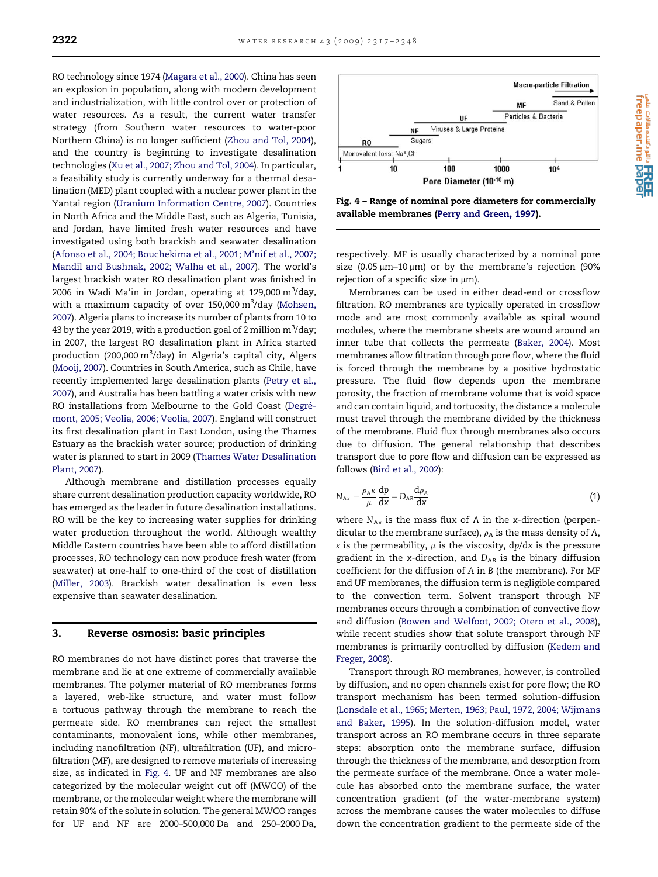RO technology since 1974 ([Magara et al., 2000\)](#page-28-0). China has seen an explosion in population, along with modern development and industrialization, with little control over or protection of water resources. As a result, the current water transfer strategy (from Southern water resources to water-poor Northern China) is no longer sufficient ([Zhou and Tol, 2004\)](#page-31-0), and the country is beginning to investigate desalination technologies ([Xu et al., 2007; Zhou and Tol, 2004\)](#page-31-0). In particular, a feasibility study is currently underway for a thermal desalination (MED) plant coupled with a nuclear power plant in the Yantai region [\(Uranium Information Centre, 2007](#page-29-0)). Countries in North Africa and the Middle East, such as Algeria, Tunisia, and Jordan, have limited fresh water resources and have investigated using both brackish and seawater desalination ([Afonso et al., 2004; Bouchekima et al., 2001; M'nif et al., 2007;](#page-26-0) [Mandil and Bushnak, 2002; Walha et al., 2007](#page-26-0)). The world's largest brackish water RO desalination plant was finished in 2006 in Wadi Ma'in in Jordan, operating at 129,000  $\mathrm{m}^3/\mathrm{day}$ , with a maximum capacity of over 150,000 m<sup>3</sup>/day [\(Mohsen,](#page-29-0) [2007\)](#page-29-0). Algeria plans to increase its number of plants from 10 to 43 by the year 2019, with a production goal of 2 million  $\mathrm{m}^3\!/\mathrm{day};$ in 2007, the largest RO desalination plant in Africa started production (200,000 m<sup>3</sup>/day) in Algeria's capital city, Algers ([Mooij, 2007](#page-29-0)). Countries in South America, such as Chile, have recently implemented large desalination plants [\(Petry et al.,](#page-29-0) [2007\)](#page-29-0), and Australia has been battling a water crisis with new RO installations from Melbourne to the Gold Coast (Degré[mont, 2005; Veolia, 2006; Veolia, 2007](#page-27-0)). England will construct its first desalination plant in East London, using the Thames Estuary as the brackish water source; production of drinking water is planned to start in 2009 [\(Thames Water Desalination](#page-30-0) [Plant, 2007](#page-30-0)).

Although membrane and distillation processes equally share current desalination production capacity worldwide, RO has emerged as the leader in future desalination installations. RO will be the key to increasing water supplies for drinking water production throughout the world. Although wealthy Middle Eastern countries have been able to afford distillation processes, RO technology can now produce fresh water (from seawater) at one-half to one-third of the cost of distillation ([Miller, 2003\)](#page-29-0). Brackish water desalination is even less expensive than seawater desalination.

#### 3. Reverse osmosis: basic principles

RO membranes do not have distinct pores that traverse the membrane and lie at one extreme of commercially available membranes. The polymer material of RO membranes forms a layered, web-like structure, and water must follow a tortuous pathway through the membrane to reach the permeate side. RO membranes can reject the smallest contaminants, monovalent ions, while other membranes, including nanofiltration (NF), ultrafiltration (UF), and microfiltration (MF), are designed to remove materials of increasing size, as indicated in Fig. 4. UF and NF membranes are also categorized by the molecular weight cut off (MWCO) of the membrane, or the molecular weight where the membrane will retain 90% of the solute in solution. The general MWCO ranges for UF and NF are 2000–500,000 Da and 250–2000 Da,



Fig. 4 – Range of nominal pore diameters for commercially available membranes ([Perry and Green, 1997](#page-29-0)).

respectively. MF is usually characterized by a nominal pore size (0.05  $\mu$ m-10  $\mu$ m) or by the membrane's rejection (90% rejection of a specific size in  $\mu$ m).

Membranes can be used in either dead-end or crossflow filtration. RO membranes are typically operated in crossflow mode and are most commonly available as spiral wound modules, where the membrane sheets are wound around an inner tube that collects the permeate [\(Baker, 2004\)](#page-26-0). Most membranes allow filtration through pore flow, where the fluid is forced through the membrane by a positive hydrostatic pressure. The fluid flow depends upon the membrane porosity, the fraction of membrane volume that is void space and can contain liquid, and tortuosity, the distance a molecule must travel through the membrane divided by the thickness of the membrane. Fluid flux through membranes also occurs due to diffusion. The general relationship that describes transport due to pore flow and diffusion can be expressed as follows [\(Bird et al., 2002\)](#page-26-0):

$$
N_{Ax} = \frac{\rho_A \kappa}{\mu} \frac{dp}{dx} - D_{AB} \frac{d\rho_A}{dx}
$$
 (1)

where  $N_{Ax}$  is the mass flux of A in the x-direction (perpendicular to the membrane surface),  $\rho_A$  is the mass density of A,  $\kappa$  is the permeability,  $\mu$  is the viscosity, dp/dx is the pressure gradient in the x-direction, and  $D_{AB}$  is the binary diffusion coefficient for the diffusion of A in B (the membrane). For MF and UF membranes, the diffusion term is negligible compared to the convection term. Solvent transport through NF membranes occurs through a combination of convective flow and diffusion [\(Bowen and Welfoot, 2002; Otero et al., 2008\)](#page-26-0), while recent studies show that solute transport through NF membranes is primarily controlled by diffusion [\(Kedem and](#page-28-0) [Freger, 2008\)](#page-28-0).

Transport through RO membranes, however, is controlled by diffusion, and no open channels exist for pore flow; the RO transport mechanism has been termed solution-diffusion ([Lonsdale et al., 1965; Merten, 1963; Paul, 1972, 2004; Wijmans](#page-28-0) [and Baker, 1995\)](#page-28-0). In the solution-diffusion model, water transport across an RO membrane occurs in three separate steps: absorption onto the membrane surface, diffusion through the thickness of the membrane, and desorption from the permeate surface of the membrane. Once a water molecule has absorbed onto the membrane surface, the water concentration gradient (of the water-membrane system) across the membrane causes the water molecules to diffuse down the concentration gradient to the permeate side of the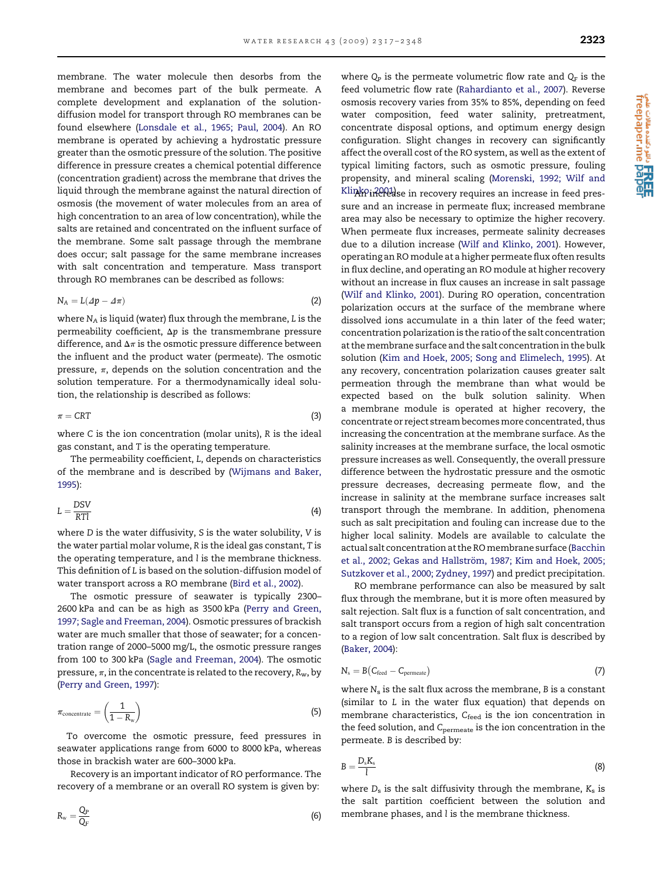membrane. The water molecule then desorbs from the membrane and becomes part of the bulk permeate. A complete development and explanation of the solutiondiffusion model for transport through RO membranes can be found elsewhere [\(Lonsdale et al., 1965; Paul, 2004\)](#page-28-0). An RO membrane is operated by achieving a hydrostatic pressure greater than the osmotic pressure of the solution. The positive difference in pressure creates a chemical potential difference (concentration gradient) across the membrane that drives the liquid through the membrane against the natural direction of osmosis (the movement of water molecules from an area of high concentration to an area of low concentration), while the salts are retained and concentrated on the influent surface of the membrane. Some salt passage through the membrane does occur; salt passage for the same membrane increases with salt concentration and temperature. Mass transport through RO membranes can be described as follows:

$$
N_A = L(\Delta p - \Delta \pi) \tag{2}
$$

where  $N_A$  is liquid (water) flux through the membrane, L is the permeability coefficient,  $\Delta p$  is the transmembrane pressure difference, and  $\Delta \pi$  is the osmotic pressure difference between the influent and the product water (permeate). The osmotic pressure,  $\pi$ , depends on the solution concentration and the solution temperature. For a thermodynamically ideal solution, the relationship is described as follows:

$$
\pi = \text{CRT} \tag{3}
$$

where C is the ion concentration (molar units), R is the ideal gas constant, and T is the operating temperature.

The permeability coefficient, L, depends on characteristics of the membrane and is described by ([Wijmans and Baker,](#page-31-0) [1995](#page-31-0)):

$$
L = \frac{DSV}{RTl} \tag{4}
$$

where D is the water diffusivity, S is the water solubility, V is the water partial molar volume, R is the ideal gas constant, T is the operating temperature, and l is the membrane thickness. This definition of L is based on the solution-diffusion model of water transport across a RO membrane ([Bird et al., 2002](#page-26-0)).

The osmotic pressure of seawater is typically 2300– 2600 kPa and can be as high as 3500 kPa [\(Perry and Green,](#page-29-0) [1997; Sagle and Freeman, 2004](#page-29-0)). Osmotic pressures of brackish water are much smaller that those of seawater; for a concentration range of 2000–5000 mg/L, the osmotic pressure ranges from 100 to 300 kPa [\(Sagle and Freeman, 2004](#page-30-0)). The osmotic pressure,  $\pi$ , in the concentrate is related to the recovery,  $R_w$ , by [\(Perry and Green, 1997\)](#page-29-0):

$$
\pi_{\text{concentrate}} = \left(\frac{1}{1 - R_{\text{w}}}\right) \tag{5}
$$

To overcome the osmotic pressure, feed pressures in seawater applications range from 6000 to 8000 kPa, whereas those in brackish water are 600–3000 kPa.

Recovery is an important indicator of RO performance. The recovery of a membrane or an overall RO system is given by:

$$
R_{w} = \frac{Q_{P}}{Q_{F}} \tag{6}
$$

where  $Q_P$  is the permeate volumetric flow rate and  $Q_F$  is the feed volumetric flow rate ([Rahardianto et al., 2007\)](#page-29-0). Reverse osmosis recovery varies from 35% to 85%, depending on feed water composition, feed water salinity, pretreatment, concentrate disposal options, and optimum energy design configuration. Slight changes in recovery can significantly affect the overall cost of the RO system, as well as the extent of typical limiting factors, such as osmotic pressure, fouling propensity, and mineral scaling [\(Morenski, 1992; Wilf and](#page-29-0) Klinkpindelase in recovery requires an increase in feed pressure and an increase in permeate flux; increased membrane area may also be necessary to optimize the higher recovery. When permeate flux increases, permeate salinity decreases due to a dilution increase [\(Wilf and Klinko, 2001](#page-31-0)). However, operating an RO module at a higher permeate flux often results in flux decline, and operating an RO module at higher recovery without an increase in flux causes an increase in salt passage [\(Wilf and Klinko, 2001\)](#page-31-0). During RO operation, concentration polarization occurs at the surface of the membrane where dissolved ions accumulate in a thin later of the feed water; concentration polarization is the ratio of the salt concentration at the membrane surface and the salt concentration in the bulk solution [\(Kim and Hoek, 2005; Song and Elimelech, 1995](#page-28-0)). At any recovery, concentration polarization causes greater salt permeation through the membrane than what would be expected based on the bulk solution salinity. When a membrane module is operated at higher recovery, the concentrate or reject stream becomes more concentrated, thus increasing the concentration at the membrane surface. As the salinity increases at the membrane surface, the local osmotic pressure increases as well. Consequently, the overall pressure difference between the hydrostatic pressure and the osmotic pressure decreases, decreasing permeate flow, and the increase in salinity at the membrane surface increases salt transport through the membrane. In addition, phenomena such as salt precipitation and fouling can increase due to the higher local salinity. Models are available to calculate the actual salt concentration at the RO membrane surface [\(Bacchin](#page-26-0) et al., 2002; Gekas and Hallström, 1987; Kim and Hoek, 2005; [Sutzkover et al., 2000; Zydney, 1997](#page-26-0)) and predict precipitation.

RO membrane performance can also be measured by salt flux through the membrane, but it is more often measured by salt rejection. Salt flux is a function of salt concentration, and salt transport occurs from a region of high salt concentration to a region of low salt concentration. Salt flux is described by [\(Baker, 2004\)](#page-26-0):

$$
N_s = B (C_{\text{feed}} - C_{\text{permeate}}) \tag{7}
$$

where  $N_s$  is the salt flux across the membrane, B is a constant (similar to L in the water flux equation) that depends on membrane characteristics, C<sub>feed</sub> is the ion concentration in the feed solution, and  $C_{\text{permeate}}$  is the ion concentration in the permeate. B is described by:

$$
B = \frac{D_s K_s}{l} \tag{8}
$$

where  $D_s$  is the salt diffusivity through the membrane,  $K_s$  is the salt partition coefficient between the solution and membrane phases, and l is the membrane thickness.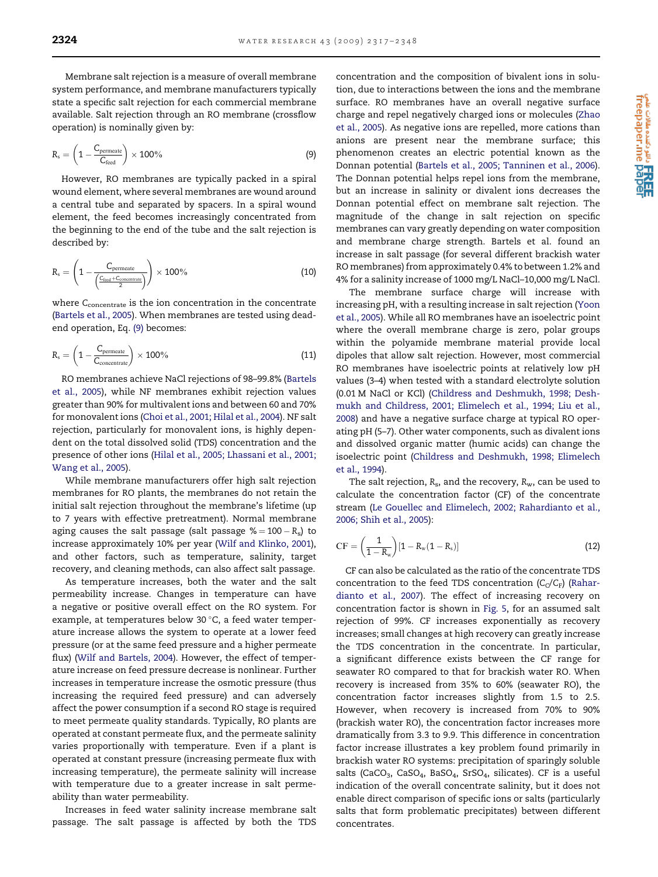Membrane salt rejection is a measure of overall membrane system performance, and membrane manufacturers typically state a specific salt rejection for each commercial membrane available. Salt rejection through an RO membrane (crossflow operation) is nominally given by:

$$
R_s = \left(1 - \frac{C_{\text{permeate}}}{C_{\text{feed}}}\right) \times 100\%
$$
 (9)

However, RO membranes are typically packed in a spiral wound element, where several membranes are wound around a central tube and separated by spacers. In a spiral wound element, the feed becomes increasingly concentrated from the beginning to the end of the tube and the salt rejection is described by:

$$
R_s = \left(1 - \frac{C_{\text{permeate}}}{\left(\frac{C_{\text{feed}} + C_{\text{concentrate}}}{2}\right)}\right) \times 100\%
$$
 (10)

where C<sub>concentrate</sub> is the ion concentration in the concentrate ([Bartels et al., 2005](#page-26-0)). When membranes are tested using deadend operation, Eq. (9) becomes:

$$
R_s = \left(1 - \frac{C_{\text{permeate}}}{C_{\text{concentrate}}}\right) \times 100\%
$$
\n(11)

RO membranes achieve NaCl rejections of 98–99.8% ([Bartels](#page-26-0) [et al., 2005\)](#page-26-0), while NF membranes exhibit rejection values greater than 90% for multivalent ions and between 60 and 70% for monovalent ions ([Choi et al., 2001; Hilal et al., 2004](#page-27-0)). NF salt rejection, particularly for monovalent ions, is highly dependent on the total dissolved solid (TDS) concentration and the presence of other ions [\(Hilal et al., 2005; Lhassani et al., 2001;](#page-28-0) [Wang et al., 2005\)](#page-28-0).

While membrane manufacturers offer high salt rejection membranes for RO plants, the membranes do not retain the initial salt rejection throughout the membrane's lifetime (up to 7 years with effective pretreatment). Normal membrane aging causes the salt passage (salt passage  $% = 100 - R_s$ ) to increase approximately 10% per year [\(Wilf and Klinko, 2001\)](#page-31-0), and other factors, such as temperature, salinity, target recovery, and cleaning methods, can also affect salt passage.

As temperature increases, both the water and the salt permeability increase. Changes in temperature can have a negative or positive overall effect on the RO system. For example, at temperatures below 30 $\degree$ C, a feed water temperature increase allows the system to operate at a lower feed pressure (or at the same feed pressure and a higher permeate flux) [\(Wilf and Bartels, 2004\)](#page-31-0). However, the effect of temperature increase on feed pressure decrease is nonlinear. Further increases in temperature increase the osmotic pressure (thus increasing the required feed pressure) and can adversely affect the power consumption if a second RO stage is required to meet permeate quality standards. Typically, RO plants are operated at constant permeate flux, and the permeate salinity varies proportionally with temperature. Even if a plant is operated at constant pressure (increasing permeate flux with increasing temperature), the permeate salinity will increase with temperature due to a greater increase in salt permeability than water permeability.

Increases in feed water salinity increase membrane salt passage. The salt passage is affected by both the TDS concentration and the composition of bivalent ions in solution, due to interactions between the ions and the membrane surface. RO membranes have an overall negative surface charge and repel negatively charged ions or molecules ([Zhao](#page-31-0) [et al., 2005\)](#page-31-0). As negative ions are repelled, more cations than anions are present near the membrane surface; this phenomenon creates an electric potential known as the Donnan potential ([Bartels et al., 2005; Tanninen et al., 2006\)](#page-26-0). The Donnan potential helps repel ions from the membrane, but an increase in salinity or divalent ions decreases the Donnan potential effect on membrane salt rejection. The magnitude of the change in salt rejection on specific membranes can vary greatly depending on water composition and membrane charge strength. Bartels et al. found an increase in salt passage (for several different brackish water RO membranes) from approximately 0.4% to between 1.2% and 4% for a salinity increase of 1000 mg/L NaCl–10,000 mg/L NaCl.

The membrane surface charge will increase with increasing pH, with a resulting increase in salt rejection ([Yoon](#page-31-0) [et al., 2005\)](#page-31-0). While all RO membranes have an isoelectric point where the overall membrane charge is zero, polar groups within the polyamide membrane material provide local dipoles that allow salt rejection. However, most commercial RO membranes have isoelectric points at relatively low pH values (3–4) when tested with a standard electrolyte solution (0.01 M NaCl or KCl) ([Childress and Deshmukh, 1998; Desh](#page-27-0)[mukh and Childress, 2001; Elimelech et al., 1994; Liu et al.,](#page-27-0) [2008\)](#page-27-0) and have a negative surface charge at typical RO operating pH (5–7). Other water components, such as divalent ions and dissolved organic matter (humic acids) can change the isoelectric point [\(Childress and Deshmukh, 1998; Elimelech](#page-27-0) [et al., 1994\)](#page-27-0).

The salt rejection,  $R_s$ , and the recovery,  $R_w$ , can be used to calculate the concentration factor (CF) of the concentrate stream [\(Le Gouellec and Elimelech, 2002; Rahardianto et al.,](#page-28-0) [2006; Shih et al., 2005\)](#page-28-0):

$$
CF = \left(\frac{1}{1 - R_w}\right)[1 - R_w(1 - R_s)]
$$
\n(12)

CF can also be calculated as the ratio of the concentrate TDS concentration to the feed TDS concentration  $(C_C/C_F)$  [\(Rahar](#page-29-0)[dianto et al., 2007\)](#page-29-0). The effect of increasing recovery on concentration factor is shown in [Fig. 5,](#page-8-0) for an assumed salt rejection of 99%. CF increases exponentially as recovery increases; small changes at high recovery can greatly increase the TDS concentration in the concentrate. In particular, a significant difference exists between the CF range for seawater RO compared to that for brackish water RO. When recovery is increased from 35% to 60% (seawater RO), the concentration factor increases slightly from 1.5 to 2.5. However, when recovery is increased from 70% to 90% (brackish water RO), the concentration factor increases more dramatically from 3.3 to 9.9. This difference in concentration factor increase illustrates a key problem found primarily in brackish water RO systems: precipitation of sparingly soluble salts (CaCO<sub>3</sub>, CaSO<sub>4</sub>, BaSO<sub>4</sub>, SrSO<sub>4</sub>, silicates). CF is a useful indication of the overall concentrate salinity, but it does not enable direct comparison of specific ions or salts (particularly salts that form problematic precipitates) between different concentrates.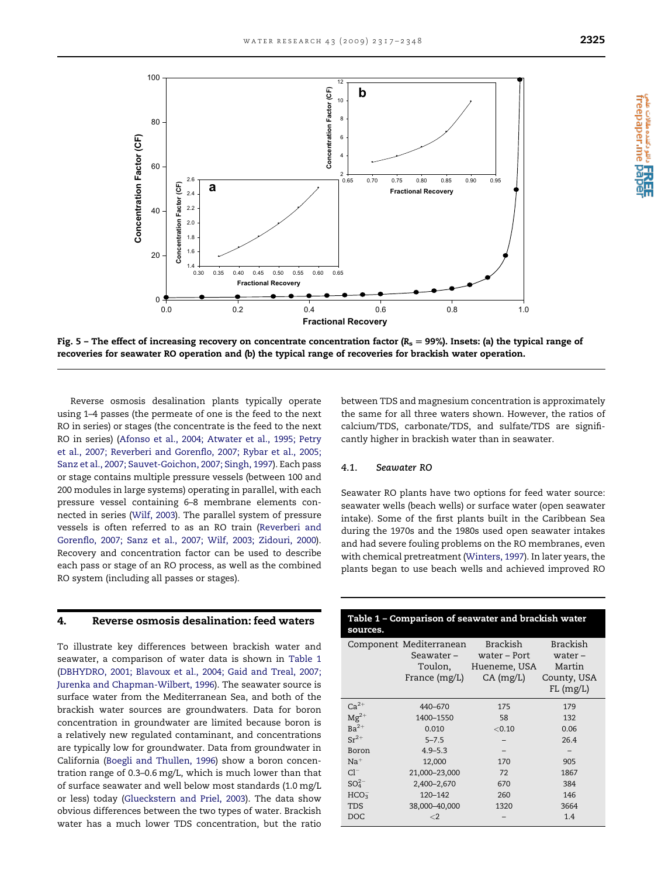<span id="page-8-0"></span>

Fig. 5 – The effect of increasing recovery on concentrate concentration factor ( $R_s = 99%$ ). Insets: (a) the typical range of recoveries for seawater RO operation and (b) the typical range of recoveries for brackish water operation.

Reverse osmosis desalination plants typically operate using 1–4 passes (the permeate of one is the feed to the next RO in series) or stages (the concentrate is the feed to the next RO in series) [\(Afonso et al., 2004; Atwater et al., 1995; Petry](#page-26-0) [et al., 2007; Reverberi and Gorenflo, 2007; Rybar et al., 2005;](#page-26-0) [Sanz et al., 2007; Sauvet-Goichon, 2007; Singh, 1997\)](#page-26-0). Each pass or stage contains multiple pressure vessels (between 100 and 200 modules in large systems) operating in parallel, with each pressure vessel containing 6–8 membrane elements connected in series ([Wilf, 2003\)](#page-31-0). The parallel system of pressure vessels is often referred to as an RO train [\(Reverberi and](#page-29-0) [Gorenflo, 2007; Sanz et al., 2007; Wilf, 2003; Zidouri, 2000](#page-29-0)). Recovery and concentration factor can be used to describe each pass or stage of an RO process, as well as the combined RO system (including all passes or stages).

# 4. Reverse osmosis desalination: feed waters

To illustrate key differences between brackish water and seawater, a comparison of water data is shown in Table 1 [\(DBHYDRO, 2001; Blavoux et al., 2004; Gaid and Treal, 2007;](#page-30-0) [Jurenka and Chapman-Wilbert, 1996](#page-30-0)). The seawater source is surface water from the Mediterranean Sea, and both of the brackish water sources are groundwaters. Data for boron concentration in groundwater are limited because boron is a relatively new regulated contaminant, and concentrations are typically low for groundwater. Data from groundwater in California [\(Boegli and Thullen, 1996](#page-26-0)) show a boron concentration range of 0.3–0.6 mg/L, which is much lower than that of surface seawater and well below most standards (1.0 mg/L or less) today ([Glueckstern and Priel, 2003](#page-27-0)). The data show obvious differences between the two types of water. Brackish water has a much lower TDS concentration, but the ratio between TDS and magnesium concentration is approximately the same for all three waters shown. However, the ratios of calcium/TDS, carbonate/TDS, and sulfate/TDS are significantly higher in brackish water than in seawater.

# 4.1. Seawater RO

Seawater RO plants have two options for feed water source: seawater wells (beach wells) or surface water (open seawater intake). Some of the first plants built in the Caribbean Sea during the 1970s and the 1980s used open seawater intakes and had severe fouling problems on the RO membranes, even with chemical pretreatment ([Winters, 1997\)](#page-31-0). In later years, the plants began to use beach wells and achieved improved RO

| Table 1 - Comparison of seawater and brackish water<br>sources. |                                                        |                                                                 |                                                               |  |
|-----------------------------------------------------------------|--------------------------------------------------------|-----------------------------------------------------------------|---------------------------------------------------------------|--|
|                                                                 | Component Mediterranean<br>Seawater –<br>France (mg/L) | Brackish<br>water – Port<br>Toulon, Hueneme, USA<br>$CA$ (mg/L) | Brackish<br>water $-$<br>Martin<br>County, USA<br>$FL$ (mg/L) |  |
| $Ca^{2+}$                                                       | 440-670                                                | 175                                                             | 179                                                           |  |
| $Mg^{2+}$                                                       | 1400-1550                                              | 58                                                              | 132                                                           |  |
| $Ba^{2+}$                                                       | 0.010                                                  | < 0.10                                                          | 0.06                                                          |  |
| $Sr^{2+}$                                                       | $5 - 7.5$                                              |                                                                 | 26.4                                                          |  |
| Boron                                                           | $4.9 - 5.3$                                            |                                                                 |                                                               |  |
| $Na+$                                                           | 12,000                                                 | 170                                                             | 905                                                           |  |
| $Cl^-$                                                          | 21,000-23,000                                          | 72                                                              | 1867                                                          |  |
| $SO_{4}^{2-}$                                                   | 2,400-2,670                                            | 670                                                             | 384                                                           |  |
| HCO <sub>3</sub>                                                | 120-142                                                | 260                                                             | 146                                                           |  |
| <b>TDS</b>                                                      | 38,000-40,000                                          | 1320                                                            | 3664                                                          |  |
| <b>DOC</b>                                                      | ${<}2$                                                 |                                                                 | 1.4                                                           |  |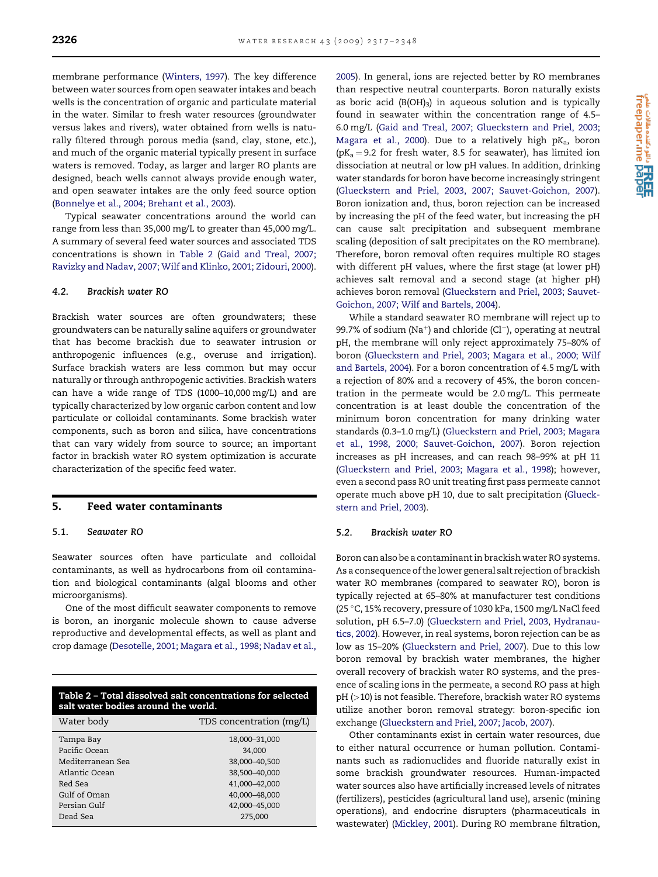membrane performance [\(Winters, 1997\)](#page-31-0). The key difference between water sources from open seawater intakes and beach wells is the concentration of organic and particulate material in the water. Similar to fresh water resources (groundwater versus lakes and rivers), water obtained from wells is naturally filtered through porous media (sand, clay, stone, etc.), and much of the organic material typically present in surface waters is removed. Today, as larger and larger RO plants are designed, beach wells cannot always provide enough water, and open seawater intakes are the only feed source option ([Bonnelye et al., 2004; Brehant et al., 2003\)](#page-26-0).

Typical seawater concentrations around the world can range from less than 35,000 mg/L to greater than 45,000 mg/L. A summary of several feed water sources and associated TDS concentrations is shown in Table 2 [\(Gaid and Treal, 2007;](#page-27-0) [Ravizky and Nadav, 2007; Wilf and Klinko, 2001; Zidouri, 2000\)](#page-27-0).

# 4.2. Brackish water RO

Brackish water sources are often groundwaters; these groundwaters can be naturally saline aquifers or groundwater that has become brackish due to seawater intrusion or anthropogenic influences (e.g., overuse and irrigation). Surface brackish waters are less common but may occur naturally or through anthropogenic activities. Brackish waters can have a wide range of TDS (1000–10,000 mg/L) and are typically characterized by low organic carbon content and low particulate or colloidal contaminants. Some brackish water components, such as boron and silica, have concentrations that can vary widely from source to source; an important factor in brackish water RO system optimization is accurate characterization of the specific feed water.

#### 5. Feed water contaminants

#### 5.1. Seawater RO

Seawater sources often have particulate and colloidal contaminants, as well as hydrocarbons from oil contamination and biological contaminants (algal blooms and other microorganisms).

One of the most difficult seawater components to remove is boron, an inorganic molecule shown to cause adverse reproductive and developmental effects, as well as plant and crop damage ([Desotelle, 2001; Magara et al., 1998; Nadav et al.,](#page-27-0)

| Table 2 – Total dissolved salt concentrations for selected<br>salt water bodies around the world. |               |  |
|---------------------------------------------------------------------------------------------------|---------------|--|
| TDS concentration (mg/L)<br>Water body                                                            |               |  |
| Tampa Bay                                                                                         | 18,000-31,000 |  |
| Pacific Ocean                                                                                     | 34,000        |  |
| Mediterranean Sea                                                                                 | 38,000-40,500 |  |
| Atlantic Ocean                                                                                    | 38,500-40,000 |  |
| Red Sea                                                                                           | 41,000-42,000 |  |
| Gulf of Oman                                                                                      | 40.000-48.000 |  |
| Persian Gulf                                                                                      | 42,000-45,000 |  |
| Dead Sea                                                                                          | 275,000       |  |

[2005\)](#page-27-0). In general, ions are rejected better by RO membranes than respective neutral counterparts. Boron naturally exists as boric acid  $(B(OH)_3)$  in aqueous solution and is typically found in seawater within the concentration range of 4.5– 6.0 mg/L [\(Gaid and Treal, 2007; Glueckstern and Priel, 2003;](#page-27-0) [Magara et al., 2000](#page-27-0)). Due to a relatively high  $pK_a$ , boron ( $pK_a = 9.2$  for fresh water, 8.5 for seawater), has limited ion dissociation at neutral or low pH values. In addition, drinking water standards for boron have become increasingly stringent ([Glueckstern and Priel, 2003, 2007; Sauvet-Goichon, 2007\)](#page-27-0). Boron ionization and, thus, boron rejection can be increased by increasing the pH of the feed water, but increasing the pH can cause salt precipitation and subsequent membrane scaling (deposition of salt precipitates on the RO membrane). Therefore, boron removal often requires multiple RO stages with different pH values, where the first stage (at lower pH) achieves salt removal and a second stage (at higher pH) achieves boron removal ([Glueckstern and Priel, 2003; Sauvet-](#page-27-0)[Goichon, 2007; Wilf and Bartels, 2004\)](#page-27-0).

While a standard seawater RO membrane will reject up to 99.7% of sodium (Na<sup>+</sup>) and chloride (Cl<sup>-</sup>), operating at neutral pH, the membrane will only reject approximately 75–80% of boron ([Glueckstern and Priel, 2003; Magara et al., 2000; Wilf](#page-27-0) [and Bartels, 2004](#page-27-0)). For a boron concentration of 4.5 mg/L with a rejection of 80% and a recovery of 45%, the boron concentration in the permeate would be 2.0 mg/L. This permeate concentration is at least double the concentration of the minimum boron concentration for many drinking water standards (0.3–1.0 mg/L) [\(Glueckstern and Priel, 2003; Magara](#page-27-0) [et al., 1998, 2000; Sauvet-Goichon, 2007\)](#page-27-0). Boron rejection increases as pH increases, and can reach 98–99% at pH 11 ([Glueckstern and Priel, 2003; Magara et al., 1998](#page-27-0)); however, even a second pass RO unit treating first pass permeate cannot operate much above pH 10, due to salt precipitation ([Glueck](#page-27-0)[stern and Priel, 2003](#page-27-0)).

#### 5.2. Brackish water RO

Boron can also be a contaminant in brackish water RO systems. As a consequence of the lower general salt rejection of brackish water RO membranes (compared to seawater RO), boron is typically rejected at 65–80% at manufacturer test conditions (25 °C, 15% recovery, pressure of 1030 kPa, 1500 mg/L NaCl feed solution, pH 6.5–7.0) [\(Glueckstern and Priel, 2003](#page-27-0), [Hydranau](#page-28-0)[tics, 2002\)](#page-28-0). However, in real systems, boron rejection can be as low as 15–20% ([Glueckstern and Priel, 2007](#page-27-0)). Due to this low boron removal by brackish water membranes, the higher overall recovery of brackish water RO systems, and the presence of scaling ions in the permeate, a second RO pass at high pH (>10) is not feasible. Therefore, brackish water RO systems utilize another boron removal strategy: boron-specific ion exchange [\(Glueckstern and Priel, 2007; Jacob, 2007\)](#page-27-0).

Other contaminants exist in certain water resources, due to either natural occurrence or human pollution. Contaminants such as radionuclides and fluoride naturally exist in some brackish groundwater resources. Human-impacted water sources also have artificially increased levels of nitrates (fertilizers), pesticides (agricultural land use), arsenic (mining operations), and endocrine disrupters (pharmaceuticals in wastewater) [\(Mickley, 2001](#page-29-0)). During RO membrane filtration,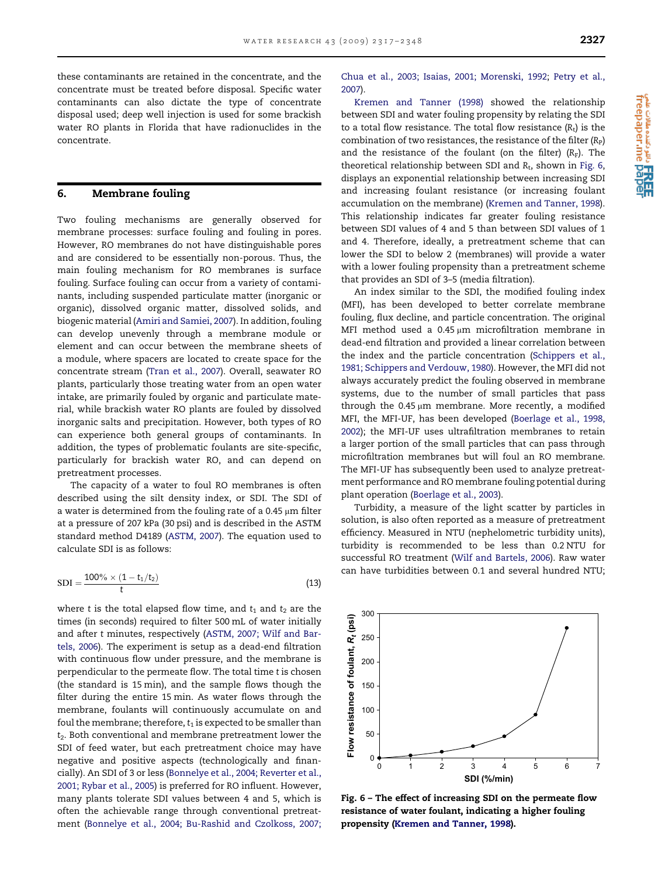these contaminants are retained in the concentrate, and the concentrate must be treated before disposal. Specific water contaminants can also dictate the type of concentrate disposal used; deep well injection is used for some brackish water RO plants in Florida that have radionuclides in the concentrate.

#### 6. Membrane fouling

Two fouling mechanisms are generally observed for membrane processes: surface fouling and fouling in pores. However, RO membranes do not have distinguishable pores and are considered to be essentially non-porous. Thus, the main fouling mechanism for RO membranes is surface fouling. Surface fouling can occur from a variety of contaminants, including suspended particulate matter (inorganic or organic), dissolved organic matter, dissolved solids, and biogenic material [\(Amiri and Samiei, 2007](#page-26-0)). In addition, fouling can develop unevenly through a membrane module or element and can occur between the membrane sheets of a module, where spacers are located to create space for the concentrate stream ([Tran et al., 2007\)](#page-30-0). Overall, seawater RO plants, particularly those treating water from an open water intake, are primarily fouled by organic and particulate material, while brackish water RO plants are fouled by dissolved inorganic salts and precipitation. However, both types of RO can experience both general groups of contaminants. In addition, the types of problematic foulants are site-specific, particularly for brackish water RO, and can depend on pretreatment processes.

The capacity of a water to foul RO membranes is often described using the silt density index, or SDI. The SDI of a water is determined from the fouling rate of a 0.45  $\mu$ m filter at a pressure of 207 kPa (30 psi) and is described in the ASTM standard method D4189 [\(ASTM, 2007](#page-26-0)). The equation used to calculate SDI is as follows:

$$
SDI = \frac{100\% \times (1 - t_1/t_2)}{t} \tag{13}
$$

where t is the total elapsed flow time, and  $t_1$  and  $t_2$  are the times (in seconds) required to filter 500 mL of water initially and after t minutes, respectively [\(ASTM, 2007; Wilf and Bar](#page-26-0)[tels, 2006\)](#page-26-0). The experiment is setup as a dead-end filtration with continuous flow under pressure, and the membrane is perpendicular to the permeate flow. The total time t is chosen (the standard is 15 min), and the sample flows though the filter during the entire 15 min. As water flows through the membrane, foulants will continuously accumulate on and foul the membrane; therefore,  $t_1$  is expected to be smaller than  $t<sub>2</sub>$ . Both conventional and membrane pretreatment lower the SDI of feed water, but each pretreatment choice may have negative and positive aspects (technologically and financially). An SDI of 3 or less ([Bonnelye et al., 2004; Reverter et al.,](#page-26-0) [2001; Rybar et al., 2005\)](#page-26-0) is preferred for RO influent. However, many plants tolerate SDI values between 4 and 5, which is often the achievable range through conventional pretreatment ([Bonnelye et al., 2004; Bu-Rashid and Czolkoss, 2007;](#page-26-0) [Chua et al., 2003; Isaias, 2001; Morenski, 1992](#page-26-0); [Petry et al.,](#page-29-0) [2007](#page-29-0)).

[Kremen and Tanner \(1998\)](#page-28-0) showed the relationship between SDI and water fouling propensity by relating the SDI to a total flow resistance. The total flow resistance  $(R_t)$  is the combination of two resistances, the resistance of the filter  $(R_P)$ and the resistance of the foulant (on the filter)  $(R_F)$ . The theoretical relationship between SDI and  $R_t$ , shown in Fig. 6, displays an exponential relationship between increasing SDI and increasing foulant resistance (or increasing foulant accumulation on the membrane) [\(Kremen and Tanner, 1998](#page-28-0)). This relationship indicates far greater fouling resistance between SDI values of 4 and 5 than between SDI values of 1 and 4. Therefore, ideally, a pretreatment scheme that can lower the SDI to below 2 (membranes) will provide a water with a lower fouling propensity than a pretreatment scheme that provides an SDI of 3–5 (media filtration).

An index similar to the SDI, the modified fouling index (MFI), has been developed to better correlate membrane fouling, flux decline, and particle concentration. The original MFI method used a  $0.45 \mu m$  microfiltration membrane in dead-end filtration and provided a linear correlation between the index and the particle concentration [\(Schippers et al.,](#page-30-0) [1981; Schippers and Verdouw, 1980](#page-30-0)). However, the MFI did not always accurately predict the fouling observed in membrane systems, due to the number of small particles that pass through the  $0.45 \mu m$  membrane. More recently, a modified MFI, the MFI-UF, has been developed [\(Boerlage et al., 1998,](#page-26-0) [2002](#page-26-0)); the MFI-UF uses ultrafiltration membranes to retain a larger portion of the small particles that can pass through microfiltration membranes but will foul an RO membrane. The MFI-UF has subsequently been used to analyze pretreatment performance and RO membrane fouling potential during plant operation [\(Boerlage et al., 2003](#page-26-0)).

Turbidity, a measure of the light scatter by particles in solution, is also often reported as a measure of pretreatment efficiency. Measured in NTU (nephelometric turbidity units), turbidity is recommended to be less than 0.2 NTU for successful RO treatment [\(Wilf and Bartels, 2006](#page-31-0)). Raw water can have turbidities between 0.1 and several hundred NTU;



Fig. 6 – The effect of increasing SDI on the permeate flow resistance of water foulant, indicating a higher fouling propensity [\(Kremen and Tanner, 1998\)](#page-28-0).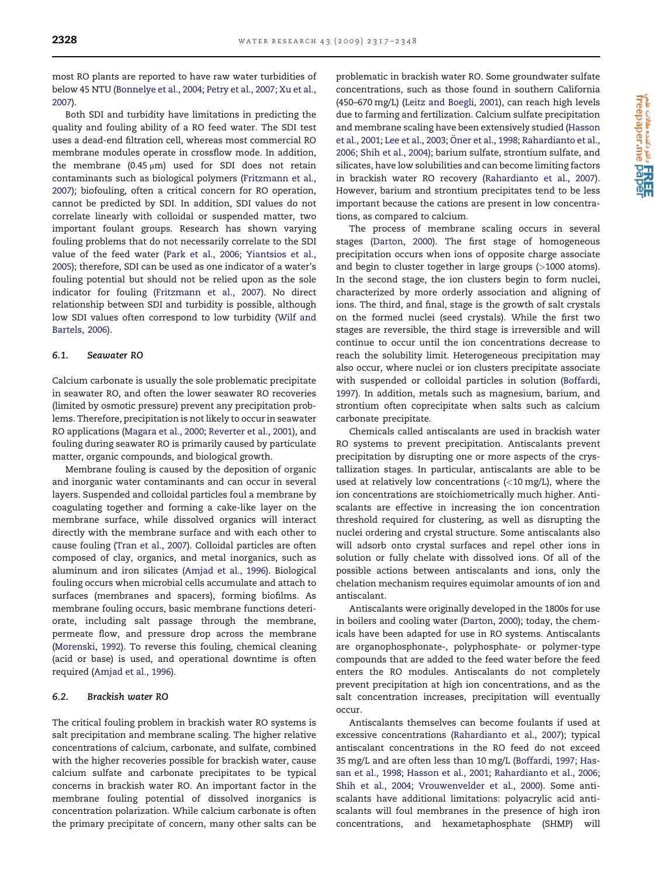most RO plants are reported to have raw water turbidities of below 45 NTU [\(Bonnelye et al., 2004; Petry et al., 2007; Xu et al.,](#page-26-0) [2007\)](#page-26-0).

Both SDI and turbidity have limitations in predicting the quality and fouling ability of a RO feed water. The SDI test uses a dead-end filtration cell, whereas most commercial RO membrane modules operate in crossflow mode. In addition, the membrane (0.45  $\mu$ m) used for SDI does not retain contaminants such as biological polymers [\(Fritzmann et al.,](#page-27-0) [2007\)](#page-27-0); biofouling, often a critical concern for RO operation, cannot be predicted by SDI. In addition, SDI values do not correlate linearly with colloidal or suspended matter, two important foulant groups. Research has shown varying fouling problems that do not necessarily correlate to the SDI value of the feed water ([Park et al., 2006; Yiantsios et al.,](#page-29-0) [2005\)](#page-29-0); therefore, SDI can be used as one indicator of a water's fouling potential but should not be relied upon as the sole indicator for fouling [\(Fritzmann et al., 2007](#page-27-0)). No direct relationship between SDI and turbidity is possible, although low SDI values often correspond to low turbidity [\(Wilf and](#page-31-0) [Bartels, 2006\)](#page-31-0).

# 6.1. Seawater RO

Calcium carbonate is usually the sole problematic precipitate in seawater RO, and often the lower seawater RO recoveries (limited by osmotic pressure) prevent any precipitation problems. Therefore, precipitation is not likely to occur in seawater RO applications ([Magara et al., 2000; Reverter et al., 2001\)](#page-28-0), and fouling during seawater RO is primarily caused by particulate matter, organic compounds, and biological growth.

Membrane fouling is caused by the deposition of organic and inorganic water contaminants and can occur in several layers. Suspended and colloidal particles foul a membrane by coagulating together and forming a cake-like layer on the membrane surface, while dissolved organics will interact directly with the membrane surface and with each other to cause fouling [\(Tran et al., 2007](#page-30-0)). Colloidal particles are often composed of clay, organics, and metal inorganics, such as aluminum and iron silicates [\(Amjad et al., 1996\)](#page-26-0). Biological fouling occurs when microbial cells accumulate and attach to surfaces (membranes and spacers), forming biofilms. As membrane fouling occurs, basic membrane functions deteriorate, including salt passage through the membrane, permeate flow, and pressure drop across the membrane ([Morenski, 1992](#page-29-0)). To reverse this fouling, chemical cleaning (acid or base) is used, and operational downtime is often required [\(Amjad et al., 1996\)](#page-26-0).

### 6.2. Brackish water RO

The critical fouling problem in brackish water RO systems is salt precipitation and membrane scaling. The higher relative concentrations of calcium, carbonate, and sulfate, combined with the higher recoveries possible for brackish water, cause calcium sulfate and carbonate precipitates to be typical concerns in brackish water RO. An important factor in the membrane fouling potential of dissolved inorganics is concentration polarization. While calcium carbonate is often the primary precipitate of concern, many other salts can be

problematic in brackish water RO. Some groundwater sulfate concentrations, such as those found in southern California (450–670 mg/L) ([Leitz and Boegli, 2001\)](#page-28-0), can reach high levels due to farming and fertilization. Calcium sulfate precipitation and membrane scaling have been extensively studied ([Hasson](#page-28-0) et al., 2001; Lee et al., 2003; Ö[ner et al., 1998; Rahardianto et al.,](#page-28-0) [2006; Shih et al., 2004](#page-28-0)); barium sulfate, strontium sulfate, and silicates, have low solubilities and can become limiting factors in brackish water RO recovery [\(Rahardianto et al., 2007\)](#page-29-0). However, barium and strontium precipitates tend to be less important because the cations are present in low concentrations, as compared to calcium.

The process of membrane scaling occurs in several stages ([Darton, 2000](#page-27-0)). The first stage of homogeneous precipitation occurs when ions of opposite charge associate and begin to cluster together in large groups (>1000 atoms). In the second stage, the ion clusters begin to form nuclei, characterized by more orderly association and aligning of ions. The third, and final, stage is the growth of salt crystals on the formed nuclei (seed crystals). While the first two stages are reversible, the third stage is irreversible and will continue to occur until the ion concentrations decrease to reach the solubility limit. Heterogeneous precipitation may also occur, where nuclei or ion clusters precipitate associate with suspended or colloidal particles in solution [\(Boffardi,](#page-26-0) [1997\)](#page-26-0). In addition, metals such as magnesium, barium, and strontium often coprecipitate when salts such as calcium carbonate precipitate.

Chemicals called antiscalants are used in brackish water RO systems to prevent precipitation. Antiscalants prevent precipitation by disrupting one or more aspects of the crystallization stages. In particular, antiscalants are able to be used at relatively low concentrations (<10 mg/L), where the ion concentrations are stoichiometrically much higher. Antiscalants are effective in increasing the ion concentration threshold required for clustering, as well as disrupting the nuclei ordering and crystal structure. Some antiscalants also will adsorb onto crystal surfaces and repel other ions in solution or fully chelate with dissolved ions. Of all of the possible actions between antiscalants and ions, only the chelation mechanism requires equimolar amounts of ion and antiscalant.

Antiscalants were originally developed in the 1800s for use in boilers and cooling water [\(Darton, 2000\)](#page-27-0); today, the chemicals have been adapted for use in RO systems. Antiscalants are organophosphonate-, polyphosphate- or polymer-type compounds that are added to the feed water before the feed enters the RO modules. Antiscalants do not completely prevent precipitation at high ion concentrations, and as the salt concentration increases, precipitation will eventually occur.

Antiscalants themselves can become foulants if used at excessive concentrations ([Rahardianto et al., 2007](#page-29-0)); typical antiscalant concentrations in the RO feed do not exceed 35 mg/L and are often less than 10 mg/L [\(Boffardi, 1997; Has](#page-26-0)[san et al., 1998; Hasson et al., 2001; Rahardianto et al., 2006;](#page-26-0) [Shih et al., 2004; Vrouwenvelder et al., 2000](#page-26-0)). Some antiscalants have additional limitations: polyacrylic acid antiscalants will foul membranes in the presence of high iron concentrations, and hexametaphosphate (SHMP) will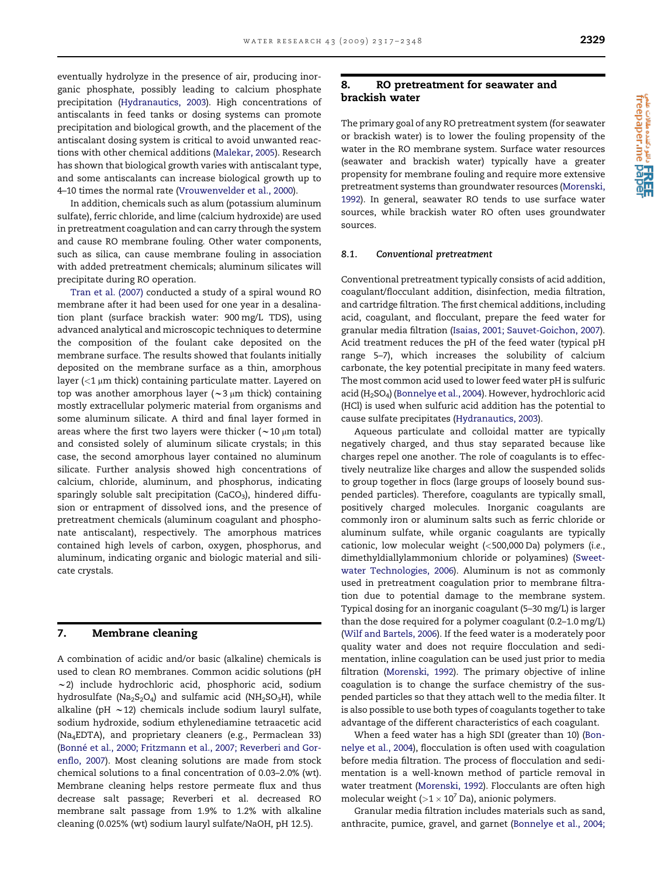eventually hydrolyze in the presence of air, producing inorganic phosphate, possibly leading to calcium phosphate precipitation [\(Hydranautics, 2003\)](#page-28-0). High concentrations of antiscalants in feed tanks or dosing systems can promote precipitation and biological growth, and the placement of the antiscalant dosing system is critical to avoid unwanted reactions with other chemical additions [\(Malekar, 2005\)](#page-28-0). Research has shown that biological growth varies with antiscalant type, and some antiscalants can increase biological growth up to 4–10 times the normal rate ([Vrouwenvelder et al., 2000](#page-31-0)).

In addition, chemicals such as alum (potassium aluminum sulfate), ferric chloride, and lime (calcium hydroxide) are used in pretreatment coagulation and can carry through the system and cause RO membrane fouling. Other water components, such as silica, can cause membrane fouling in association with added pretreatment chemicals; aluminum silicates will precipitate during RO operation.

[Tran et al. \(2007\)](#page-30-0) conducted a study of a spiral wound RO membrane after it had been used for one year in a desalination plant (surface brackish water: 900 mg/L TDS), using advanced analytical and microscopic techniques to determine the composition of the foulant cake deposited on the membrane surface. The results showed that foulants initially deposited on the membrane surface as a thin, amorphous layer ( $<$ 1 µm thick) containing particulate matter. Layered on top was another amorphous layer ( $\sim$ 3 µm thick) containing mostly extracellular polymeric material from organisms and some aluminum silicate. A third and final layer formed in areas where the first two layers were thicker ( $\sim$ 10  $\mu$ m total) and consisted solely of aluminum silicate crystals; in this case, the second amorphous layer contained no aluminum silicate. Further analysis showed high concentrations of calcium, chloride, aluminum, and phosphorus, indicating sparingly soluble salt precipitation (CaCO<sub>3</sub>), hindered diffusion or entrapment of dissolved ions, and the presence of pretreatment chemicals (aluminum coagulant and phosphonate antiscalant), respectively. The amorphous matrices contained high levels of carbon, oxygen, phosphorus, and aluminum, indicating organic and biologic material and silicate crystals.

# 7. Membrane cleaning

A combination of acidic and/or basic (alkaline) chemicals is used to clean RO membranes. Common acidic solutions (pH  $\sim$ 2) include hydrochloric acid, phosphoric acid, sodium hydrosulfate (Na<sub>2</sub>S<sub>2</sub>O<sub>4</sub>) and sulfamic acid (NH<sub>2</sub>SO<sub>3</sub>H), while alkaline (pH  $\sim$  12) chemicals include sodium lauryl sulfate, sodium hydroxide, sodium ethylenediamine tetraacetic acid (Na4EDTA), and proprietary cleaners (e.g., Permaclean 33) (Bonné [et al., 2000; Fritzmann et al., 2007; Reverberi and Gor](#page-26-0)[enflo, 2007](#page-26-0)). Most cleaning solutions are made from stock chemical solutions to a final concentration of 0.03–2.0% (wt). Membrane cleaning helps restore permeate flux and thus decrease salt passage; Reverberi et al. decreased RO membrane salt passage from 1.9% to 1.2% with alkaline cleaning (0.025% (wt) sodium lauryl sulfate/NaOH, pH 12.5).

# 8. RO pretreatment for seawater and brackish water

The primary goal of any RO pretreatment system (for seawater or brackish water) is to lower the fouling propensity of the water in the RO membrane system. Surface water resources (seawater and brackish water) typically have a greater propensity for membrane fouling and require more extensive pretreatment systems than groundwater resources [\(Morenski,](#page-29-0) [1992](#page-29-0)). In general, seawater RO tends to use surface water sources, while brackish water RO often uses groundwater sources.

#### 8.1. Conventional pretreatment

Conventional pretreatment typically consists of acid addition, coagulant/flocculant addition, disinfection, media filtration, and cartridge filtration. The first chemical additions, including acid, coagulant, and flocculant, prepare the feed water for granular media filtration [\(Isaias, 2001; Sauvet-Goichon, 2007](#page-28-0)). Acid treatment reduces the pH of the feed water (typical pH range 5–7), which increases the solubility of calcium carbonate, the key potential precipitate in many feed waters. The most common acid used to lower feed water pH is sulfuric acid (H2SO4) [\(Bonnelye et al., 2004](#page-26-0)). However, hydrochloric acid (HCl) is used when sulfuric acid addition has the potential to cause sulfate precipitates ([Hydranautics, 2003](#page-28-0)).

Aqueous particulate and colloidal matter are typically negatively charged, and thus stay separated because like charges repel one another. The role of coagulants is to effectively neutralize like charges and allow the suspended solids to group together in flocs (large groups of loosely bound suspended particles). Therefore, coagulants are typically small, positively charged molecules. Inorganic coagulants are commonly iron or aluminum salts such as ferric chloride or aluminum sulfate, while organic coagulants are typically cationic, low molecular weight (<500,000 Da) polymers (i.e., dimethyldiallylammonium chloride or polyamines) [\(Sweet](#page-30-0)[water Technologies, 2006\)](#page-30-0). Aluminum is not as commonly used in pretreatment coagulation prior to membrane filtration due to potential damage to the membrane system. Typical dosing for an inorganic coagulant (5–30 mg/L) is larger than the dose required for a polymer coagulant (0.2–1.0 mg/L) [\(Wilf and Bartels, 2006\)](#page-31-0). If the feed water is a moderately poor quality water and does not require flocculation and sedimentation, inline coagulation can be used just prior to media filtration ([Morenski, 1992\)](#page-29-0). The primary objective of inline coagulation is to change the surface chemistry of the suspended particles so that they attach well to the media filter. It is also possible to use both types of coagulants together to take advantage of the different characteristics of each coagulant.

When a feed water has a high SDI (greater than 10) ([Bon](#page-26-0)[nelye et al., 2004\)](#page-26-0), flocculation is often used with coagulation before media filtration. The process of flocculation and sedimentation is a well-known method of particle removal in water treatment ([Morenski, 1992](#page-29-0)). Flocculants are often high molecular weight  $(>1 \times 10^7$  Da), anionic polymers.

Granular media filtration includes materials such as sand, anthracite, pumice, gravel, and garnet ([Bonnelye et al., 2004;](#page-26-0)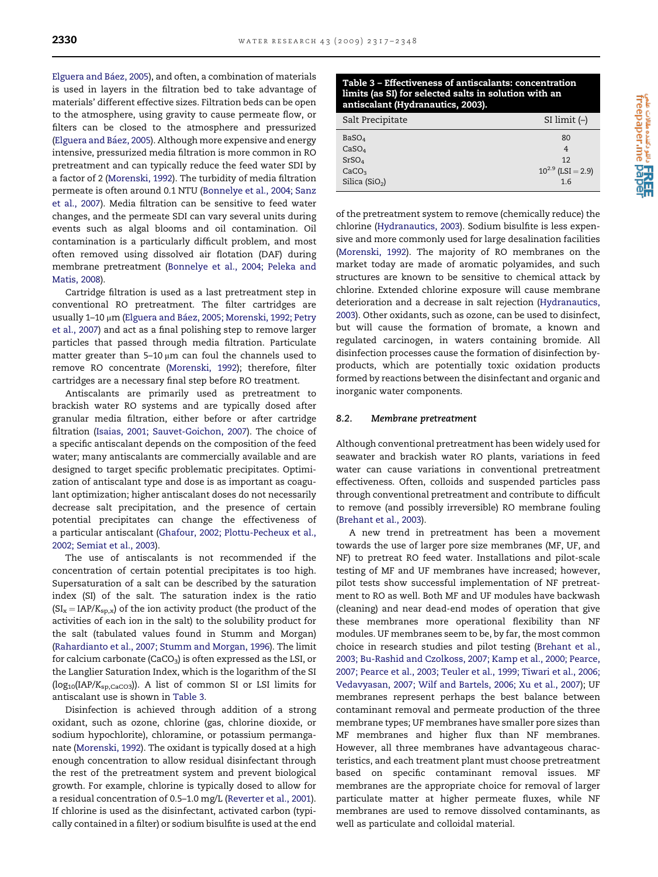Elguera and Báez, 2005), and often, a combination of materials is used in layers in the filtration bed to take advantage of materials' different effective sizes. Filtration beds can be open to the atmosphere, using gravity to cause permeate flow, or filters can be closed to the atmosphere and pressurized (Elguera and Báez, 2005). Although more expensive and energy intensive, pressurized media filtration is more common in RO pretreatment and can typically reduce the feed water SDI by a factor of 2 ([Morenski, 1992](#page-29-0)). The turbidity of media filtration permeate is often around 0.1 NTU ([Bonnelye et al., 2004; Sanz](#page-26-0) [et al., 2007\)](#page-26-0). Media filtration can be sensitive to feed water changes, and the permeate SDI can vary several units during events such as algal blooms and oil contamination. Oil contamination is a particularly difficult problem, and most often removed using dissolved air flotation (DAF) during membrane pretreatment [\(Bonnelye et al., 2004; Peleka and](#page-26-0) [Matis, 2008\)](#page-26-0).

Cartridge filtration is used as a last pretreatment step in conventional RO pretreatment. The filter cartridges are usually 1-10 µm (Elguera and Báez, 2005; Morenski, 1992; Petry [et al., 2007\)](#page-27-0) and act as a final polishing step to remove larger particles that passed through media filtration. Particulate matter greater than 5-10  $\mu$ m can foul the channels used to remove RO concentrate ([Morenski, 1992](#page-29-0)); therefore, filter cartridges are a necessary final step before RO treatment.

Antiscalants are primarily used as pretreatment to brackish water RO systems and are typically dosed after granular media filtration, either before or after cartridge filtration [\(Isaias, 2001; Sauvet-Goichon, 2007](#page-28-0)). The choice of a specific antiscalant depends on the composition of the feed water; many antiscalants are commercially available and are designed to target specific problematic precipitates. Optimization of antiscalant type and dose is as important as coagulant optimization; higher antiscalant doses do not necessarily decrease salt precipitation, and the presence of certain potential precipitates can change the effectiveness of a particular antiscalant [\(Ghafour, 2002; Plottu-Pecheux et al.,](#page-27-0) [2002; Semiat et al., 2003](#page-27-0)).

The use of antiscalants is not recommended if the concentration of certain potential precipitates is too high. Supersaturation of a salt can be described by the saturation index (SI) of the salt. The saturation index is the ratio  $(SI_x = IAP/K_{sp,x})$  of the ion activity product (the product of the activities of each ion in the salt) to the solubility product for the salt (tabulated values found in Stumm and Morgan) ([Rahardianto et al., 2007; Stumm and Morgan, 1996](#page-29-0)). The limit for calcium carbonate (CaCO<sub>3</sub>) is often expressed as the LSI, or the Langlier Saturation Index, which is the logarithm of the SI  $(log_{10}(IAP/K_{sp,CaCO3})$ ). A list of common SI or LSI limits for antiscalant use is shown in Table 3.

Disinfection is achieved through addition of a strong oxidant, such as ozone, chlorine (gas, chlorine dioxide, or sodium hypochlorite), chloramine, or potassium permanganate [\(Morenski, 1992](#page-29-0)). The oxidant is typically dosed at a high enough concentration to allow residual disinfectant through the rest of the pretreatment system and prevent biological growth. For example, chlorine is typically dosed to allow for a residual concentration of 0.5–1.0 mg/L [\(Reverter et al., 2001\)](#page-29-0). If chlorine is used as the disinfectant, activated carbon (typically contained in a filter) or sodium bisulfite is used at the end

| Table 3 – Effectiveness of antiscalants: concentration |                                    |
|--------------------------------------------------------|------------------------------------|
| limits (as SI) for selected salts in solution with an  |                                    |
| antiscalant (Hydranautics, 2003).                      |                                    |
| $\sim$ 1. $\sim$ $\sim$ $\sim$ $\sim$                  | $\sim$ $\sim$ $\sim$ $\sim$ $\sim$ |

| Salt Precipitate  | $SI$ limit $(-)$       |
|-------------------|------------------------|
| BaSO <sub>4</sub> | 80                     |
| CaSO <sub>4</sub> | $\overline{4}$         |
| SrSO <sub>4</sub> | 12                     |
| CaCO <sub>3</sub> | $10^{2.9}$ (LSI = 2.9) |
| Silica $(SiO2)$   | 1.6                    |
|                   |                        |

of the pretreatment system to remove (chemically reduce) the chlorine ([Hydranautics, 2003](#page-28-0)). Sodium bisulfite is less expensive and more commonly used for large desalination facilities ([Morenski, 1992\)](#page-29-0). The majority of RO membranes on the market today are made of aromatic polyamides, and such structures are known to be sensitive to chemical attack by chlorine. Extended chlorine exposure will cause membrane deterioration and a decrease in salt rejection ([Hydranautics,](#page-28-0) [2003\)](#page-28-0). Other oxidants, such as ozone, can be used to disinfect, but will cause the formation of bromate, a known and regulated carcinogen, in waters containing bromide. All disinfection processes cause the formation of disinfection byproducts, which are potentially toxic oxidation products formed by reactions between the disinfectant and organic and inorganic water components.

#### 8.2. Membrane pretreatment

Although conventional pretreatment has been widely used for seawater and brackish water RO plants, variations in feed water can cause variations in conventional pretreatment effectiveness. Often, colloids and suspended particles pass through conventional pretreatment and contribute to difficult to remove (and possibly irreversible) RO membrane fouling ([Brehant et al., 2003](#page-26-0)).

A new trend in pretreatment has been a movement towards the use of larger pore size membranes (MF, UF, and NF) to pretreat RO feed water. Installations and pilot-scale testing of MF and UF membranes have increased; however, pilot tests show successful implementation of NF pretreatment to RO as well. Both MF and UF modules have backwash (cleaning) and near dead-end modes of operation that give these membranes more operational flexibility than NF modules. UF membranes seem to be, by far, the most common choice in research studies and pilot testing [\(Brehant et al.,](#page-26-0) [2003; Bu-Rashid and Czolkoss, 2007; Kamp et al., 2000; Pearce,](#page-26-0) [2007; Pearce et al., 2003; Teuler et al., 1999; Tiwari et al., 2006;](#page-26-0) [Vedavyasan, 2007; Wilf and Bartels, 2006; Xu et al., 2007](#page-26-0)); UF membranes represent perhaps the best balance between contaminant removal and permeate production of the three membrane types; UF membranes have smaller pore sizes than MF membranes and higher flux than NF membranes. However, all three membranes have advantageous characteristics, and each treatment plant must choose pretreatment based on specific contaminant removal issues. MF membranes are the appropriate choice for removal of larger particulate matter at higher permeate fluxes, while NF membranes are used to remove dissolved contaminants, as well as particulate and colloidal material.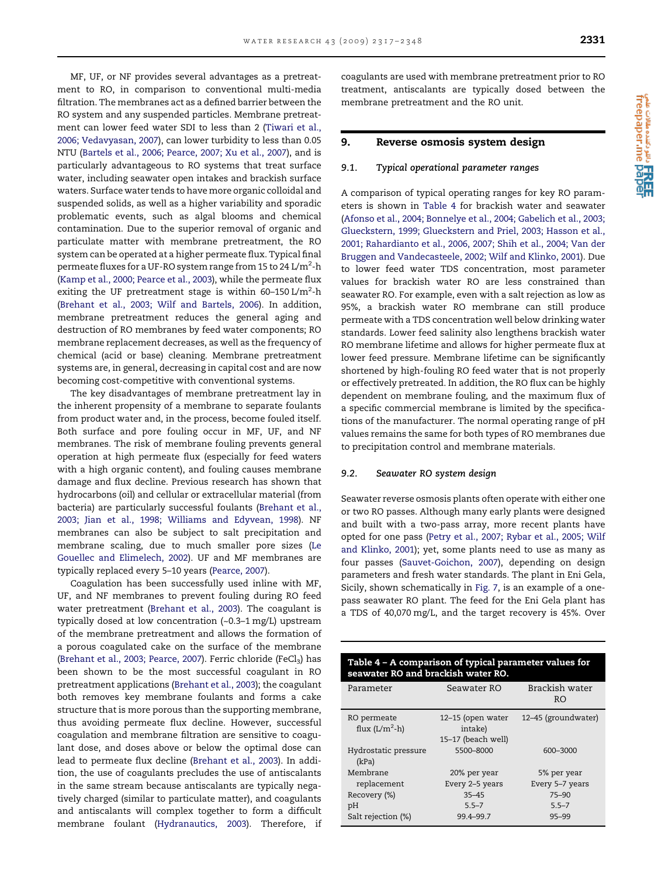MF, UF, or NF provides several advantages as a pretreatment to RO, in comparison to conventional multi-media filtration. The membranes act as a defined barrier between the RO system and any suspended particles. Membrane pretreatment can lower feed water SDI to less than 2 [\(Tiwari et al.,](#page-30-0) [2006; Vedavyasan, 2007](#page-30-0)), can lower turbidity to less than 0.05 NTU ([Bartels et al., 2006; Pearce, 2007; Xu et al., 2007\)](#page-26-0), and is particularly advantageous to RO systems that treat surface water, including seawater open intakes and brackish surface waters. Surface water tends to have more organic colloidal and suspended solids, as well as a higher variability and sporadic problematic events, such as algal blooms and chemical contamination. Due to the superior removal of organic and particulate matter with membrane pretreatment, the RO system can be operated at a higher permeate flux. Typical final permeate fluxes for a UF-RO system range from 15 to 24 L/m $^2\text{-}\mathrm{h}$ [\(Kamp et al., 2000; Pearce et al., 2003\)](#page-28-0), while the permeate flux exiting the UF pretreatment stage is within 60–150 L/m<sup>2</sup>-h [\(Brehant et al., 2003; Wilf and Bartels, 2006](#page-26-0)). In addition, membrane pretreatment reduces the general aging and destruction of RO membranes by feed water components; RO membrane replacement decreases, as well as the frequency of chemical (acid or base) cleaning. Membrane pretreatment systems are, in general, decreasing in capital cost and are now becoming cost-competitive with conventional systems.

The key disadvantages of membrane pretreatment lay in the inherent propensity of a membrane to separate foulants from product water and, in the process, become fouled itself. Both surface and pore fouling occur in MF, UF, and NF membranes. The risk of membrane fouling prevents general operation at high permeate flux (especially for feed waters with a high organic content), and fouling causes membrane damage and flux decline. Previous research has shown that hydrocarbons (oil) and cellular or extracellular material (from bacteria) are particularly successful foulants ([Brehant et al.,](#page-26-0) [2003; Jian et al., 1998; Williams and Edyvean, 1998](#page-26-0)). NF membranes can also be subject to salt precipitation and membrane scaling, due to much smaller pore sizes [\(Le](#page-28-0) [Gouellec and Elimelech, 2002](#page-28-0)). UF and MF membranes are typically replaced every 5–10 years [\(Pearce, 2007\)](#page-29-0).

Coagulation has been successfully used inline with MF, UF, and NF membranes to prevent fouling during RO feed water pretreatment [\(Brehant et al., 2003](#page-26-0)). The coagulant is typically dosed at low concentration (~0.3–1 mg/L) upstream of the membrane pretreatment and allows the formation of a porous coagulated cake on the surface of the membrane [\(Brehant et al., 2003; Pearce, 2007\)](#page-26-0). Ferric chloride (FeCl3) has been shown to be the most successful coagulant in RO pretreatment applications ([Brehant et al., 2003](#page-26-0)); the coagulant both removes key membrane foulants and forms a cake structure that is more porous than the supporting membrane, thus avoiding permeate flux decline. However, successful coagulation and membrane filtration are sensitive to coagulant dose, and doses above or below the optimal dose can lead to permeate flux decline ([Brehant et al., 2003\)](#page-26-0). In addition, the use of coagulants precludes the use of antiscalants in the same stream because antiscalants are typically negatively charged (similar to particulate matter), and coagulants and antiscalants will complex together to form a difficult membrane foulant [\(Hydranautics, 2003](#page-28-0)). Therefore, if coagulants are used with membrane pretreatment prior to RO treatment, antiscalants are typically dosed between the membrane pretreatment and the RO unit.

#### 9. Reverse osmosis system design

### 9.1. Typical operational parameter ranges

A comparison of typical operating ranges for key RO parameters is shown in Table 4 for brackish water and seawater [\(Afonso et al., 2004; Bonnelye et al., 2004; Gabelich et al., 2003;](#page-26-0) [Glueckstern, 1999; Glueckstern and Priel, 2003; Hasson et al.,](#page-26-0) [2001; Rahardianto et al., 2006, 2007; Shih et al., 2004; Van der](#page-26-0) [Bruggen and Vandecasteele, 2002; Wilf and Klinko, 2001\)](#page-26-0). Due to lower feed water TDS concentration, most parameter values for brackish water RO are less constrained than seawater RO. For example, even with a salt rejection as low as 95%, a brackish water RO membrane can still produce permeate with a TDS concentration well below drinking water standards. Lower feed salinity also lengthens brackish water RO membrane lifetime and allows for higher permeate flux at lower feed pressure. Membrane lifetime can be significantly shortened by high-fouling RO feed water that is not properly or effectively pretreated. In addition, the RO flux can be highly dependent on membrane fouling, and the maximum flux of a specific commercial membrane is limited by the specifications of the manufacturer. The normal operating range of pH values remains the same for both types of RO membranes due to precipitation control and membrane materials.

#### 9.2. Seawater RO system design

Seawater reverse osmosis plants often operate with either one or two RO passes. Although many early plants were designed and built with a two-pass array, more recent plants have opted for one pass [\(Petry et al., 2007; Rybar et al., 2005; Wilf](#page-29-0) [and Klinko, 2001](#page-29-0)); yet, some plants need to use as many as four passes ([Sauvet-Goichon, 2007\)](#page-30-0), depending on design parameters and fresh water standards. The plant in Eni Gela, Sicily, shown schematically in [Fig. 7,](#page-15-0) is an example of a onepass seawater RO plant. The feed for the Eni Gela plant has a TDS of 40,070 mg/L, and the target recovery is 45%. Over

| Table 4 - A comparison of typical parameter values for<br>seawater RO and brackish water RO. |                                                    |                      |  |  |
|----------------------------------------------------------------------------------------------|----------------------------------------------------|----------------------|--|--|
| Parameter                                                                                    | Seawater RO                                        | Brackish water<br>RO |  |  |
| RO permeate<br>flux $(L/m^2-h)$                                                              | 12-15 (open water<br>intake)<br>15-17 (beach well) | 12–45 (groundwater)  |  |  |
| Hydrostatic pressure<br>(kPa)                                                                | 5500-8000                                          | 600-3000             |  |  |
| Membrane                                                                                     | 20% per year                                       | 5% per year          |  |  |
| replacement                                                                                  | Every 2-5 years                                    | Every 5-7 years      |  |  |
| Recovery (%)                                                                                 | $35 - 45$                                          | $75 - 90$            |  |  |
| pH                                                                                           | $5.5 - 7$                                          | $5.5 - 7$            |  |  |
| Salt rejection (%)                                                                           | 99.4-99.7                                          | $95 - 99$            |  |  |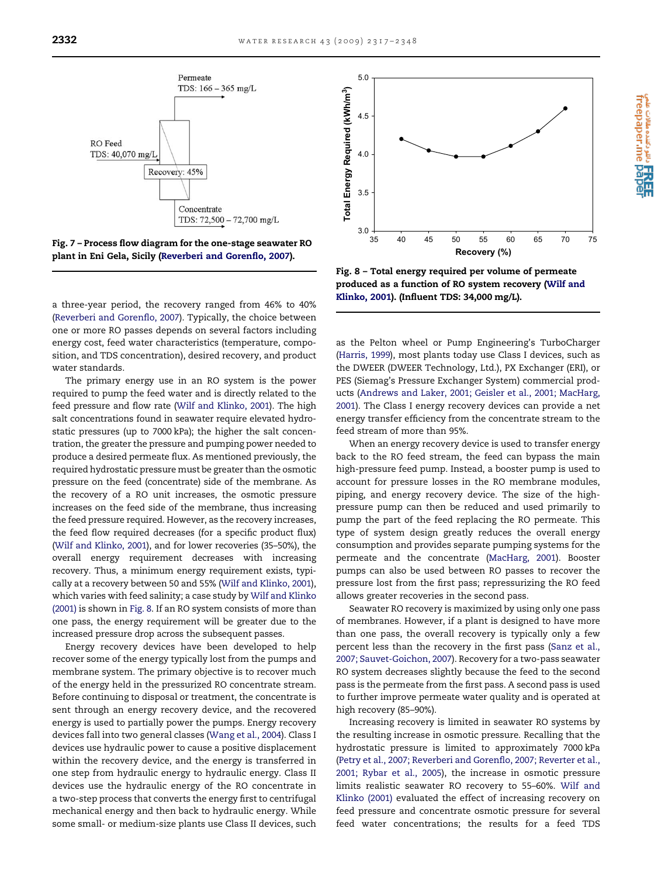**Total Energy Required (kWh/m3)**

**Total Energy Required (kWh/m<sup>3</sup>)** 

3.0

3.5

4.0

4.5

5.0

Permeate TDS:  $166 - 365$  mg/L RO Feed TDS: 40,070 mg/I Recovery: 45% Concentrate TDS: 72,500 72,700 mg/L

Fig. 7 – Process flow diagram for the one-stage seawater RO plant in Eni Gela, Sicily ([Reverberi and Gorenflo, 2007](#page-29-0)).

a three-year period, the recovery ranged from 46% to 40% ([Reverberi and Gorenflo, 2007](#page-29-0)). Typically, the choice between one or more RO passes depends on several factors including energy cost, feed water characteristics (temperature, composition, and TDS concentration), desired recovery, and product water standards.

The primary energy use in an RO system is the power required to pump the feed water and is directly related to the feed pressure and flow rate [\(Wilf and Klinko, 2001\)](#page-31-0). The high salt concentrations found in seawater require elevated hydrostatic pressures (up to 7000 kPa); the higher the salt concentration, the greater the pressure and pumping power needed to produce a desired permeate flux. As mentioned previously, the required hydrostatic pressure must be greater than the osmotic pressure on the feed (concentrate) side of the membrane. As the recovery of a RO unit increases, the osmotic pressure increases on the feed side of the membrane, thus increasing the feed pressure required. However, as the recovery increases, the feed flow required decreases (for a specific product flux) ([Wilf and Klinko, 2001\)](#page-31-0), and for lower recoveries (35–50%), the overall energy requirement decreases with increasing recovery. Thus, a minimum energy requirement exists, typically at a recovery between 50 and 55% [\(Wilf and Klinko, 2001\)](#page-31-0), which varies with feed salinity; a case study by [Wilf and Klinko](#page-31-0) [\(2001\)](#page-31-0) is shown in Fig. 8. If an RO system consists of more than one pass, the energy requirement will be greater due to the increased pressure drop across the subsequent passes.

Energy recovery devices have been developed to help recover some of the energy typically lost from the pumps and membrane system. The primary objective is to recover much of the energy held in the pressurized RO concentrate stream. Before continuing to disposal or treatment, the concentrate is sent through an energy recovery device, and the recovered energy is used to partially power the pumps. Energy recovery devices fall into two general classes ([Wang et al., 2004\)](#page-31-0). Class I devices use hydraulic power to cause a positive displacement within the recovery device, and the energy is transferred in one step from hydraulic energy to hydraulic energy. Class II devices use the hydraulic energy of the RO concentrate in a two-step process that converts the energy first to centrifugal mechanical energy and then back to hydraulic energy. While some small- or medium-size plants use Class II devices, such



**Recovery (%)** 35 40 45 50 55 60 65 70 75

Fig. 8 – Total energy required per volume of permeate produced as a function of RO system recovery ([Wilf and](#page-31-0)

[Klinko, 2001](#page-31-0)). (Influent TDS: 34,000 mg/L).

When an energy recovery device is used to transfer energy back to the RO feed stream, the feed can bypass the main high-pressure feed pump. Instead, a booster pump is used to account for pressure losses in the RO membrane modules, piping, and energy recovery device. The size of the highpressure pump can then be reduced and used primarily to pump the part of the feed replacing the RO permeate. This type of system design greatly reduces the overall energy consumption and provides separate pumping systems for the permeate and the concentrate ([MacHarg, 2001](#page-28-0)). Booster pumps can also be used between RO passes to recover the pressure lost from the first pass; repressurizing the RO feed allows greater recoveries in the second pass.

Seawater RO recovery is maximized by using only one pass of membranes. However, if a plant is designed to have more than one pass, the overall recovery is typically only a few percent less than the recovery in the first pass ([Sanz et al.,](#page-30-0) [2007; Sauvet-Goichon, 2007](#page-30-0)). Recovery for a two-pass seawater RO system decreases slightly because the feed to the second pass is the permeate from the first pass. A second pass is used to further improve permeate water quality and is operated at high recovery (85–90%).

Increasing recovery is limited in seawater RO systems by the resulting increase in osmotic pressure. Recalling that the hydrostatic pressure is limited to approximately 7000 kPa ([Petry et al., 2007; Reverberi and Gorenflo, 2007; Reverter et al.,](#page-29-0) [2001; Rybar et al., 2005\)](#page-29-0), the increase in osmotic pressure limits realistic seawater RO recovery to 55–60%. [Wilf and](#page-31-0) [Klinko \(2001\)](#page-31-0) evaluated the effect of increasing recovery on feed pressure and concentrate osmotic pressure for several feed water concentrations; the results for a feed TDS

<span id="page-15-0"></span>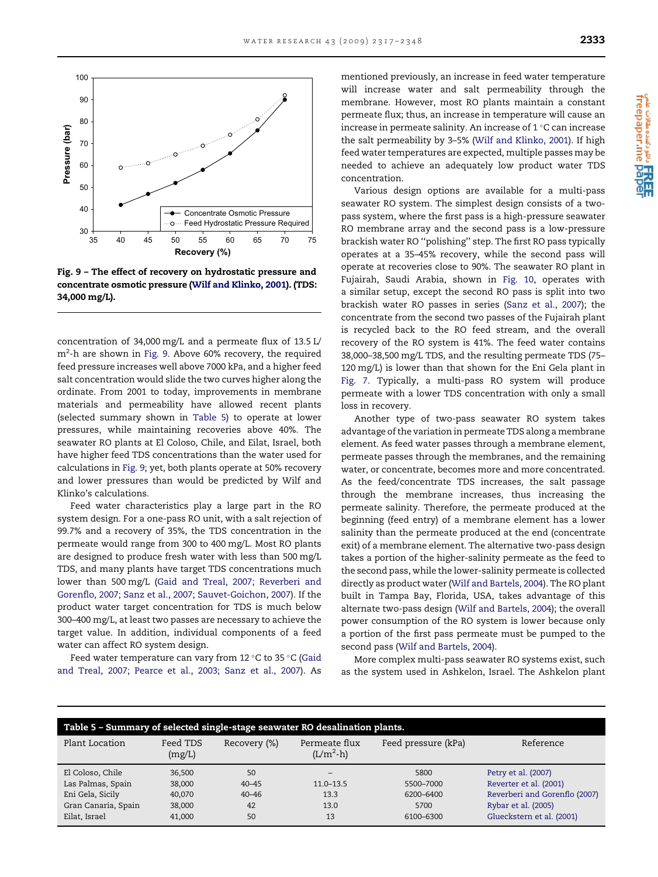

Fig. 9 – The effect of recovery on hydrostatic pressure and concentrate osmotic pressure ([Wilf and Klinko, 2001](#page-31-0)). (TDS: 34,000 mg/L).

concentration of 34,000 mg/L and a permeate flux of 13.5 L/ m2 -h are shown in Fig. 9. Above 60% recovery, the required feed pressure increases well above 7000 kPa, and a higher feed salt concentration would slide the two curves higher along the ordinate. From 2001 to today, improvements in membrane materials and permeability have allowed recent plants (selected summary shown in Table 5) to operate at lower pressures, while maintaining recoveries above 40%. The seawater RO plants at El Coloso, Chile, and Eilat, Israel, both have higher feed TDS concentrations than the water used for calculations in Fig. 9; yet, both plants operate at 50% recovery and lower pressures than would be predicted by Wilf and Klinko's calculations.

Feed water characteristics play a large part in the RO system design. For a one-pass RO unit, with a salt rejection of 99.7% and a recovery of 35%, the TDS concentration in the permeate would range from 300 to 400 mg/L. Most RO plants are designed to produce fresh water with less than 500 mg/L TDS, and many plants have target TDS concentrations much lower than 500 mg/L ([Gaid and Treal, 2007; Reverberi and](#page-27-0) [Gorenflo, 2007; Sanz et al., 2007; Sauvet-Goichon, 2007](#page-27-0)). If the product water target concentration for TDS is much below 300–400 mg/L, at least two passes are necessary to achieve the target value. In addition, individual components of a feed water can affect RO system design.

Feed water temperature can vary from 12 °C to 35 °C [\(Gaid](#page-27-0) [and Treal, 2007; Pearce et al., 2003; Sanz et al., 2007](#page-27-0)). As mentioned previously, an increase in feed water temperature will increase water and salt permeability through the membrane. However, most RO plants maintain a constant permeate flux; thus, an increase in temperature will cause an increase in permeate salinity. An increase of 1  $^{\circ}$ C can increase the salt permeability by 3–5% [\(Wilf and Klinko, 2001\)](#page-31-0). If high feed water temperatures are expected, multiple passes may be needed to achieve an adequately low product water TDS concentration.

Various design options are available for a multi-pass seawater RO system. The simplest design consists of a twopass system, where the first pass is a high-pressure seawater RO membrane array and the second pass is a low-pressure brackish water RO ''polishing'' step. The first RO pass typically operates at a 35–45% recovery, while the second pass will operate at recoveries close to 90%. The seawater RO plant in Fujairah, Saudi Arabia, shown in [Fig. 10](#page-17-0), operates with a similar setup, except the second RO pass is split into two brackish water RO passes in series ([Sanz et al., 2007](#page-30-0)); the concentrate from the second two passes of the Fujairah plant is recycled back to the RO feed stream, and the overall recovery of the RO system is 41%. The feed water contains 38,000–38,500 mg/L TDS, and the resulting permeate TDS (75– 120 mg/L) is lower than that shown for the Eni Gela plant in [Fig. 7](#page-15-0). Typically, a multi-pass RO system will produce permeate with a lower TDS concentration with only a small loss in recovery.

Another type of two-pass seawater RO system takes advantage of the variation in permeate TDS along a membrane element. As feed water passes through a membrane element, permeate passes through the membranes, and the remaining water, or concentrate, becomes more and more concentrated. As the feed/concentrate TDS increases, the salt passage through the membrane increases, thus increasing the permeate salinity. Therefore, the permeate produced at the beginning (feed entry) of a membrane element has a lower salinity than the permeate produced at the end (concentrate exit) of a membrane element. The alternative two-pass design takes a portion of the higher-salinity permeate as the feed to the second pass, while the lower-salinity permeate is collected directly as product water ([Wilf and Bartels, 2004\)](#page-31-0). The RO plant built in Tampa Bay, Florida, USA, takes advantage of this alternate two-pass design [\(Wilf and Bartels, 2004](#page-31-0)); the overall power consumption of the RO system is lower because only a portion of the first pass permeate must be pumped to the second pass ([Wilf and Bartels, 2004](#page-31-0)).

More complex multi-pass seawater RO systems exist, such as the system used in Ashkelon, Israel. The Ashkelon plant

| Table 5 - Summary of selected single-stage seawater RO desalination plants. |                    |              |                             |                     |                               |
|-----------------------------------------------------------------------------|--------------------|--------------|-----------------------------|---------------------|-------------------------------|
| Plant Location                                                              | Feed TDS<br>(mg/L) | Recovery (%) | Permeate flux<br>$(L/m2-h)$ | Feed pressure (kPa) | Reference                     |
| El Coloso, Chile                                                            | 36,500             | 50           | $\overline{\phantom{0}}$    | 5800                | Petry et al. (2007)           |
| Las Palmas, Spain                                                           | 38,000             | $40 - 45$    | $11.0 - 13.5$               | 5500-7000           | Reverter et al. (2001)        |
| Eni Gela, Sicily                                                            | 40,070             | $40 - 46$    | 13.3                        | 6200-6400           | Reverberi and Gorenflo (2007) |
| Gran Canaria, Spain                                                         | 38,000             | 42           | 13.0                        | 5700                | Rybar et al. (2005)           |
| Eilat, Israel                                                               | 41,000             | 50           | 13                          | 6100-6300           | Glueckstern et al. (2001)     |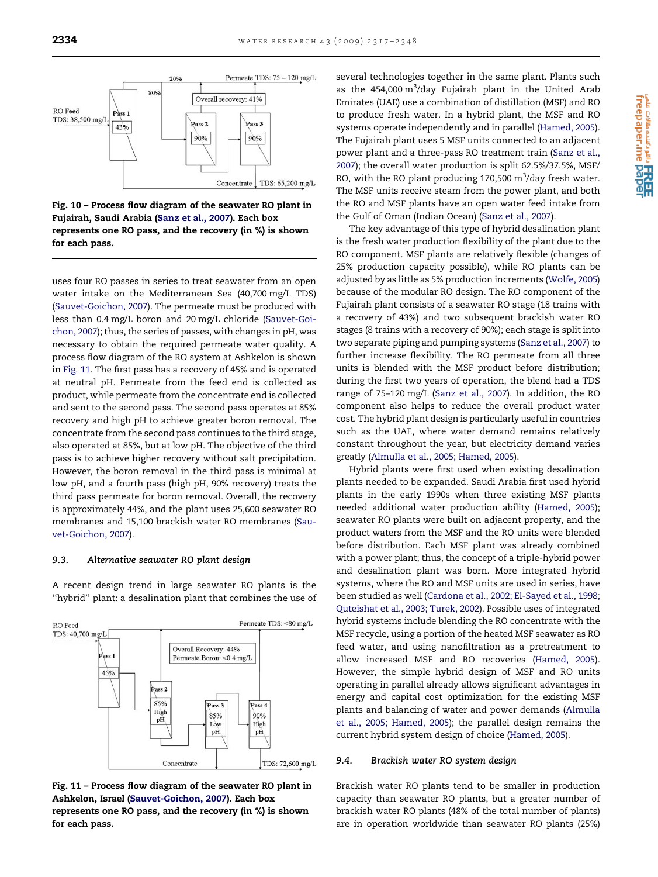<span id="page-17-0"></span>

Fig. 10 – Process flow diagram of the seawater RO plant in Fujairah, Saudi Arabia ([Sanz et al., 2007](#page-30-0)). Each box represents one RO pass, and the recovery (in %) is shown for each pass.

uses four RO passes in series to treat seawater from an open water intake on the Mediterranean Sea (40,700 mg/L TDS) ([Sauvet-Goichon, 2007\)](#page-30-0). The permeate must be produced with less than 0.4 mg/L boron and 20 mg/L chloride ([Sauvet-Goi](#page-30-0)[chon, 2007](#page-30-0)); thus, the series of passes, with changes in pH, was necessary to obtain the required permeate water quality. A process flow diagram of the RO system at Ashkelon is shown in Fig. 11. The first pass has a recovery of 45% and is operated at neutral pH. Permeate from the feed end is collected as product, while permeate from the concentrate end is collected and sent to the second pass. The second pass operates at 85% recovery and high pH to achieve greater boron removal. The concentrate from the second pass continues to the third stage, also operated at 85%, but at low pH. The objective of the third pass is to achieve higher recovery without salt precipitation. However, the boron removal in the third pass is minimal at low pH, and a fourth pass (high pH, 90% recovery) treats the third pass permeate for boron removal. Overall, the recovery is approximately 44%, and the plant uses 25,600 seawater RO membranes and 15,100 brackish water RO membranes ([Sau](#page-30-0)[vet-Goichon, 2007](#page-30-0)).

#### 9.3. Alternative seawater RO plant design

A recent design trend in large seawater RO plants is the ''hybrid'' plant: a desalination plant that combines the use of



Fig. 11 – Process flow diagram of the seawater RO plant in Ashkelon, Israel ([Sauvet-Goichon, 2007](#page-30-0)). Each box represents one RO pass, and the recovery (in %) is shown for each pass.

several technologies together in the same plant. Plants such as the  $454,000 \text{ m}^3/\text{day}$  Fujairah plant in the United Arab Emirates (UAE) use a combination of distillation (MSF) and RO to produce fresh water. In a hybrid plant, the MSF and RO systems operate independently and in parallel ([Hamed, 2005\)](#page-28-0). The Fujairah plant uses 5 MSF units connected to an adjacent power plant and a three-pass RO treatment train ([Sanz et al.,](#page-30-0) [2007\)](#page-30-0); the overall water production is split 62.5%/37.5%, MSF/ RO, with the RO plant producing 170,500  $\mathrm{m}^3/\mathrm{day}$  fresh water. The MSF units receive steam from the power plant, and both the RO and MSF plants have an open water feed intake from the Gulf of Oman (Indian Ocean) [\(Sanz et al., 2007\)](#page-30-0).

The key advantage of this type of hybrid desalination plant is the fresh water production flexibility of the plant due to the RO component. MSF plants are relatively flexible (changes of 25% production capacity possible), while RO plants can be adjusted by as little as 5% production increments [\(Wolfe, 2005\)](#page-31-0) because of the modular RO design. The RO component of the Fujairah plant consists of a seawater RO stage (18 trains with a recovery of 43%) and two subsequent brackish water RO stages (8 trains with a recovery of 90%); each stage is split into two separate piping and pumping systems [\(Sanz et al., 2007](#page-30-0)) to further increase flexibility. The RO permeate from all three units is blended with the MSF product before distribution; during the first two years of operation, the blend had a TDS range of 75–120 mg/L ([Sanz et al., 2007](#page-30-0)). In addition, the RO component also helps to reduce the overall product water cost. The hybrid plant design is particularly useful in countries such as the UAE, where water demand remains relatively constant throughout the year, but electricity demand varies greatly [\(Almulla et al., 2005; Hamed, 2005\)](#page-26-0).

Hybrid plants were first used when existing desalination plants needed to be expanded. Saudi Arabia first used hybrid plants in the early 1990s when three existing MSF plants needed additional water production ability [\(Hamed, 2005\)](#page-28-0); seawater RO plants were built on adjacent property, and the product waters from the MSF and the RO units were blended before distribution. Each MSF plant was already combined with a power plant; thus, the concept of a triple-hybrid power and desalination plant was born. More integrated hybrid systems, where the RO and MSF units are used in series, have been studied as well ([Cardona et al., 2002; El-Sayed et al., 1998;](#page-27-0) [Quteishat et al., 2003; Turek, 2002](#page-27-0)). Possible uses of integrated hybrid systems include blending the RO concentrate with the MSF recycle, using a portion of the heated MSF seawater as RO feed water, and using nanofiltration as a pretreatment to allow increased MSF and RO recoveries ([Hamed, 2005\)](#page-28-0). However, the simple hybrid design of MSF and RO units operating in parallel already allows significant advantages in energy and capital cost optimization for the existing MSF plants and balancing of water and power demands [\(Almulla](#page-26-0) [et al., 2005; Hamed, 2005\)](#page-26-0); the parallel design remains the current hybrid system design of choice ([Hamed, 2005\)](#page-28-0).

#### 9.4. Brackish water RO system design

Brackish water RO plants tend to be smaller in production capacity than seawater RO plants, but a greater number of brackish water RO plants (48% of the total number of plants) are in operation worldwide than seawater RO plants (25%)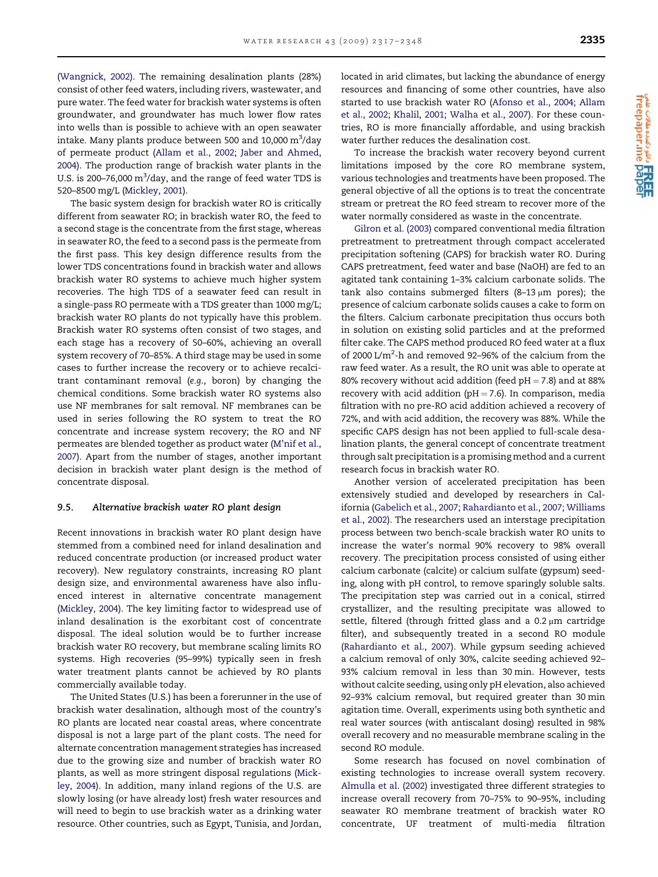[\(Wangnick, 2002\)](#page-31-0). The remaining desalination plants (28%) consist of other feed waters, including rivers, wastewater, and pure water. The feed water for brackish water systems is often groundwater, and groundwater has much lower flow rates into wells than is possible to achieve with an open seawater intake. Many plants produce between 500 and 10,000  $\mathrm{m}^3\!/\mathrm{day}$ of permeate product ([Allam et al., 2002; Jaber and Ahmed,](#page-26-0) [2004](#page-26-0)). The production range of brackish water plants in the U.S. is 200–76,000  $\mathrm{m}^3/\mathrm{day}$ , and the range of feed water TDS is 520–8500 mg/L [\(Mickley, 2001](#page-29-0)).

The basic system design for brackish water RO is critically different from seawater RO; in brackish water RO, the feed to a second stage is the concentrate from the first stage, whereas in seawater RO, the feed to a second pass is the permeate from the first pass. This key design difference results from the lower TDS concentrations found in brackish water and allows brackish water RO systems to achieve much higher system recoveries. The high TDS of a seawater feed can result in a single-pass RO permeate with a TDS greater than 1000 mg/L; brackish water RO plants do not typically have this problem. Brackish water RO systems often consist of two stages, and each stage has a recovery of 50–60%, achieving an overall system recovery of 70–85%. A third stage may be used in some cases to further increase the recovery or to achieve recalcitrant contaminant removal (e.g., boron) by changing the chemical conditions. Some brackish water RO systems also use NF membranes for salt removal. NF membranes can be used in series following the RO system to treat the RO concentrate and increase system recovery; the RO and NF permeates are blended together as product water [\(M'nif et al.,](#page-28-0) [2007](#page-28-0)). Apart from the number of stages, another important decision in brackish water plant design is the method of concentrate disposal.

#### 9.5. Alternative brackish water RO plant design

Recent innovations in brackish water RO plant design have stemmed from a combined need for inland desalination and reduced concentrate production (or increased product water recovery). New regulatory constraints, increasing RO plant design size, and environmental awareness have also influenced interest in alternative concentrate management [\(Mickley, 2004](#page-29-0)). The key limiting factor to widespread use of inland desalination is the exorbitant cost of concentrate disposal. The ideal solution would be to further increase brackish water RO recovery, but membrane scaling limits RO systems. High recoveries (95–99%) typically seen in fresh water treatment plants cannot be achieved by RO plants commercially available today.

The United States (U.S.) has been a forerunner in the use of brackish water desalination, although most of the country's RO plants are located near coastal areas, where concentrate disposal is not a large part of the plant costs. The need for alternate concentration management strategies has increased due to the growing size and number of brackish water RO plants, as well as more stringent disposal regulations [\(Mick](#page-29-0)[ley, 2004\)](#page-29-0). In addition, many inland regions of the U.S. are slowly losing (or have already lost) fresh water resources and will need to begin to use brackish water as a drinking water resource. Other countries, such as Egypt, Tunisia, and Jordan,

located in arid climates, but lacking the abundance of energy resources and financing of some other countries, have also started to use brackish water RO ([Afonso et al., 2004; Allam](#page-26-0) [et al., 2002; Khalil, 2001; Walha et al., 2007](#page-26-0)). For these countries, RO is more financially affordable, and using brackish water further reduces the desalination cost.

To increase the brackish water recovery beyond current limitations imposed by the core RO membrane system, various technologies and treatments have been proposed. The general objective of all the options is to treat the concentrate stream or pretreat the RO feed stream to recover more of the water normally considered as waste in the concentrate.

[Gilron et al. \(2003\)](#page-27-0) compared conventional media filtration pretreatment to pretreatment through compact accelerated precipitation softening (CAPS) for brackish water RO. During CAPS pretreatment, feed water and base (NaOH) are fed to an agitated tank containing 1–3% calcium carbonate solids. The tank also contains submerged filters  $(8-13 \mu m)$  pores); the presence of calcium carbonate solids causes a cake to form on the filters. Calcium carbonate precipitation thus occurs both in solution on existing solid particles and at the preformed filter cake. The CAPS method produced RO feed water at a flux of 2000 L/m<sup>2</sup>-h and removed 92–96% of the calcium from the raw feed water. As a result, the RO unit was able to operate at 80% recovery without acid addition (feed  $pH = 7.8$ ) and at 88% recovery with acid addition ( $pH = 7.6$ ). In comparison, media filtration with no pre-RO acid addition achieved a recovery of 72%, and with acid addition, the recovery was 88%. While the specific CAPS design has not been applied to full-scale desalination plants, the general concept of concentrate treatment through salt precipitation is a promising method and a current research focus in brackish water RO.

Another version of accelerated precipitation has been extensively studied and developed by researchers in California [\(Gabelich et al., 2007; Rahardianto et al., 2007; Williams](#page-27-0) [et al., 2002](#page-27-0)). The researchers used an interstage precipitation process between two bench-scale brackish water RO units to increase the water's normal 90% recovery to 98% overall recovery. The precipitation process consisted of using either calcium carbonate (calcite) or calcium sulfate (gypsum) seeding, along with pH control, to remove sparingly soluble salts. The precipitation step was carried out in a conical, stirred crystallizer, and the resulting precipitate was allowed to settle, filtered (through fritted glass and a  $0.2 \mu m$  cartridge filter), and subsequently treated in a second RO module [\(Rahardianto et al., 2007](#page-29-0)). While gypsum seeding achieved a calcium removal of only 30%, calcite seeding achieved 92– 93% calcium removal in less than 30 min. However, tests without calcite seeding, using only pH elevation, also achieved 92–93% calcium removal, but required greater than 30 min agitation time. Overall, experiments using both synthetic and real water sources (with antiscalant dosing) resulted in 98% overall recovery and no measurable membrane scaling in the second RO module.

Some research has focused on novel combination of existing technologies to increase overall system recovery. [Almulla et al. \(2002\)](#page-26-0) investigated three different strategies to increase overall recovery from 70–75% to 90–95%, including seawater RO membrane treatment of brackish water RO concentrate, UF treatment of multi-media filtration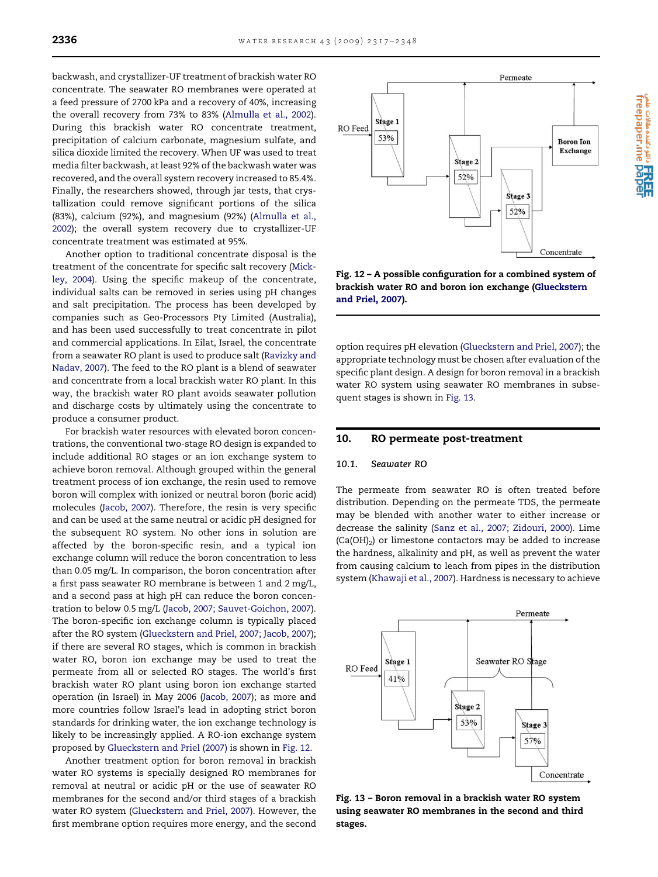backwash, and crystallizer-UF treatment of brackish water RO concentrate. The seawater RO membranes were operated at a feed pressure of 2700 kPa and a recovery of 40%, increasing the overall recovery from 73% to 83% ([Almulla et al., 2002\)](#page-26-0). During this brackish water RO concentrate treatment, precipitation of calcium carbonate, magnesium sulfate, and silica dioxide limited the recovery. When UF was used to treat media filter backwash, at least 92% of the backwash water was recovered, and the overall system recovery increased to 85.4%. Finally, the researchers showed, through jar tests, that crystallization could remove significant portions of the silica (83%), calcium (92%), and magnesium (92%) [\(Almulla et al.,](#page-26-0) [2002\)](#page-26-0); the overall system recovery due to crystallizer-UF concentrate treatment was estimated at 95%.

Another option to traditional concentrate disposal is the treatment of the concentrate for specific salt recovery [\(Mick](#page-29-0)[ley, 2004](#page-29-0)). Using the specific makeup of the concentrate, individual salts can be removed in series using pH changes and salt precipitation. The process has been developed by companies such as Geo-Processors Pty Limited (Australia), and has been used successfully to treat concentrate in pilot and commercial applications. In Eilat, Israel, the concentrate from a seawater RO plant is used to produce salt [\(Ravizky and](#page-29-0) [Nadav, 2007](#page-29-0)). The feed to the RO plant is a blend of seawater and concentrate from a local brackish water RO plant. In this way, the brackish water RO plant avoids seawater pollution and discharge costs by ultimately using the concentrate to produce a consumer product.

For brackish water resources with elevated boron concentrations, the conventional two-stage RO design is expanded to include additional RO stages or an ion exchange system to achieve boron removal. Although grouped within the general treatment process of ion exchange, the resin used to remove boron will complex with ionized or neutral boron (boric acid) molecules ([Jacob, 2007](#page-28-0)). Therefore, the resin is very specific and can be used at the same neutral or acidic pH designed for the subsequent RO system. No other ions in solution are affected by the boron-specific resin, and a typical ion exchange column will reduce the boron concentration to less than 0.05 mg/L. In comparison, the boron concentration after a first pass seawater RO membrane is between 1 and 2 mg/L, and a second pass at high pH can reduce the boron concentration to below 0.5 mg/L ([Jacob, 2007; Sauvet-Goichon, 2007\)](#page-28-0). The boron-specific ion exchange column is typically placed after the RO system [\(Glueckstern and Priel, 2007; Jacob, 2007\)](#page-27-0); if there are several RO stages, which is common in brackish water RO, boron ion exchange may be used to treat the permeate from all or selected RO stages. The world's first brackish water RO plant using boron ion exchange started operation (in Israel) in May 2006 ([Jacob, 2007\)](#page-28-0); as more and more countries follow Israel's lead in adopting strict boron standards for drinking water, the ion exchange technology is likely to be increasingly applied. A RO-ion exchange system proposed by [Glueckstern and Priel \(2007\)](#page-27-0) is shown in Fig. 12.

Another treatment option for boron removal in brackish water RO systems is specially designed RO membranes for removal at neutral or acidic pH or the use of seawater RO membranes for the second and/or third stages of a brackish water RO system ([Glueckstern and Priel, 2007](#page-27-0)). However, the first membrane option requires more energy, and the second



Fig. 12 – A possible configuration for a combined system of brackish water RO and boron ion exchange [\(Glueckstern](#page-27-0) [and Priel, 2007](#page-27-0)).

option requires pH elevation [\(Glueckstern and Priel, 2007\)](#page-27-0); the appropriate technology must be chosen after evaluation of the specific plant design. A design for boron removal in a brackish water RO system using seawater RO membranes in subsequent stages is shown in Fig. 13.

#### 10. RO permeate post-treatment

# 10.1. Seawater RO

The permeate from seawater RO is often treated before distribution. Depending on the permeate TDS, the permeate may be blended with another water to either increase or decrease the salinity ([Sanz et al., 2007; Zidouri, 2000](#page-30-0)). Lime  $(Ca(OH<sub>2</sub>)$  or limestone contactors may be added to increase the hardness, alkalinity and pH, as well as prevent the water from causing calcium to leach from pipes in the distribution system [\(Khawaji et al., 2007](#page-28-0)). Hardness is necessary to achieve



Fig. 13 – Boron removal in a brackish water RO system using seawater RO membranes in the second and third stages.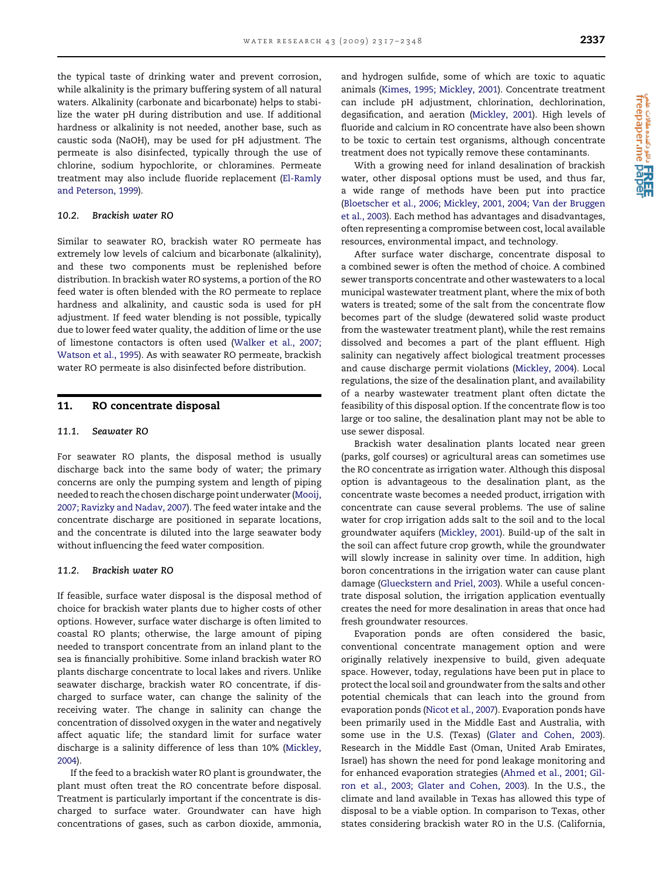the typical taste of drinking water and prevent corrosion, while alkalinity is the primary buffering system of all natural waters. Alkalinity (carbonate and bicarbonate) helps to stabilize the water pH during distribution and use. If additional hardness or alkalinity is not needed, another base, such as caustic soda (NaOH), may be used for pH adjustment. The permeate is also disinfected, typically through the use of chlorine, sodium hypochlorite, or chloramines. Permeate treatment may also include fluoride replacement [\(El-Ramly](#page-27-0) [and Peterson, 1999](#page-27-0)).

# 10.2. Brackish water RO

Similar to seawater RO, brackish water RO permeate has extremely low levels of calcium and bicarbonate (alkalinity), and these two components must be replenished before distribution. In brackish water RO systems, a portion of the RO feed water is often blended with the RO permeate to replace hardness and alkalinity, and caustic soda is used for pH adjustment. If feed water blending is not possible, typically due to lower feed water quality, the addition of lime or the use of limestone contactors is often used ([Walker et al., 2007;](#page-31-0) [Watson et al., 1995\)](#page-31-0). As with seawater RO permeate, brackish water RO permeate is also disinfected before distribution.

### 11. RO concentrate disposal

#### 11.1. Seawater RO

For seawater RO plants, the disposal method is usually discharge back into the same body of water; the primary concerns are only the pumping system and length of piping needed to reach the chosen discharge point underwater ([Mooij,](#page-29-0) [2007; Ravizky and Nadav, 2007\)](#page-29-0). The feed water intake and the concentrate discharge are positioned in separate locations, and the concentrate is diluted into the large seawater body without influencing the feed water composition.

# 11.2. Brackish water RO

If feasible, surface water disposal is the disposal method of choice for brackish water plants due to higher costs of other options. However, surface water discharge is often limited to coastal RO plants; otherwise, the large amount of piping needed to transport concentrate from an inland plant to the sea is financially prohibitive. Some inland brackish water RO plants discharge concentrate to local lakes and rivers. Unlike seawater discharge, brackish water RO concentrate, if discharged to surface water, can change the salinity of the receiving water. The change in salinity can change the concentration of dissolved oxygen in the water and negatively affect aquatic life; the standard limit for surface water discharge is a salinity difference of less than 10% ([Mickley,](#page-29-0) [2004](#page-29-0)).

If the feed to a brackish water RO plant is groundwater, the plant must often treat the RO concentrate before disposal. Treatment is particularly important if the concentrate is discharged to surface water. Groundwater can have high concentrations of gases, such as carbon dioxide, ammonia, and hydrogen sulfide, some of which are toxic to aquatic animals ([Kimes, 1995; Mickley, 2001\)](#page-28-0). Concentrate treatment can include pH adjustment, chlorination, dechlorination, degasification, and aeration ([Mickley, 2001](#page-29-0)). High levels of fluoride and calcium in RO concentrate have also been shown to be toxic to certain test organisms, although concentrate treatment does not typically remove these contaminants.

With a growing need for inland desalination of brackish water, other disposal options must be used, and thus far, a wide range of methods have been put into practice [\(Bloetscher et al., 2006; Mickley, 2001, 2004; Van der Bruggen](#page-26-0) [et al., 2003\)](#page-26-0). Each method has advantages and disadvantages, often representing a compromise between cost, local available resources, environmental impact, and technology.

After surface water discharge, concentrate disposal to a combined sewer is often the method of choice. A combined sewer transports concentrate and other wastewaters to a local municipal wastewater treatment plant, where the mix of both waters is treated; some of the salt from the concentrate flow becomes part of the sludge (dewatered solid waste product from the wastewater treatment plant), while the rest remains dissolved and becomes a part of the plant effluent. High salinity can negatively affect biological treatment processes and cause discharge permit violations ([Mickley, 2004\)](#page-29-0). Local regulations, the size of the desalination plant, and availability of a nearby wastewater treatment plant often dictate the feasibility of this disposal option. If the concentrate flow is too large or too saline, the desalination plant may not be able to use sewer disposal.

Brackish water desalination plants located near green (parks, golf courses) or agricultural areas can sometimes use the RO concentrate as irrigation water. Although this disposal option is advantageous to the desalination plant, as the concentrate waste becomes a needed product, irrigation with concentrate can cause several problems. The use of saline water for crop irrigation adds salt to the soil and to the local groundwater aquifers ([Mickley, 2001\)](#page-29-0). Build-up of the salt in the soil can affect future crop growth, while the groundwater will slowly increase in salinity over time. In addition, high boron concentrations in the irrigation water can cause plant damage ([Glueckstern and Priel, 2003\)](#page-27-0). While a useful concentrate disposal solution, the irrigation application eventually creates the need for more desalination in areas that once had fresh groundwater resources.

Evaporation ponds are often considered the basic, conventional concentrate management option and were originally relatively inexpensive to build, given adequate space. However, today, regulations have been put in place to protect the local soil and groundwater from the salts and other potential chemicals that can leach into the ground from evaporation ponds ([Nicot et al., 2007](#page-29-0)). Evaporation ponds have been primarily used in the Middle East and Australia, with some use in the U.S. (Texas) [\(Glater and Cohen, 2003](#page-27-0)). Research in the Middle East (Oman, United Arab Emirates, Israel) has shown the need for pond leakage monitoring and for enhanced evaporation strategies [\(Ahmed et al., 2001; Gil](#page-26-0)[ron et al., 2003; Glater and Cohen, 2003\)](#page-26-0). In the U.S., the climate and land available in Texas has allowed this type of disposal to be a viable option. In comparison to Texas, other states considering brackish water RO in the U.S. (California,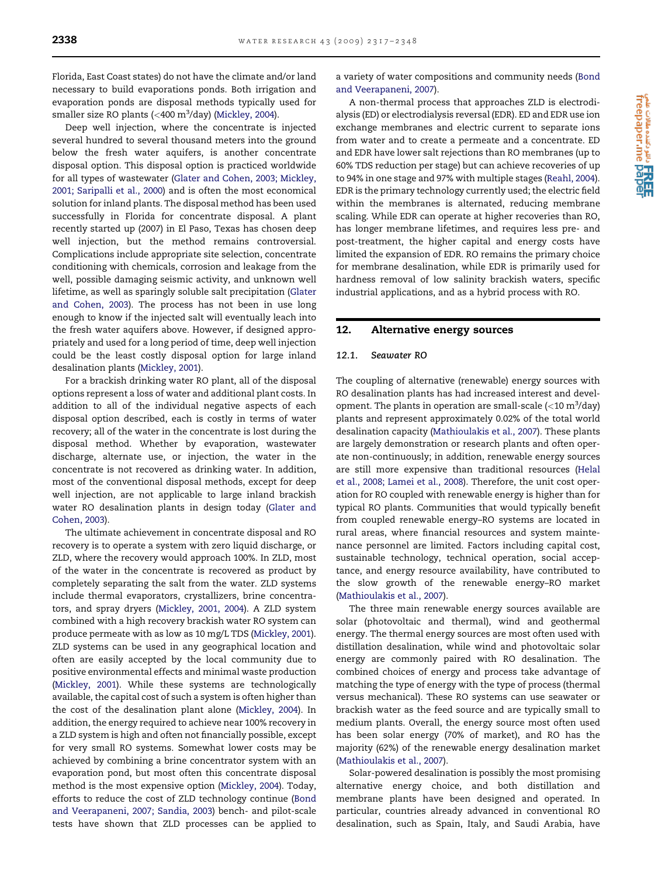Florida, East Coast states) do not have the climate and/or land necessary to build evaporations ponds. Both irrigation and evaporation ponds are disposal methods typically used for smaller size RO plants ( $<$ 400 m $^3$ /day) [\(Mickley, 2004](#page-29-0)).

Deep well injection, where the concentrate is injected several hundred to several thousand meters into the ground below the fresh water aquifers, is another concentrate disposal option. This disposal option is practiced worldwide for all types of wastewater ([Glater and Cohen, 2003; Mickley,](#page-27-0) [2001; Saripalli et al., 2000](#page-27-0)) and is often the most economical solution for inland plants. The disposal method has been used successfully in Florida for concentrate disposal. A plant recently started up (2007) in El Paso, Texas has chosen deep well injection, but the method remains controversial. Complications include appropriate site selection, concentrate conditioning with chemicals, corrosion and leakage from the well, possible damaging seismic activity, and unknown well lifetime, as well as sparingly soluble salt precipitation ([Glater](#page-27-0) [and Cohen, 2003](#page-27-0)). The process has not been in use long enough to know if the injected salt will eventually leach into the fresh water aquifers above. However, if designed appropriately and used for a long period of time, deep well injection could be the least costly disposal option for large inland desalination plants [\(Mickley, 2001](#page-29-0)).

For a brackish drinking water RO plant, all of the disposal options represent a loss of water and additional plant costs. In addition to all of the individual negative aspects of each disposal option described, each is costly in terms of water recovery; all of the water in the concentrate is lost during the disposal method. Whether by evaporation, wastewater discharge, alternate use, or injection, the water in the concentrate is not recovered as drinking water. In addition, most of the conventional disposal methods, except for deep well injection, are not applicable to large inland brackish water RO desalination plants in design today [\(Glater and](#page-27-0) [Cohen, 2003\)](#page-27-0).

The ultimate achievement in concentrate disposal and RO recovery is to operate a system with zero liquid discharge, or ZLD, where the recovery would approach 100%. In ZLD, most of the water in the concentrate is recovered as product by completely separating the salt from the water. ZLD systems include thermal evaporators, crystallizers, brine concentrators, and spray dryers [\(Mickley, 2001, 2004\)](#page-29-0). A ZLD system combined with a high recovery brackish water RO system can produce permeate with as low as 10 mg/L TDS ([Mickley, 2001\)](#page-29-0). ZLD systems can be used in any geographical location and often are easily accepted by the local community due to positive environmental effects and minimal waste production ([Mickley, 2001](#page-29-0)). While these systems are technologically available, the capital cost of such a system is often higher than the cost of the desalination plant alone [\(Mickley, 2004\)](#page-29-0). In addition, the energy required to achieve near 100% recovery in a ZLD system is high and often not financially possible, except for very small RO systems. Somewhat lower costs may be achieved by combining a brine concentrator system with an evaporation pond, but most often this concentrate disposal method is the most expensive option ([Mickley, 2004\)](#page-29-0). Today, efforts to reduce the cost of ZLD technology continue [\(Bond](#page-26-0) [and Veerapaneni, 2007; Sandia, 2003](#page-26-0)) bench- and pilot-scale tests have shown that ZLD processes can be applied to

a variety of water compositions and community needs [\(Bond](#page-26-0) [and Veerapaneni, 2007](#page-26-0)).

A non-thermal process that approaches ZLD is electrodialysis (ED) or electrodialysis reversal (EDR). ED and EDR use ion exchange membranes and electric current to separate ions from water and to create a permeate and a concentrate. ED and EDR have lower salt rejections than RO membranes (up to 60% TDS reduction per stage) but can achieve recoveries of up to 94% in one stage and 97% with multiple stages [\(Reahl, 2004\)](#page-29-0). EDR is the primary technology currently used; the electric field within the membranes is alternated, reducing membrane scaling. While EDR can operate at higher recoveries than RO, has longer membrane lifetimes, and requires less pre- and post-treatment, the higher capital and energy costs have limited the expansion of EDR. RO remains the primary choice for membrane desalination, while EDR is primarily used for hardness removal of low salinity brackish waters, specific industrial applications, and as a hybrid process with RO.

# 12. Alternative energy sources

#### 12.1. Seawater RO

The coupling of alternative (renewable) energy sources with RO desalination plants has had increased interest and development. The plants in operation are small-scale (<10  $\mathrm{m}^3\mathrm{/day}$ ) plants and represent approximately 0.02% of the total world desalination capacity [\(Mathioulakis et al., 2007](#page-29-0)). These plants are largely demonstration or research plants and often operate non-continuously; in addition, renewable energy sources are still more expensive than traditional resources [\(Helal](#page-28-0) [et al., 2008; Lamei et al., 2008](#page-28-0)). Therefore, the unit cost operation for RO coupled with renewable energy is higher than for typical RO plants. Communities that would typically benefit from coupled renewable energy–RO systems are located in rural areas, where financial resources and system maintenance personnel are limited. Factors including capital cost, sustainable technology, technical operation, social acceptance, and energy resource availability, have contributed to the slow growth of the renewable energy–RO market ([Mathioulakis et al., 2007](#page-29-0)).

The three main renewable energy sources available are solar (photovoltaic and thermal), wind and geothermal energy. The thermal energy sources are most often used with distillation desalination, while wind and photovoltaic solar energy are commonly paired with RO desalination. The combined choices of energy and process take advantage of matching the type of energy with the type of process (thermal versus mechanical). These RO systems can use seawater or brackish water as the feed source and are typically small to medium plants. Overall, the energy source most often used has been solar energy (70% of market), and RO has the majority (62%) of the renewable energy desalination market ([Mathioulakis et al., 2007](#page-29-0)).

Solar-powered desalination is possibly the most promising alternative energy choice, and both distillation and membrane plants have been designed and operated. In particular, countries already advanced in conventional RO desalination, such as Spain, Italy, and Saudi Arabia, have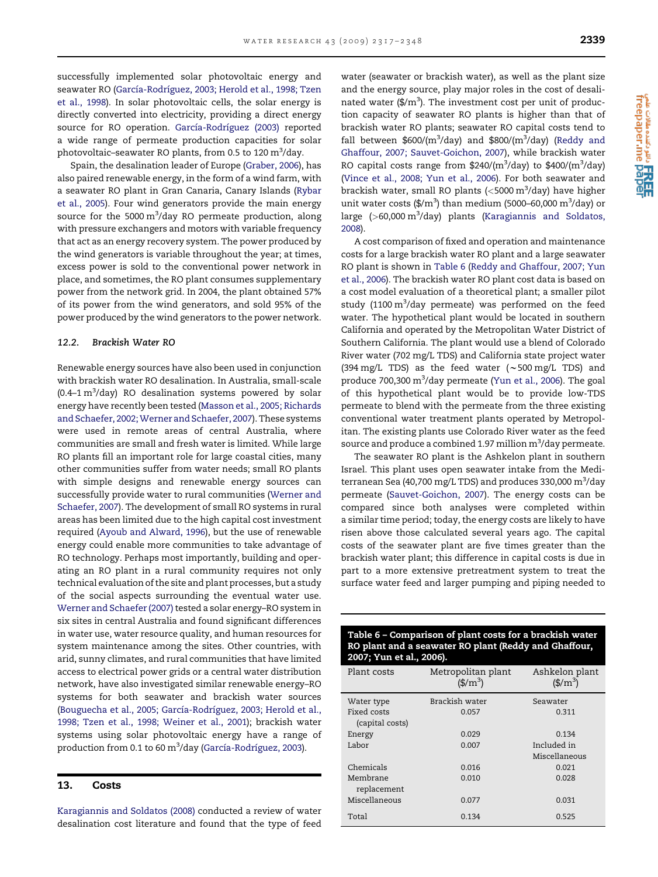successfully implemented solar photovoltaic energy and seawater RO (García-Rodríguez, 2003; Herold et al., 1998; Tzen [et al., 1998\)](#page-27-0). In solar photovoltaic cells, the solar energy is directly converted into electricity, providing a direct energy source for RO operation. García-Rodríguez (2003) reported a wide range of permeate production capacities for solar photovoltaic–seawater RO plants, from 0.5 to 120  $\mathrm{m}^3\!/\mathrm{day}.$ 

Spain, the desalination leader of Europe ([Graber, 2006](#page-27-0)), has also paired renewable energy, in the form of a wind farm, with a seawater RO plant in Gran Canaria, Canary Islands ([Rybar](#page-30-0) [et al., 2005](#page-30-0)). Four wind generators provide the main energy source for the 5000 m<sup>3</sup>/day RO permeate production, along with pressure exchangers and motors with variable frequency that act as an energy recovery system. The power produced by the wind generators is variable throughout the year; at times, excess power is sold to the conventional power network in place, and sometimes, the RO plant consumes supplementary power from the network grid. In 2004, the plant obtained 57% of its power from the wind generators, and sold 95% of the power produced by the wind generators to the power network.

#### 12.2. Brackish Water RO

Renewable energy sources have also been used in conjunction with brackish water RO desalination. In Australia, small-scale (0.4–1 $\text{m}^3$ /day) RO desalination systems powered by solar energy have recently been tested ([Masson et al., 2005; Richards](#page-29-0) [and Schaefer, 2002;Werner and Schaefer, 2007](#page-29-0)). These systems were used in remote areas of central Australia, where communities are small and fresh water is limited. While large RO plants fill an important role for large coastal cities, many other communities suffer from water needs; small RO plants with simple designs and renewable energy sources can successfully provide water to rural communities ([Werner and](#page-31-0) [Schaefer, 2007](#page-31-0)). The development of small RO systems in rural areas has been limited due to the high capital cost investment required [\(Ayoub and Alward, 1996\)](#page-26-0), but the use of renewable energy could enable more communities to take advantage of RO technology. Perhaps most importantly, building and operating an RO plant in a rural community requires not only technical evaluation of the site and plant processes, but a study of the social aspects surrounding the eventual water use. [Werner and Schaefer \(2007\)](#page-31-0) tested a solar energy-RO system in six sites in central Australia and found significant differences in water use, water resource quality, and human resources for system maintenance among the sites. Other countries, with arid, sunny climates, and rural communities that have limited access to electrical power grids or a central water distribution network, have also investigated similar renewable energy–RO systems for both seawater and brackish water sources (Bouguecha et al., 2005; García-Rodríguez, 2003; Herold et al., [1998; Tzen et al., 1998; Weiner et al., 2001](#page-26-0)); brackish water systems using solar photovoltaic energy have a range of  $\rm{production}$  from 0.1 to 60 m $\rm{^{3}/day}$  (García-Rodríguez, 2003).

#### 13. Costs

[Karagiannis and Soldatos \(2008\)](#page-28-0) conducted a review of water desalination cost literature and found that the type of feed water (seawater or brackish water), as well as the plant size and the energy source, play major roles in the cost of desalinated water (\$/m<sup>3</sup>). The investment cost per unit of production capacity of seawater RO plants is higher than that of brackish water RO plants; seawater RO capital costs tend to fall between \$600/(m<sup>3</sup>/day) and \$800/(m<sup>3</sup>/day) [\(Reddy and](#page-29-0) [Ghaffour, 2007; Sauvet-Goichon, 2007\)](#page-29-0), while brackish water RO capital costs range from  $$240/(m^3/day)$  to  $$400/(m^3/day)$ [\(Vince et al., 2008; Yun et al., 2006](#page-31-0)). For both seawater and brackish water, small RO plants ( $<$ 5000 m $^3$ /day) have higher unit water costs  $(\$/m^3)$  than medium (5000–60,000 m $^3$ /day) or large (>60,000 m<sup>3</sup>/day) plants ([Karagiannis and Soldatos,](#page-28-0) [2008](#page-28-0)).

A cost comparison of fixed and operation and maintenance costs for a large brackish water RO plant and a large seawater RO plant is shown in Table 6 [\(Reddy and Ghaffour, 2007; Yun](#page-29-0) [et al., 2006](#page-29-0)). The brackish water RO plant cost data is based on a cost model evaluation of a theoretical plant; a smaller pilot study (1100 m<sup>3</sup>/day permeate) was performed on the feed water. The hypothetical plant would be located in southern California and operated by the Metropolitan Water District of Southern California. The plant would use a blend of Colorado River water (702 mg/L TDS) and California state project water (394 mg/L TDS) as the feed water  $($  ~500 mg/L TDS) and produce 700,300  $\text{m}^3\text{/day}$  permeate ([Yun et al., 2006](#page-31-0)). The goal of this hypothetical plant would be to provide low-TDS permeate to blend with the permeate from the three existing conventional water treatment plants operated by Metropolitan. The existing plants use Colorado River water as the feed source and produce a combined 1.97 million  $\mathrm{m}^3\!$ day permeate.

The seawater RO plant is the Ashkelon plant in southern Israel. This plant uses open seawater intake from the Mediterranean Sea (40,700 mg/L TDS) and produces 330,000 m<sup>3</sup>/day permeate ([Sauvet-Goichon, 2007](#page-30-0)). The energy costs can be compared since both analyses were completed within a similar time period; today, the energy costs are likely to have risen above those calculated several years ago. The capital costs of the seawater plant are five times greater than the brackish water plant; this difference in capital costs is due in part to a more extensive pretreatment system to treat the surface water feed and larger pumping and piping needed to

| Table 6 - Comparison of plant costs for a brackish water<br>RO plant and a seawater RO plant (Reddy and Ghaffour,<br>2007; Yun et al., 2006). |                                              |                                          |  |
|-----------------------------------------------------------------------------------------------------------------------------------------------|----------------------------------------------|------------------------------------------|--|
| Plant costs                                                                                                                                   | Metropolitan plant<br>$(\frac{\text{m}}{3})$ | Ashkelon plant<br>$(\frac{\text{m}}{3})$ |  |
| Water type                                                                                                                                    | Brackish water                               | Seawater                                 |  |
| Fixed costs<br>(capital costs)                                                                                                                | 0.057                                        | 0.311                                    |  |
| Energy                                                                                                                                        | 0.029                                        | 0.134                                    |  |
| Labor                                                                                                                                         | 0.007                                        | Included in<br>Miscellaneous             |  |
| Chemicals                                                                                                                                     | 0.016                                        | 0.021                                    |  |
| Membrane<br>replacement                                                                                                                       | 0.010                                        | 0.028                                    |  |
| Miscellaneous                                                                                                                                 | 0.077                                        | 0.031                                    |  |
| Total                                                                                                                                         | 0.134                                        | 0.525                                    |  |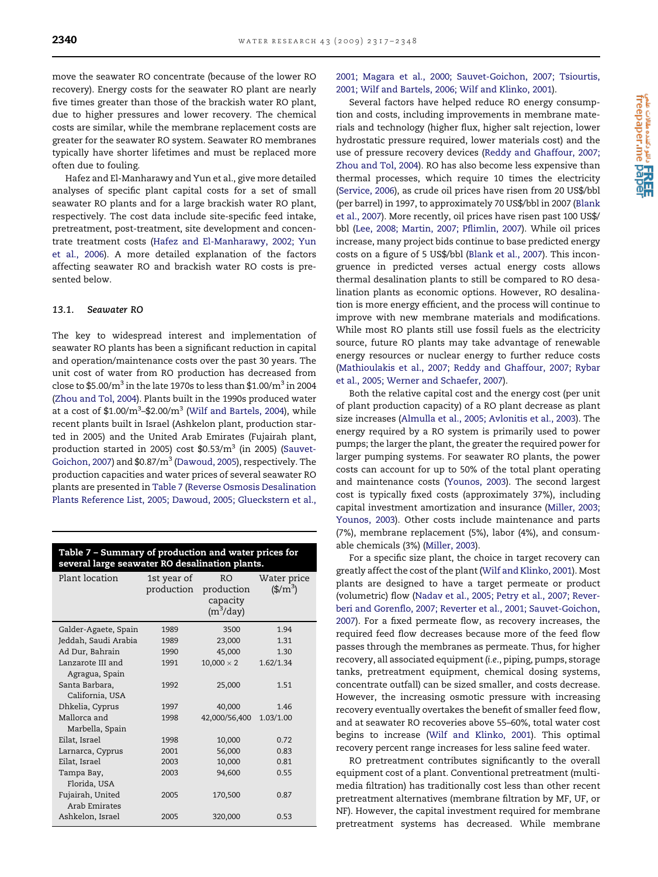move the seawater RO concentrate (because of the lower RO recovery). Energy costs for the seawater RO plant are nearly five times greater than those of the brackish water RO plant, due to higher pressures and lower recovery. The chemical costs are similar, while the membrane replacement costs are greater for the seawater RO system. Seawater RO membranes typically have shorter lifetimes and must be replaced more often due to fouling.

Hafez and El-Manharawy and Yun et al., give more detailed analyses of specific plant capital costs for a set of small seawater RO plants and for a large brackish water RO plant, respectively. The cost data include site-specific feed intake, pretreatment, post-treatment, site development and concentrate treatment costs ([Hafez and El-Manharawy, 2002; Yun](#page-27-0) [et al., 2006](#page-27-0)). A more detailed explanation of the factors affecting seawater RO and brackish water RO costs is presented below.

### 13.1. Seawater RO

The key to widespread interest and implementation of seawater RO plants has been a significant reduction in capital and operation/maintenance costs over the past 30 years. The unit cost of water from RO production has decreased from close to  $$5.00/m^3$  in the late 1970s to less than  $$1.00/m^3$  in 2004 ([Zhou and Tol, 2004\)](#page-31-0). Plants built in the 1990s produced water at a cost of  $$1.00/m^3$ – $$2.00/m^3$  [\(Wilf and Bartels, 2004](#page-31-0)), while recent plants built in Israel (Ashkelon plant, production started in 2005) and the United Arab Emirates (Fujairah plant, production started in 2005) cost  $$0.53/m<sup>3</sup>$  (in 2005) ([Sauvet-](#page-30-0)[Goichon, 2007](#page-30-0)) and  $$0.87/m<sup>3</sup>$  [\(Dawoud, 2005](#page-27-0)), respectively. The production capacities and water prices of several seawater RO plants are presented in Table 7 [\(Reverse Osmosis Desalination](#page-29-0) [Plants Reference List, 2005; Dawoud, 2005; Glueckstern et al.,](#page-29-0)

Table 7 – Summary of production and water prices for several large seawater RO desalination plants.

| veral large beawater no acbannation plants. |                           |                                                    |                                       |  |
|---------------------------------------------|---------------------------|----------------------------------------------------|---------------------------------------|--|
| Plant location                              | 1st year of<br>production | <b>RO</b><br>production<br>capacity<br>$(m^3/day)$ | Water price<br>$(\frac{\text{m}}{2})$ |  |
| Galder-Agaete, Spain                        | 1989                      | 3500                                               | 1.94                                  |  |
| Jeddah, Saudi Arabia                        | 1989                      | 23,000                                             | 1.31                                  |  |
| Ad Dur, Bahrain                             | 1990                      | 45,000                                             | 1.30                                  |  |
| Lanzarote III and                           | 1991                      | $10,000 \times 2$                                  | 1.62/1.34                             |  |
| Agragua, Spain                              |                           |                                                    |                                       |  |
| Santa Barbara,                              | 1992                      | 25,000                                             | 1.51                                  |  |
| California, USA                             |                           |                                                    |                                       |  |
| Dhkelia, Cyprus                             | 1997                      | 40,000                                             | 1.46                                  |  |
| Mallorca and                                | 1998                      | 42,000/56,400                                      | 1.03/1.00                             |  |
| Marbella, Spain                             |                           |                                                    |                                       |  |
| Eilat, Israel                               | 1998                      | 10,000                                             | 0.72                                  |  |
| Larnarca, Cyprus                            | 2001                      | 56,000                                             | 0.83                                  |  |
| Eilat, Israel                               | 2003                      | 10,000                                             | 0.81                                  |  |
| Tampa Bay,                                  | 2003                      | 94,600                                             | 0.55                                  |  |
| Florida, USA                                |                           |                                                    |                                       |  |
| Fujairah, United                            | 2005                      | 170,500                                            | 0.87                                  |  |
| <b>Arab Emirates</b>                        |                           |                                                    |                                       |  |
| Ashkelon, Israel                            | 2005                      | 320,000                                            | 0.53                                  |  |

# [2001; Magara et al., 2000; Sauvet-Goichon, 2007; Tsiourtis,](#page-29-0) [2001; Wilf and Bartels, 2006; Wilf and Klinko, 2001\)](#page-29-0).

Several factors have helped reduce RO energy consumption and costs, including improvements in membrane materials and technology (higher flux, higher salt rejection, lower hydrostatic pressure required, lower materials cost) and the use of pressure recovery devices ([Reddy and Ghaffour, 2007;](#page-29-0) [Zhou and Tol, 2004\)](#page-29-0). RO has also become less expensive than thermal processes, which require 10 times the electricity ([Service, 2006](#page-30-0)), as crude oil prices have risen from 20 US\$/bbl (per barrel) in 1997, to approximately 70 US\$/bbl in 2007 [\(Blank](#page-26-0) [et al., 2007](#page-26-0)). More recently, oil prices have risen past 100 US\$/ bbl [\(Lee, 2008; Martin, 2007; Pflimlin, 2007](#page-28-0)). While oil prices increase, many project bids continue to base predicted energy costs on a figure of 5 US\$/bbl [\(Blank et al., 2007](#page-26-0)). This incongruence in predicted verses actual energy costs allows thermal desalination plants to still be compared to RO desalination plants as economic options. However, RO desalination is more energy efficient, and the process will continue to improve with new membrane materials and modifications. While most RO plants still use fossil fuels as the electricity source, future RO plants may take advantage of renewable energy resources or nuclear energy to further reduce costs ([Mathioulakis et al., 2007; Reddy and Ghaffour, 2007; Rybar](#page-29-0) [et al., 2005; Werner and Schaefer, 2007](#page-29-0)).

Both the relative capital cost and the energy cost (per unit of plant production capacity) of a RO plant decrease as plant size increases [\(Almulla et al., 2005; Avlonitis et al., 2003](#page-26-0)). The energy required by a RO system is primarily used to power pumps; the larger the plant, the greater the required power for larger pumping systems. For seawater RO plants, the power costs can account for up to 50% of the total plant operating and maintenance costs ([Younos, 2003](#page-31-0)). The second largest cost is typically fixed costs (approximately 37%), including capital investment amortization and insurance ([Miller, 2003;](#page-29-0) [Younos, 2003\)](#page-29-0). Other costs include maintenance and parts (7%), membrane replacement (5%), labor (4%), and consumable chemicals (3%) [\(Miller, 2003](#page-29-0)).

For a specific size plant, the choice in target recovery can greatly affect the cost of the plant ([Wilf and Klinko, 2001\)](#page-31-0). Most plants are designed to have a target permeate or product (volumetric) flow ([Nadav et al., 2005; Petry et al., 2007; Rever](#page-29-0)[beri and Gorenflo, 2007; Reverter et al., 2001; Sauvet-Goichon,](#page-29-0) [2007\)](#page-29-0). For a fixed permeate flow, as recovery increases, the required feed flow decreases because more of the feed flow passes through the membranes as permeate. Thus, for higher recovery, all associated equipment (i.e., piping, pumps, storage tanks, pretreatment equipment, chemical dosing systems, concentrate outfall) can be sized smaller, and costs decrease. However, the increasing osmotic pressure with increasing recovery eventually overtakes the benefit of smaller feed flow, and at seawater RO recoveries above 55–60%, total water cost begins to increase [\(Wilf and Klinko, 2001\)](#page-31-0). This optimal recovery percent range increases for less saline feed water.

RO pretreatment contributes significantly to the overall equipment cost of a plant. Conventional pretreatment (multimedia filtration) has traditionally cost less than other recent pretreatment alternatives (membrane filtration by MF, UF, or NF). However, the capital investment required for membrane pretreatment systems has decreased. While membrane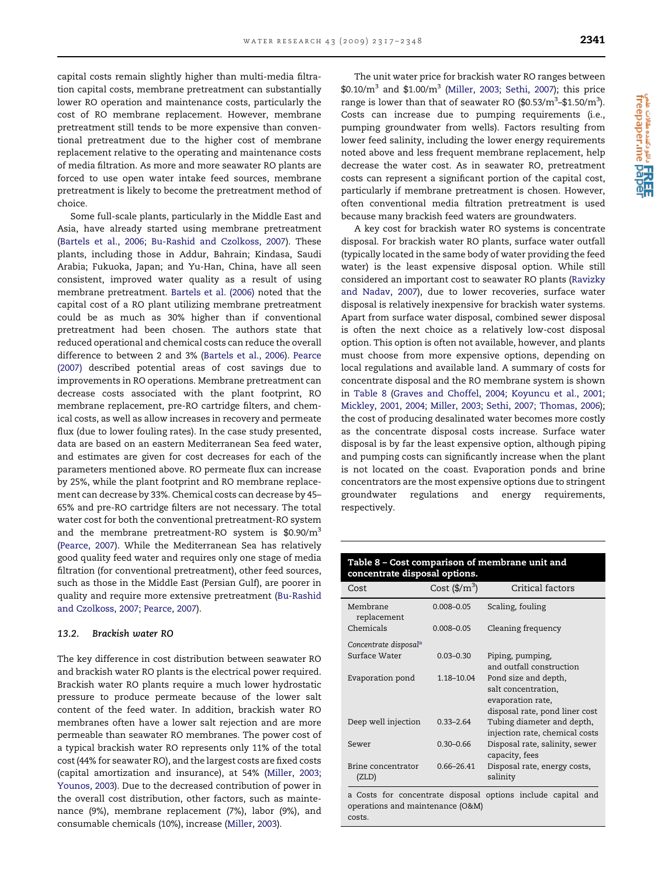capital costs remain slightly higher than multi-media filtration capital costs, membrane pretreatment can substantially lower RO operation and maintenance costs, particularly the cost of RO membrane replacement. However, membrane pretreatment still tends to be more expensive than conventional pretreatment due to the higher cost of membrane replacement relative to the operating and maintenance costs of media filtration. As more and more seawater RO plants are forced to use open water intake feed sources, membrane pretreatment is likely to become the pretreatment method of choice.

Some full-scale plants, particularly in the Middle East and Asia, have already started using membrane pretreatment [\(Bartels et al., 2006; Bu-Rashid and Czolkoss, 2007\)](#page-26-0). These plants, including those in Addur, Bahrain; Kindasa, Saudi Arabia; Fukuoka, Japan; and Yu-Han, China, have all seen consistent, improved water quality as a result of using membrane pretreatment. [Bartels et al. \(2006\)](#page-26-0) noted that the capital cost of a RO plant utilizing membrane pretreatment could be as much as 30% higher than if conventional pretreatment had been chosen. The authors state that reduced operational and chemical costs can reduce the overall difference to between 2 and 3% [\(Bartels et al., 2006\)](#page-26-0). [Pearce](#page-29-0) [\(2007\)](#page-29-0) described potential areas of cost savings due to improvements in RO operations. Membrane pretreatment can decrease costs associated with the plant footprint, RO membrane replacement, pre-RO cartridge filters, and chemical costs, as well as allow increases in recovery and permeate flux (due to lower fouling rates). In the case study presented, data are based on an eastern Mediterranean Sea feed water, and estimates are given for cost decreases for each of the parameters mentioned above. RO permeate flux can increase by 25%, while the plant footprint and RO membrane replacement can decrease by 33%. Chemical costs can decrease by 45– 65% and pre-RO cartridge filters are not necessary. The total water cost for both the conventional pretreatment-RO system and the membrane pretreatment-RO system is  $$0.90/m^3$ [\(Pearce, 2007\)](#page-29-0). While the Mediterranean Sea has relatively good quality feed water and requires only one stage of media filtration (for conventional pretreatment), other feed sources, such as those in the Middle East (Persian Gulf), are poorer in quality and require more extensive pretreatment [\(Bu-Rashid](#page-26-0) [and Czolkoss, 2007; Pearce, 2007\)](#page-26-0).

#### 13.2. Brackish water RO

The key difference in cost distribution between seawater RO and brackish water RO plants is the electrical power required. Brackish water RO plants require a much lower hydrostatic pressure to produce permeate because of the lower salt content of the feed water. In addition, brackish water RO membranes often have a lower salt rejection and are more permeable than seawater RO membranes. The power cost of a typical brackish water RO represents only 11% of the total cost (44% for seawater RO), and the largest costs are fixed costs (capital amortization and insurance), at 54% ([Miller, 2003;](#page-29-0) [Younos, 2003\)](#page-29-0). Due to the decreased contribution of power in the overall cost distribution, other factors, such as maintenance (9%), membrane replacement (7%), labor (9%), and consumable chemicals (10%), increase ([Miller, 2003\)](#page-29-0).

The unit water price for brackish water RO ranges between  $$0.10/m^3$  and  $$1.00/m^3$  ([Miller, 2003; Sethi, 2007](#page-29-0)); this price range is lower than that of seawater RO (\$0.53/m $^3$ –\$1.50/m $^3$ ). Costs can increase due to pumping requirements (i.e., pumping groundwater from wells). Factors resulting from lower feed salinity, including the lower energy requirements noted above and less frequent membrane replacement, help decrease the water cost. As in seawater RO, pretreatment costs can represent a significant portion of the capital cost, particularly if membrane pretreatment is chosen. However, often conventional media filtration pretreatment is used because many brackish feed waters are groundwaters.

A key cost for brackish water RO systems is concentrate disposal. For brackish water RO plants, surface water outfall (typically located in the same body of water providing the feed water) is the least expensive disposal option. While still considered an important cost to seawater RO plants ([Ravizky](#page-29-0) [and Nadav, 2007\)](#page-29-0), due to lower recoveries, surface water disposal is relatively inexpensive for brackish water systems. Apart from surface water disposal, combined sewer disposal is often the next choice as a relatively low-cost disposal option. This option is often not available, however, and plants must choose from more expensive options, depending on local regulations and available land. A summary of costs for concentrate disposal and the RO membrane system is shown in Table 8 [\(Graves and Choffel, 2004; Koyuncu et al., 2001;](#page-27-0) [Mickley, 2001, 2004; Miller, 2003; Sethi, 2007; Thomas, 2006](#page-27-0)); the cost of producing desalinated water becomes more costly as the concentrate disposal costs increase. Surface water disposal is by far the least expensive option, although piping and pumping costs can significantly increase when the plant is not located on the coast. Evaporation ponds and brine concentrators are the most expensive options due to stringent groundwater regulations and energy requirements, respectively.

| Table 8 - Cost comparison of membrane unit and<br>concentrate disposal options. |                        |                                                                                                    |  |
|---------------------------------------------------------------------------------|------------------------|----------------------------------------------------------------------------------------------------|--|
| Cost                                                                            | Cost $(\frac{4}{m^3})$ | Critical factors                                                                                   |  |
| Membrane<br>replacement                                                         | $0.008 - 0.05$         | Scaling, fouling                                                                                   |  |
| Chemicals                                                                       | $0.008 - 0.05$         | Cleaning frequency                                                                                 |  |
| Concentrate disposal <sup>a</sup>                                               |                        |                                                                                                    |  |
| Surface Water                                                                   | $0.03 - 0.30$          | Piping, pumping,<br>and outfall construction                                                       |  |
| Evaporation pond                                                                | 1.18-10.04             | Pond size and depth,<br>salt concentration,<br>evaporation rate,<br>disposal rate, pond liner cost |  |
| Deep well injection                                                             | $0.33 - 2.64$          | Tubing diameter and depth,<br>injection rate, chemical costs                                       |  |
| Sewer                                                                           | $0.30 - 0.66$          | Disposal rate, salinity, sewer<br>capacity, fees                                                   |  |
| Brine concentrator<br>(ZLD)                                                     | $0.66 - 26.41$         | Disposal rate, energy costs,<br>salinity                                                           |  |

a Costs for concentrate disposal options include capital and operations and maintenance (O&M) costs.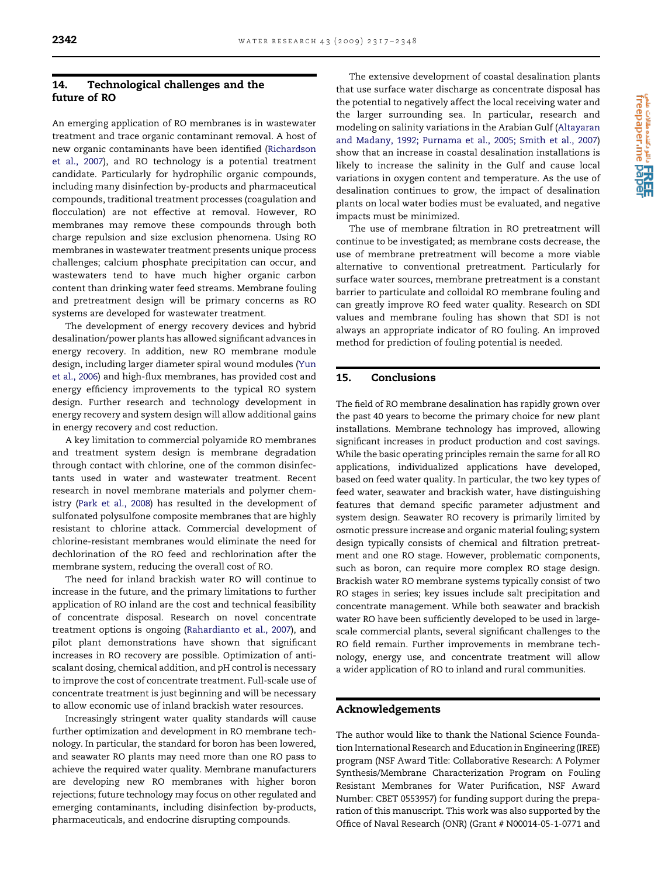# 14. Technological challenges and the future of RO

An emerging application of RO membranes is in wastewater treatment and trace organic contaminant removal. A host of new organic contaminants have been identified [\(Richardson](#page-30-0) [et al., 2007](#page-30-0)), and RO technology is a potential treatment candidate. Particularly for hydrophilic organic compounds, including many disinfection by-products and pharmaceutical compounds, traditional treatment processes (coagulation and flocculation) are not effective at removal. However, RO membranes may remove these compounds through both charge repulsion and size exclusion phenomena. Using RO membranes in wastewater treatment presents unique process challenges; calcium phosphate precipitation can occur, and wastewaters tend to have much higher organic carbon content than drinking water feed streams. Membrane fouling and pretreatment design will be primary concerns as RO systems are developed for wastewater treatment.

The development of energy recovery devices and hybrid desalination/power plants has allowed significant advances in energy recovery. In addition, new RO membrane module design, including larger diameter spiral wound modules [\(Yun](#page-31-0) [et al., 2006\)](#page-31-0) and high-flux membranes, has provided cost and energy efficiency improvements to the typical RO system design. Further research and technology development in energy recovery and system design will allow additional gains in energy recovery and cost reduction.

A key limitation to commercial polyamide RO membranes and treatment system design is membrane degradation through contact with chlorine, one of the common disinfectants used in water and wastewater treatment. Recent research in novel membrane materials and polymer chemistry [\(Park et al., 2008](#page-29-0)) has resulted in the development of sulfonated polysulfone composite membranes that are highly resistant to chlorine attack. Commercial development of chlorine-resistant membranes would eliminate the need for dechlorination of the RO feed and rechlorination after the membrane system, reducing the overall cost of RO.

The need for inland brackish water RO will continue to increase in the future, and the primary limitations to further application of RO inland are the cost and technical feasibility of concentrate disposal. Research on novel concentrate treatment options is ongoing [\(Rahardianto et al., 2007\)](#page-29-0), and pilot plant demonstrations have shown that significant increases in RO recovery are possible. Optimization of antiscalant dosing, chemical addition, and pH control is necessary to improve the cost of concentrate treatment. Full-scale use of concentrate treatment is just beginning and will be necessary to allow economic use of inland brackish water resources.

Increasingly stringent water quality standards will cause further optimization and development in RO membrane technology. In particular, the standard for boron has been lowered, and seawater RO plants may need more than one RO pass to achieve the required water quality. Membrane manufacturers are developing new RO membranes with higher boron rejections; future technology may focus on other regulated and emerging contaminants, including disinfection by-products, pharmaceuticals, and endocrine disrupting compounds.

The extensive development of coastal desalination plants that use surface water discharge as concentrate disposal has the potential to negatively affect the local receiving water and the larger surrounding sea. In particular, research and modeling on salinity variations in the Arabian Gulf [\(Altayaran](#page-26-0) [and Madany, 1992; Purnama et al., 2005; Smith et al., 2007\)](#page-26-0) show that an increase in coastal desalination installations is likely to increase the salinity in the Gulf and cause local variations in oxygen content and temperature. As the use of desalination continues to grow, the impact of desalination plants on local water bodies must be evaluated, and negative impacts must be minimized.

The use of membrane filtration in RO pretreatment will continue to be investigated; as membrane costs decrease, the use of membrane pretreatment will become a more viable alternative to conventional pretreatment. Particularly for surface water sources, membrane pretreatment is a constant barrier to particulate and colloidal RO membrane fouling and can greatly improve RO feed water quality. Research on SDI values and membrane fouling has shown that SDI is not always an appropriate indicator of RO fouling. An improved method for prediction of fouling potential is needed.

# 15. Conclusions

The field of RO membrane desalination has rapidly grown over the past 40 years to become the primary choice for new plant installations. Membrane technology has improved, allowing significant increases in product production and cost savings. While the basic operating principles remain the same for all RO applications, individualized applications have developed, based on feed water quality. In particular, the two key types of feed water, seawater and brackish water, have distinguishing features that demand specific parameter adjustment and system design. Seawater RO recovery is primarily limited by osmotic pressure increase and organic material fouling; system design typically consists of chemical and filtration pretreatment and one RO stage. However, problematic components, such as boron, can require more complex RO stage design. Brackish water RO membrane systems typically consist of two RO stages in series; key issues include salt precipitation and concentrate management. While both seawater and brackish water RO have been sufficiently developed to be used in largescale commercial plants, several significant challenges to the RO field remain. Further improvements in membrane technology, energy use, and concentrate treatment will allow a wider application of RO to inland and rural communities.

# Acknowledgements

The author would like to thank the National Science Foundation International Research and Education in Engineering (IREE) program (NSF Award Title: Collaborative Research: A Polymer Synthesis/Membrane Characterization Program on Fouling Resistant Membranes for Water Purification, NSF Award Number: CBET 0553957) for funding support during the preparation of this manuscript. This work was also supported by the Office of Naval Research (ONR) (Grant # N00014-05-1-0771 and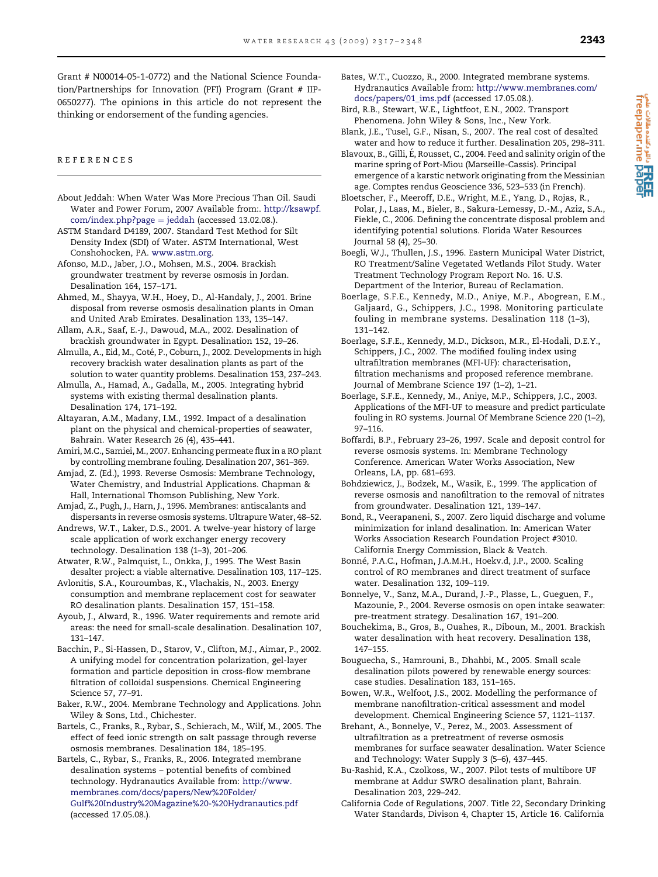<span id="page-26-0"></span>Grant # N00014-05-1-0772) and the National Science Foundation/Partnerships for Innovation (PFI) Program (Grant # IIP-0650277). The opinions in this article do not represent the thinking or endorsement of the funding agencies.

### references

- About Jeddah: When Water Was More Precious Than Oil. Saudi Water and Power Forum, 2007 Available from:. [http://ksawpf.](http://ksawpf.com/index.php?page%20=%20jeddah)  $com/index.php?page = jeddah (accessed 13.02.08.).$  $com/index.php?page = jeddah (accessed 13.02.08.).$  $com/index.php?page = jeddah (accessed 13.02.08.).$  $com/index.php?page = jeddah (accessed 13.02.08.).$
- ASTM Standard D4189, 2007. Standard Test Method for Silt Density Index (SDI) of Water. ASTM International, West Conshohocken, PA. [www.astm.org](http://www.astm.org).
- Afonso, M.D., Jaber, J.O., Mohsen, M.S., 2004. Brackish groundwater treatment by reverse osmosis in Jordan. Desalination 164, 157–171.
- Ahmed, M., Shayya, W.H., Hoey, D., Al-Handaly, J., 2001. Brine disposal from reverse osmosis desalination plants in Oman and United Arab Emirates. Desalination 133, 135–147.
- Allam, A.R., Saaf, E.-J., Dawoud, M.A., 2002. Desalination of brackish groundwater in Egypt. Desalination 152, 19–26.
- Almulla, A., Eid, M., Coté, P., Coburn, J., 2002. Developments in high recovery brackish water desalination plants as part of the solution to water quantity problems. Desalination 153, 237–243.
- Almulla, A., Hamad, A., Gadalla, M., 2005. Integrating hybrid systems with existing thermal desalination plants. Desalination 174, 171–192.
- Altayaran, A.M., Madany, I.M., 1992. Impact of a desalination plant on the physical and chemical-properties of seawater, Bahrain. Water Research 26 (4), 435–441.
- Amiri, M.C., Samiei, M., 2007. Enhancing permeate flux in a RO plant by controlling membrane fouling. Desalination 207, 361–369.
- Amjad, Z. (Ed.), 1993. Reverse Osmosis: Membrane Technology, Water Chemistry, and Industrial Applications. Chapman & Hall, International Thomson Publishing, New York.
- Amjad, Z., Pugh, J., Harn, J., 1996. Membranes: antiscalants and dispersants in reverse osmosis systems. Ultrapure Water, 48–52.
- Andrews, W.T., Laker, D.S., 2001. A twelve-year history of large scale application of work exchanger energy recovery technology. Desalination 138 (1–3), 201–206.
- Atwater, R.W., Palmquist, L., Onkka, J., 1995. The West Basin desalter project: a viable alternative. Desalination 103, 117–125.
- Avlonitis, S.A., Kouroumbas, K., Vlachakis, N., 2003. Energy consumption and membrane replacement cost for seawater RO desalination plants. Desalination 157, 151–158.
- Ayoub, J., Alward, R., 1996. Water requirements and remote arid areas: the need for small-scale desalination. Desalination 107, 131–147.
- Bacchin, P., Si-Hassen, D., Starov, V., Clifton, M.J., Aimar, P., 2002. A unifying model for concentration polarization, gel-layer formation and particle deposition in cross-flow membrane filtration of colloidal suspensions. Chemical Engineering Science 57, 77–91.
- Baker, R.W., 2004. Membrane Technology and Applications. John Wiley & Sons, Ltd., Chichester.
- Bartels, C., Franks, R., Rybar, S., Schierach, M., Wilf, M., 2005. The effect of feed ionic strength on salt passage through reverse osmosis membranes. Desalination 184, 185–195.

Bartels, C., Rybar, S., Franks, R., 2006. Integrated membrane desalination systems – potential benefits of combined technology. Hydranautics Available from: [http://www.](http://www.membranes.com/docs/papers/New%20Folder/Gulf%20Industry%20Magazine%20-%20Hydranautics.pdf) [membranes.com/docs/papers/New%20Folder/](http://www.membranes.com/docs/papers/New%20Folder/Gulf%20Industry%20Magazine%20-%20Hydranautics.pdf) [Gulf%20Industry%20Magazine%20-%20Hydranautics.pdf](http://www.membranes.com/docs/papers/New%20Folder/Gulf%20Industry%20Magazine%20-%20Hydranautics.pdf) (accessed 17.05.08.).

- Bates, W.T., Cuozzo, R., 2000. Integrated membrane systems. Hydranautics Available from: [http://www.membranes.com/](http://www.membranes.com/docs/papers/01_ims.pdf) [docs/papers/01\\_ims.pdf](http://www.membranes.com/docs/papers/01_ims.pdf) (accessed 17.05.08.).
- Bird, R.B., Stewart, W.E., Lightfoot, E.N., 2002. Transport Phenomena. John Wiley & Sons, Inc., New York.
- Blank, J.E., Tusel, G.F., Nisan, S., 2007. The real cost of desalted water and how to reduce it further. Desalination 205, 298–311.
- Blavoux, B., Gilli, É, Rousset, C., 2004. Feed and salinity origin of the marine spring of Port-Miou (Marseille-Cassis). Principal emergence of a karstic network originating from the Messinian age. Comptes rendus Geoscience 336, 523–533 (in French).
- Bloetscher, F., Meeroff, D.E., Wright, M.E., Yang, D., Rojas, R., Polar, J., Laas, M., Bieler, B., Sakura-Lemessy, D.-M., Aziz, S.A., Fiekle, C., 2006. Defining the concentrate disposal problem and identifying potential solutions. Florida Water Resources Journal 58 (4), 25–30.

Boegli, W.J., Thullen, J.S., 1996. Eastern Municipal Water District, RO Treatment/Saline Vegetated Wetlands Pilot Study. Water Treatment Technology Program Report No. 16. U.S. Department of the Interior, Bureau of Reclamation.

- Boerlage, S.F.E., Kennedy, M.D., Aniye, M.P., Abogrean, E.M., Galjaard, G., Schippers, J.C., 1998. Monitoring particulate fouling in membrane systems. Desalination 118 (1–3), 131–142.
- Boerlage, S.F.E., Kennedy, M.D., Dickson, M.R., El-Hodali, D.E.Y., Schippers, J.C., 2002. The modified fouling index using ultrafiltration membranes (MFI-UF): characterisation, filtration mechanisms and proposed reference membrane. Journal of Membrane Science 197 (1–2), 1–21.
- Boerlage, S.F.E., Kennedy, M., Aniye, M.P., Schippers, J.C., 2003. Applications of the MFI-UF to measure and predict particulate fouling in RO systems. Journal Of Membrane Science 220 (1–2), 97–116.
- Boffardi, B.P., February 23–26, 1997. Scale and deposit control for reverse osmosis systems. In: Membrane Technology Conference. American Water Works Association, New Orleans, LA, pp. 681–693.
- Bohdziewicz, J., Bodzek, M., Wasik, E., 1999. The application of reverse osmosis and nanofiltration to the removal of nitrates from groundwater. Desalination 121, 139–147.
- Bond, R., Veerapaneni, S., 2007. Zero liquid discharge and volume minimization for inland desalination. In: American Water Works Association Research Foundation Project #3010. California Energy Commission, Black & Veatch.
- Bonné, P.A.C., Hofman, J.A.M.H., Hoekv.d, J.P., 2000. Scaling control of RO membranes and direct treatment of surface water. Desalination 132, 109–119.
- Bonnelye, V., Sanz, M.A., Durand, J.-P., Plasse, L., Gueguen, F., Mazounie, P., 2004. Reverse osmosis on open intake seawater: pre-treatment strategy. Desalination 167, 191–200.
- Bouchekima, B., Gros, B., Ouahes, R., Diboun, M., 2001. Brackish water desalination with heat recovery. Desalination 138, 147–155.
- Bouguecha, S., Hamrouni, B., Dhahbi, M., 2005. Small scale desalination pilots powered by renewable energy sources: case studies. Desalination 183, 151–165.
- Bowen, W.R., Welfoot, J.S., 2002. Modelling the performance of membrane nanofiltration-critical assessment and model development. Chemical Engineering Science 57, 1121–1137.
- Brehant, A., Bonnelye, V., Perez, M., 2003. Assessment of ultrafiltration as a pretreatment of reverse osmosis membranes for surface seawater desalination. Water Science and Technology: Water Supply 3 (5–6), 437–445.
- Bu-Rashid, K.A., Czolkoss, W., 2007. Pilot tests of multibore UF membrane at Addur SWRO desalination plant, Bahrain. Desalination 203, 229–242.
- California Code of Regulations, 2007. Title 22, Secondary Drinking Water Standards, Divison 4, Chapter 15, Article 16. California

TREE اللو دنتير مقالات علمي<br>freepaper.me pape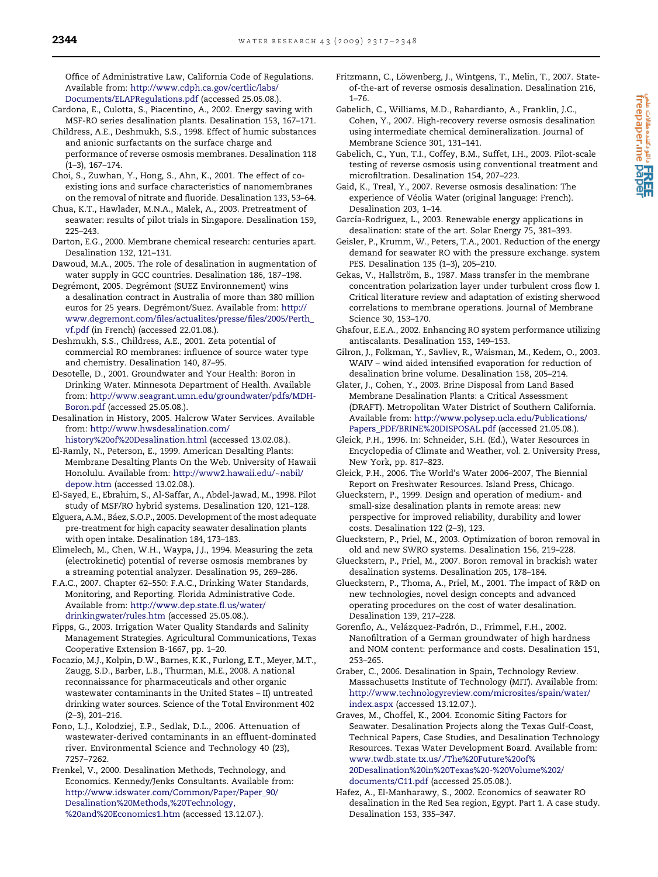<span id="page-27-0"></span>Office of Administrative Law, California Code of Regulations. Available from: [http://www.cdph.ca.gov/certlic/labs/](http://www.cdph.ca.gov/certlic/labs/Documents/ELAPRegulations.pdf) [Documents/ELAPRegulations.pdf](http://www.cdph.ca.gov/certlic/labs/Documents/ELAPRegulations.pdf) (accessed 25.05.08.).

- Cardona, E., Culotta, S., Piacentino, A., 2002. Energy saving with MSF-RO series desalination plants. Desalination 153, 167–171.
- Childress, A.E., Deshmukh, S.S., 1998. Effect of humic substances and anionic surfactants on the surface charge and performance of reverse osmosis membranes. Desalination 118 (1–3), 167–174.
- Choi, S., Zuwhan, Y., Hong, S., Ahn, K., 2001. The effect of coexisting ions and surface characteristics of nanomembranes on the removal of nitrate and fluoride. Desalination 133, 53–64.
- Chua, K.T., Hawlader, M.N.A., Malek, A., 2003. Pretreatment of seawater: results of pilot trials in Singapore. Desalination 159, 225–243.
- Darton, E.G., 2000. Membrane chemical research: centuries apart. Desalination 132, 121–131.
- Dawoud, M.A., 2005. The role of desalination in augmentation of water supply in GCC countries. Desalination 186, 187–198.
- Degrémont, 2005. Degrémont (SUEZ Environnement) wins a desalination contract in Australia of more than 380 million euros for 25 years. Degrémont/Suez. Available from: [http://](http://www.degremont.com/files/actualites/presse/files/2005/Perth_vf.pdf) [www.degremont.com/files/actualites/presse/files/2005/Perth\\_](http://www.degremont.com/files/actualites/presse/files/2005/Perth_vf.pdf) [vf.pdf](http://www.degremont.com/files/actualites/presse/files/2005/Perth_vf.pdf) (in French) (accessed 22.01.08.).
- Deshmukh, S.S., Childress, A.E., 2001. Zeta potential of commercial RO membranes: influence of source water type and chemistry. Desalination 140, 87–95.
- Desotelle, D., 2001. Groundwater and Your Health: Boron in Drinking Water. Minnesota Department of Health. Available from: [http://www.seagrant.umn.edu/groundwater/pdfs/MDH-](http://www.seagrant.umn.edu/groundwater/pdfs/MDH-Boron.pdf)[Boron.pdf](http://www.seagrant.umn.edu/groundwater/pdfs/MDH-Boron.pdf) (accessed 25.05.08.).
- Desalination in History, 2005. Halcrow Water Services. Available from: [http://www.hwsdesalination.com/](http://www.hwsdesalination.com/history%20of%20Desalination.html)
- [history%20of%20Desalination.html](http://www.hwsdesalination.com/history%20of%20Desalination.html) (accessed 13.02.08.). El-Ramly, N., Peterson, E., 1999. American Desalting Plants: Membrane Desalting Plants On the Web. University of Hawaii Honolulu. Available from: [http://www2.hawaii.edu/~nabil/](http://www2.hawaii.edu/%7Enabil/depow.htm) [depow.htm](http://www2.hawaii.edu/%7Enabil/depow.htm) (accessed 13.02.08.).
- El-Sayed, E., Ebrahim, S., Al-Saffar, A., Abdel-Jawad, M., 1998. Pilot study of MSF/RO hybrid systems. Desalination 120, 121–128.
- Elguera, A.M., Báez, S.O.P., 2005. Development of the most adequate pre-treatment for high capacity seawater desalination plants with open intake. Desalination 184, 173–183.
- Elimelech, M., Chen, W.H., Waypa, J.J., 1994. Measuring the zeta (electrokinetic) potential of reverse osmosis membranes by a streaming potential analyzer. Desalination 95, 269–286.
- F.A.C., 2007. Chapter 62–550: F.A.C., Drinking Water Standards, Monitoring, and Reporting. Florida Administrative Code. Available from: [http://www.dep.state.fl.us/water/](http://www.dep.state.fl.us/water/drinkingwater/rules.htm) [drinkingwater/rules.htm](http://www.dep.state.fl.us/water/drinkingwater/rules.htm) (accessed 25.05.08.).
- Fipps, G., 2003. Irrigation Water Quality Standards and Salinity Management Strategies. Agricultural Communications, Texas Cooperative Extension B-1667, pp. 1–20.
- Focazio, M.J., Kolpin, D.W., Barnes, K.K., Furlong, E.T., Meyer, M.T., Zaugg, S.D., Barber, L.B., Thurman, M.E., 2008. A national reconnaissance for pharmaceuticals and other organic wastewater contaminants in the United States – II) untreated drinking water sources. Science of the Total Environment 402 (2–3), 201–216.
- Fono, L.J., Kolodziej, E.P., Sedlak, D.L., 2006. Attenuation of wastewater-derived contaminants in an effluent-dominated river. Environmental Science and Technology 40 (23), 7257–7262.
- Frenkel, V., 2000. Desalination Methods, Technology, and Economics. Kennedy/Jenks Consultants. Available from: [http://www.idswater.com/Common/Paper/Paper\\_90/](http://www.idswater.com/Common/Paper/Paper_90/Desalination%20Methods,%20Technology,%20and%20Economics1.htm) [Desalination%20Methods,%20Technology,](http://www.idswater.com/Common/Paper/Paper_90/Desalination%20Methods,%20Technology,%20and%20Economics1.htm) [%20and%20Economics1.htm](http://www.idswater.com/Common/Paper/Paper_90/Desalination%20Methods,%20Technology,%20and%20Economics1.htm) (accessed 13.12.07.).
- Fritzmann, C., Löwenberg, J., Wintgens, T., Melin, T., 2007. Stateof-the-art of reverse osmosis desalination. Desalination 216, 1–76.
- Gabelich, C., Williams, M.D., Rahardianto, A., Franklin, J.C., Cohen, Y., 2007. High-recovery reverse osmosis desalination using intermediate chemical demineralization. Journal of Membrane Science 301, 131–141.
- Gabelich, C., Yun, T.I., Coffey, B.M., Suffet, I.H., 2003. Pilot-scale testing of reverse osmosis using conventional treatment and microfiltration. Desalination 154, 207–223.
- Gaid, K., Treal, Y., 2007. Reverse osmosis desalination: The experience of Véolia Water (original language: French). Desalination 203, 1–14.
- García-Rodríguez, L., 2003. Renewable energy applications in desalination: state of the art. Solar Energy 75, 381–393.
- Geisler, P., Krumm, W., Peters, T.A., 2001. Reduction of the energy demand for seawater RO with the pressure exchange. system PES. Desalination 135 (1–3), 205–210.
- Gekas, V., Hallström, B., 1987. Mass transfer in the membrane concentration polarization layer under turbulent cross flow I. Critical literature review and adaptation of existing sherwood correlations to membrane operations. Journal of Membrane Science 30, 153–170.
- Ghafour, E.E.A., 2002. Enhancing RO system performance utilizing antiscalants. Desalination 153, 149–153.
- Gilron, J., Folkman, Y., Savliev, R., Waisman, M., Kedem, O., 2003. WAIV – wind aided intensified evaporation for reduction of desalination brine volume. Desalination 158, 205–214.
- Glater, J., Cohen, Y., 2003. Brine Disposal from Land Based Membrane Desalination Plants: a Critical Assessment (DRAFT). Metropolitan Water District of Southern California. Available from: [http://www.polysep.ucla.edu/Publications/](http://www.polysep.ucla.edu/Publications/Papers_PDF/BRINE%20DISPOSAL.pdf) [Papers\\_PDF/BRINE%20DISPOSAL.pdf](http://www.polysep.ucla.edu/Publications/Papers_PDF/BRINE%20DISPOSAL.pdf) (accessed 21.05.08.).
- Gleick, P.H., 1996. In: Schneider, S.H. (Ed.), Water Resources in Encyclopedia of Climate and Weather, vol. 2. University Press, New York, pp. 817–823.
- Gleick, P.H., 2006. The World's Water 2006–2007, The Biennial Report on Freshwater Resources. Island Press, Chicago.
- Glueckstern, P., 1999. Design and operation of medium- and small-size desalination plants in remote areas: new perspective for improved reliability, durability and lower costs. Desalination 122 (2–3), 123.
- Glueckstern, P., Priel, M., 2003. Optimization of boron removal in old and new SWRO systems. Desalination 156, 219–228.
- Glueckstern, P., Priel, M., 2007. Boron removal in brackish water desalination systems. Desalination 205, 178–184.
- Glueckstern, P., Thoma, A., Priel, M., 2001. The impact of R&D on new technologies, novel design concepts and advanced operating procedures on the cost of water desalination. Desalination 139, 217–228.
- Gorenflo, A., Velázquez-Padrón, D., Frimmel, F.H., 2002. Nanofiltration of a German groundwater of high hardness and NOM content: performance and costs. Desalination 151, 253–265.
- Graber, C., 2006. Desalination in Spain, Technology Review. Massachusetts Institute of Technology (MIT). Available from: [http://www.technologyreview.com/microsites/spain/water/](http://www.technologyreview.com/microsites/spain/water/index.aspx) [index.aspx](http://www.technologyreview.com/microsites/spain/water/index.aspx) (accessed 13.12.07.).
- Graves, M., Choffel, K., 2004. Economic Siting Factors for Seawater. Desalination Projects along the Texas Gulf-Coast, Technical Papers, Case Studies, and Desalination Technology Resources. Texas Water Development Board. Available from: [www.twdb.state.tx.us/./The%20Future%20of%](http://www.twdb.state.tx.us/./The%20Future%20of%20Desalination%20in%20Texas%20-%20Volume%202/documents/C11.pdf) [20Desalination%20in%20Texas%20-%20Volume%202/](http://www.twdb.state.tx.us/./The%20Future%20of%20Desalination%20in%20Texas%20-%20Volume%202/documents/C11.pdf) [documents/C11.pdf](http://www.twdb.state.tx.us/./The%20Future%20of%20Desalination%20in%20Texas%20-%20Volume%202/documents/C11.pdf) (accessed 25.05.08.).
- Hafez, A., El-Manharawy, S., 2002. Economics of seawater RO desalination in the Red Sea region, Egypt. Part 1. A case study. Desalination 153, 335–347.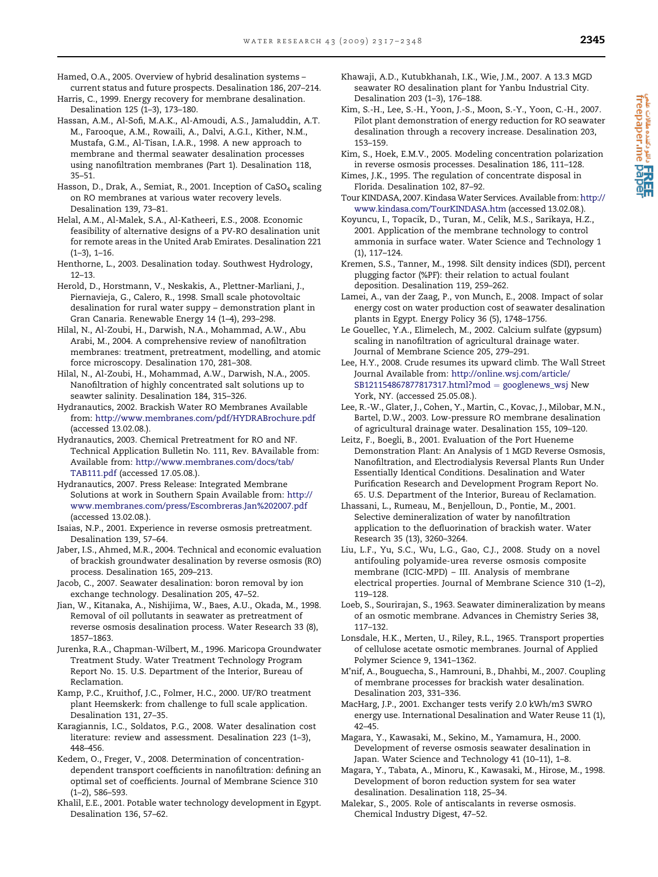<span id="page-28-0"></span>Hamed, O.A., 2005. Overview of hybrid desalination systems – current status and future prospects. Desalination 186, 207–214.

- Harris, C., 1999. Energy recovery for membrane desalination. Desalination 125 (1–3), 173–180.
- Hassan, A.M., Al-Sofi, M.A.K., Al-Amoudi, A.S., Jamaluddin, A.T. M., Farooque, A.M., Rowaili, A., Dalvi, A.G.I., Kither, N.M., Mustafa, G.M., Al-Tisan, I.A.R., 1998. A new approach to membrane and thermal seawater desalination processes using nanofiltration membranes (Part 1). Desalination 118, 35–51.

Hasson, D., Drak, A., Semiat, R., 2001. Inception of CaSO<sub>4</sub> scaling on RO membranes at various water recovery levels. Desalination 139, 73–81.

Helal, A.M., Al-Malek, S.A., Al-Katheeri, E.S., 2008. Economic feasibility of alternative designs of a PV-RO desalination unit for remote areas in the United Arab Emirates. Desalination 221 (1–3), 1–16.

Henthorne, L., 2003. Desalination today. Southwest Hydrology, 12–13.

Herold, D., Horstmann, V., Neskakis, A., Plettner-Marliani, J., Piernavieja, G., Calero, R., 1998. Small scale photovoltaic desalination for rural water suppy – demonstration plant in Gran Canaria. Renewable Energy 14 (1–4), 293–298.

Hilal, N., Al-Zoubi, H., Darwish, N.A., Mohammad, A.W., Abu Arabi, M., 2004. A comprehensive review of nanofiltration membranes: treatment, pretreatment, modelling, and atomic force microscopy. Desalination 170, 281–308.

Hilal, N., Al-Zoubi, H., Mohammad, A.W., Darwish, N.A., 2005. Nanofiltration of highly concentrated salt solutions up to seawter salinity. Desalination 184, 315–326.

Hydranautics, 2002. Brackish Water RO Membranes Available from: <http://www.membranes.com/pdf/HYDRABrochure.pdf> (accessed 13.02.08.).

Hydranautics, 2003. Chemical Pretreatment for RO and NF. Technical Application Bulletin No. 111, Rev. BAvailable from: Available from: [http://www.membranes.com/docs/tab/](http://www.membranes.com/docs/tab/TAB111.pdf) [TAB111.pdf](http://www.membranes.com/docs/tab/TAB111.pdf) (accessed 17.05.08.).

Hydranautics, 2007. Press Release: Integrated Membrane Solutions at work in Southern Spain Available from: [http://](http://www.membranes.com/press/Escombreras.Jan%202007.pdf) [www.membranes.com/press/Escombreras.Jan%202007.pdf](http://www.membranes.com/press/Escombreras.Jan%202007.pdf) (accessed 13.02.08.).

Isaias, N.P., 2001. Experience in reverse osmosis pretreatment. Desalination 139, 57–64.

Jaber, I.S., Ahmed, M.R., 2004. Technical and economic evaluation of brackish groundwater desalination by reverse osmosis (RO) process. Desalination 165, 209–213.

Jacob, C., 2007. Seawater desalination: boron removal by ion exchange technology. Desalination 205, 47–52.

Jian, W., Kitanaka, A., Nishijima, W., Baes, A.U., Okada, M., 1998. Removal of oil pollutants in seawater as pretreatment of reverse osmosis desalination process. Water Research 33 (8), 1857–1863.

Jurenka, R.A., Chapman-Wilbert, M., 1996. Maricopa Groundwater Treatment Study. Water Treatment Technology Program Report No. 15. U.S. Department of the Interior, Bureau of Reclamation.

Kamp, P.C., Kruithof, J.C., Folmer, H.C., 2000. UF/RO treatment plant Heemskerk: from challenge to full scale application. Desalination 131, 27–35.

Karagiannis, I.C., Soldatos, P.G., 2008. Water desalination cost literature: review and assessment. Desalination 223 (1–3), 448–456.

Kedem, O., Freger, V., 2008. Determination of concentrationdependent transport coefficients in nanofiltration: defining an optimal set of coefficients. Journal of Membrane Science 310 (1–2), 586–593.

Khalil, E.E., 2001. Potable water technology development in Egypt. Desalination 136, 57–62.

- Khawaji, A.D., Kutubkhanah, I.K., Wie, J.M., 2007. A 13.3 MGD seawater RO desalination plant for Yanbu Industrial City. Desalination 203 (1–3), 176–188.
- Kim, S.-H., Lee, S.-H., Yoon, J.-S., Moon, S.-Y., Yoon, C.-H., 2007. Pilot plant demonstration of energy reduction for RO seawater desalination through a recovery increase. Desalination 203, 153–159.
- Kim, S., Hoek, E.M.V., 2005. Modeling concentration polarization in reverse osmosis processes. Desalination 186, 111–128.

Kimes, J.K., 1995. The regulation of concentrate disposal in Florida. Desalination 102, 87–92.

Tour KINDASA, 2007. KindasaWater Services. Available from: [http://](http://www.kindasa.com/TourKINDASA.htm) [www.kindasa.com/TourKINDASA.htm](http://www.kindasa.com/TourKINDASA.htm) (accessed 13.02.08.).

Koyuncu, I., Topacik, D., Turan, M., Celik, M.S., Sarikaya, H.Z., 2001. Application of the membrane technology to control ammonia in surface water. Water Science and Technology 1 (1), 117–124.

- Kremen, S.S., Tanner, M., 1998. Silt density indices (SDI), percent plugging factor (%PF): their relation to actual foulant deposition. Desalination 119, 259–262.
- Lamei, A., van der Zaag, P., von Munch, E., 2008. Impact of solar energy cost on water production cost of seawater desalination plants in Egypt. Energy Policy 36 (5), 1748–1756.

Le Gouellec, Y.A., Elimelech, M., 2002. Calcium sulfate (gypsum) scaling in nanofiltration of agricultural drainage water. Journal of Membrane Science 205, 279–291.

Lee, H.Y., 2008. Crude resumes its upward climb. The Wall Street Journal Available from: [http://online.wsj.com/article/](http://online.wsj.com/article/SB121154867877817317.html?mod%20=%20googlenews_wsj) [SB121154867877817317.html?mod](http://online.wsj.com/article/SB121154867877817317.html?mod%20=%20googlenews_wsj) = [googlenews\\_wsj](http://online.wsj.com/article/SB121154867877817317.html?mod%20=%20googlenews_wsj) New York, NY. (accessed 25.05.08.).

Lee, R.-W., Glater, J., Cohen, Y., Martin, C., Kovac, J., Milobar, M.N., Bartel, D.W., 2003. Low-pressure RO membrane desalination of agricultural drainage water. Desalination 155, 109–120.

Leitz, F., Boegli, B., 2001. Evaluation of the Port Hueneme Demonstration Plant: An Analysis of 1 MGD Reverse Osmosis, Nanofiltration, and Electrodialysis Reversal Plants Run Under Essentially Identical Conditions. Desalination and Water Purification Research and Development Program Report No. 65. U.S. Department of the Interior, Bureau of Reclamation.

Lhassani, L., Rumeau, M., Benjelloun, D., Pontie, M., 2001. Selective demineralization of water by nanofiltration application to the defluorination of brackish water. Water Research 35 (13), 3260–3264.

Liu, L.F., Yu, S.C., Wu, L.G., Gao, C.J., 2008. Study on a novel antifouling polyamide-urea reverse osmosis composite membrane (ICIC-MPD) – III. Analysis of membrane electrical properties. Journal of Membrane Science 310 (1–2), 119–128.

Loeb, S., Sourirajan, S., 1963. Seawater dimineralization by means of an osmotic membrane. Advances in Chemistry Series 38, 117–132.

Lonsdale, H.K., Merten, U., Riley, R.L., 1965. Transport properties of cellulose acetate osmotic membranes. Journal of Applied Polymer Science 9, 1341–1362.

M'nif, A., Bouguecha, S., Hamrouni, B., Dhahbi, M., 2007. Coupling of membrane processes for brackish water desalination. Desalination 203, 331–336.

MacHarg, J.P., 2001. Exchanger tests verify 2.0 kWh/m3 SWRO energy use. International Desalination and Water Reuse 11 (1), 42–45.

Magara, Y., Kawasaki, M., Sekino, M., Yamamura, H., 2000. Development of reverse osmosis seawater desalination in Japan. Water Science and Technology 41 (10–11), 1–8.

Magara, Y., Tabata, A., Minoru, K., Kawasaki, M., Hirose, M., 1998. Development of boron reduction system for sea water desalination. Desalination 118, 25–34.

Malekar, S., 2005. Role of antiscalants in reverse osmosis. Chemical Industry Digest, 47–52.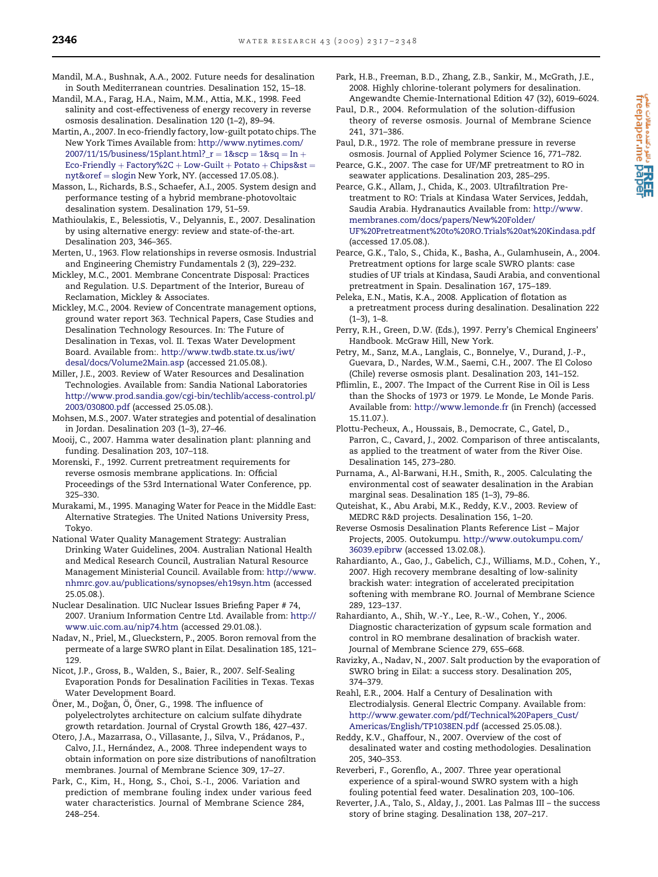- <span id="page-29-0"></span>Mandil, M.A., Bushnak, A.A., 2002. Future needs for desalination in South Mediterranean countries. Desalination 152, 15–18.
- Mandil, M.A., Farag, H.A., Naim, M.M., Attia, M.K., 1998. Feed salinity and cost-effectiveness of energy recovery in reverse osmosis desalination. Desalination 120 (1–2), 89–94.
- Martin, A., 2007. In eco-friendly factory, low-guilt potato chips. The New York Times Available from: [http://www.nytimes.com/](http://www.nytimes.com/2007/11/15/business/15plant.html?_r%20=%201&scp%20=%201&sq%20=%20In%20+%20Eco-Friendly%20+%20Factory%2C%20+%20Low-Guilt%20+%20Potato%20+%20Chips&st%20=%20nyt&oref%20=%20slogin)  $2007/11/15/business/15plant.html?$ \_r = [1&scp](http://www.nytimes.com/2007/11/15/business/15plant.html?_r%20=%201&scp%20=%201&sq%20=%20In%20+%20Eco-Friendly%20+%20Factory%2C%20+%20Low-Guilt%20+%20Potato%20+%20Chips&st%20=%20nyt&oref%20=%20slogin) = [1&sq](http://www.nytimes.com/2007/11/15/business/15plant.html?_r%20=%201&scp%20=%201&sq%20=%20In%20+%20Eco-Friendly%20+%20Factory%2C%20+%20Low-Guilt%20+%20Potato%20+%20Chips&st%20=%20nyt&oref%20=%20slogin) = [In](http://www.nytimes.com/2007/11/15/business/15plant.html?_r%20=%201&scp%20=%201&sq%20=%20In%20+%20Eco-Friendly%20+%20Factory%2C%20+%20Low-Guilt%20+%20Potato%20+%20Chips&st%20=%20nyt&oref%20=%20slogin) + [Eco-Friendly](http://www.nytimes.com/2007/11/15/business/15plant.html?_r%20=%201&scp%20=%201&sq%20=%20In%20+%20Eco-Friendly%20+%20Factory%2C%20+%20Low-Guilt%20+%20Potato%20+%20Chips&st%20=%20nyt&oref%20=%20slogin) + [Factory%2C](http://www.nytimes.com/2007/11/15/business/15plant.html?_r%20=%201&scp%20=%201&sq%20=%20In%20+%20Eco-Friendly%20+%20Factory%2C%20+%20Low-Guilt%20+%20Potato%20+%20Chips&st%20=%20nyt&oref%20=%20slogin) + [Low-Guilt](http://www.nytimes.com/2007/11/15/business/15plant.html?_r%20=%201&scp%20=%201&sq%20=%20In%20+%20Eco-Friendly%20+%20Factory%2C%20+%20Low-Guilt%20+%20Potato%20+%20Chips&st%20=%20nyt&oref%20=%20slogin) + [Potato](http://www.nytimes.com/2007/11/15/business/15plant.html?_r%20=%201&scp%20=%201&sq%20=%20In%20+%20Eco-Friendly%20+%20Factory%2C%20+%20Low-Guilt%20+%20Potato%20+%20Chips&st%20=%20nyt&oref%20=%20slogin) + [Chips&st](http://www.nytimes.com/2007/11/15/business/15plant.html?_r%20=%201&scp%20=%201&sq%20=%20In%20+%20Eco-Friendly%20+%20Factory%2C%20+%20Low-Guilt%20+%20Potato%20+%20Chips&st%20=%20nyt&oref%20=%20slogin) = [nyt&oref](http://www.nytimes.com/2007/11/15/business/15plant.html?_r%20=%201&scp%20=%201&sq%20=%20In%20+%20Eco-Friendly%20+%20Factory%2C%20+%20Low-Guilt%20+%20Potato%20+%20Chips&st%20=%20nyt&oref%20=%20slogin) = [slogin](http://www.nytimes.com/2007/11/15/business/15plant.html?_r%20=%201&scp%20=%201&sq%20=%20In%20+%20Eco-Friendly%20+%20Factory%2C%20+%20Low-Guilt%20+%20Potato%20+%20Chips&st%20=%20nyt&oref%20=%20slogin) New York, NY. (accessed 17.05.08.).
- Masson, L., Richards, B.S., Schaefer, A.I., 2005. System design and performance testing of a hybrid membrane-photovoltaic desalination system. Desalination 179, 51–59.
- Mathioulakis, E., Belessiotis, V., Delyannis, E., 2007. Desalination by using alternative energy: review and state-of-the-art. Desalination 203, 346–365.
- Merten, U., 1963. Flow relationships in reverse osmosis. Industrial and Engineering Chemistry Fundamentals 2 (3), 229–232.
- Mickley, M.C., 2001. Membrane Concentrate Disposal: Practices and Regulation. U.S. Department of the Interior, Bureau of Reclamation, Mickley & Associates.
- Mickley, M.C., 2004. Review of Concentrate management options, ground water report 363. Technical Papers, Case Studies and Desalination Technology Resources. In: The Future of Desalination in Texas, vol. II. Texas Water Development Board. Available from:. [http://www.twdb.state.tx.us/iwt/](http://www.twdb.state.tx.us/iwt/desal/docs/Volume2Main.asp) [desal/docs/Volume2Main.asp](http://www.twdb.state.tx.us/iwt/desal/docs/Volume2Main.asp) (accessed 21.05.08.).
- Miller, J.E., 2003. Review of Water Resources and Desalination Technologies. Available from: Sandia National Laboratories [http://www.prod.sandia.gov/cgi-bin/techlib/access-control.pl/](http://www.prod.sandia.gov/cgi-bin/techlib/access-control.pl/2003/030800.pdf) [2003/030800.pdf](http://www.prod.sandia.gov/cgi-bin/techlib/access-control.pl/2003/030800.pdf) (accessed 25.05.08.).
- Mohsen, M.S., 2007. Water strategies and potential of desalination in Jordan. Desalination 203 (1–3), 27–46.
- Mooij, C., 2007. Hamma water desalination plant: planning and funding. Desalination 203, 107–118.
- Morenski, F., 1992. Current pretreatment requirements for reverse osmosis membrane applications. In: Official Proceedings of the 53rd International Water Conference, pp. 325–330.
- Murakami, M., 1995. Managing Water for Peace in the Middle East: Alternative Strategies. The United Nations University Press, Tokyo.
- National Water Quality Management Strategy: Australian Drinking Water Guidelines, 2004. Australian National Health and Medical Research Council, Australian Natural Resource Management Ministerial Council. Available from: [http://www.](http://www.nhmrc.gov.au/publications/synopses/eh19syn.htm) [nhmrc.gov.au/publications/synopses/eh19syn.htm](http://www.nhmrc.gov.au/publications/synopses/eh19syn.htm) (accessed 25.05.08.).
- Nuclear Desalination. UIC Nuclear Issues Briefing Paper # 74, 2007. Uranium Information Centre Ltd. Available from: [http://](http://www.uic.com.au/nip74.htm) [www.uic.com.au/nip74.htm](http://www.uic.com.au/nip74.htm) (accessed 29.01.08.).
- Nadav, N., Priel, M., Glueckstern, P., 2005. Boron removal from the permeate of a large SWRO plant in Eilat. Desalination 185, 121– 129.
- Nicot, J.P., Gross, B., Walden, S., Baier, R., 2007. Self-Sealing Evaporation Ponds for Desalination Facilities in Texas. Texas Water Development Board.
- Öner, M., Doğan, Ö, Öner, G., 1998. The influence of polyelectrolytes architecture on calcium sulfate dihydrate growth retardation. Journal of Crystal Growth 186, 427–437.
- Otero, J.A., Mazarrasa, O., Villasante, J., Silva, V., Prádanos, P., Calvo, J.I., Hernández, A., 2008. Three independent ways to obtain information on pore size distributions of nanofiltration membranes. Journal of Membrane Science 309, 17–27.
- Park, C., Kim, H., Hong, S., Choi, S.-I., 2006. Variation and prediction of membrane fouling index under various feed water characteristics. Journal of Membrane Science 284, 248–254.
- Park, H.B., Freeman, B.D., Zhang, Z.B., Sankir, M., McGrath, J.E., 2008. Highly chlorine-tolerant polymers for desalination. Angewandte Chemie-International Edition 47 (32), 6019–6024.
- Paul, D.R., 2004. Reformulation of the solution-diffusion theory of reverse osmosis. Journal of Membrane Science 241, 371–386.
- Paul, D.R., 1972. The role of membrane pressure in reverse osmosis. Journal of Applied Polymer Science 16, 771–782.
- Pearce, G.K., 2007. The case for UF/MF pretreatment to RO in seawater applications. Desalination 203, 285–295.
- Pearce, G.K., Allam, J., Chida, K., 2003. Ultrafiltration Pretreatment to RO: Trials at Kindasa Water Services, Jeddah, Saudia Arabia. Hydranautics Available from: [http://www.](http://www.membranes.com/docs/papers/New%20Folder/UF%20Pretreatment%20to%20RO.Trials%20at%20Kindasa.pdf) [membranes.com/docs/papers/New%20Folder/](http://www.membranes.com/docs/papers/New%20Folder/UF%20Pretreatment%20to%20RO.Trials%20at%20Kindasa.pdf) [UF%20Pretreatment%20to%20RO.Trials%20at%20Kindasa.pdf](http://www.membranes.com/docs/papers/New%20Folder/UF%20Pretreatment%20to%20RO.Trials%20at%20Kindasa.pdf) (accessed 17.05.08.).
- Pearce, G.K., Talo, S., Chida, K., Basha, A., Gulamhusein, A., 2004. Pretreatment options for large scale SWRO plants: case studies of UF trials at Kindasa, Saudi Arabia, and conventional pretreatment in Spain. Desalination 167, 175–189.
- Peleka, E.N., Matis, K.A., 2008. Application of flotation as a pretreatment process during desalination. Desalination 222  $(1-3)$ ,  $1-8$
- Perry, R.H., Green, D.W. (Eds.), 1997. Perry's Chemical Engineers' Handbook. McGraw Hill, New York.
- Petry, M., Sanz, M.A., Langlais, C., Bonnelye, V., Durand, J.-P., Guevara, D., Nardes, W.M., Saemi, C.H., 2007. The El Coloso (Chile) reverse osmosis plant. Desalination 203, 141–152.
- Pflimlin, E., 2007. The Impact of the Current Rise in Oil is Less than the Shocks of 1973 or 1979. Le Monde, Le Monde Paris. Available from: <http://www.lemonde.fr> (in French) (accessed 15.11.07.).
- Plottu-Pecheux, A., Houssais, B., Democrate, C., Gatel, D., Parron, C., Cavard, J., 2002. Comparison of three antiscalants, as applied to the treatment of water from the River Oise. Desalination 145, 273–280.
- Purnama, A., Al-Barwani, H.H., Smith, R., 2005. Calculating the environmental cost of seawater desalination in the Arabian marginal seas. Desalination 185 (1–3), 79–86.
- Quteishat, K., Abu Arabi, M.K., Reddy, K.V., 2003. Review of MEDRC R&D projects. Desalination 156, 1–20.
- Reverse Osmosis Desalination Plants Reference List Major Projects, 2005. Outokumpu. [http://www.outokumpu.com/](http://www.outokumpu.com/36039.epibrw) [36039.epibrw](http://www.outokumpu.com/36039.epibrw) (accessed 13.02.08.).
- Rahardianto, A., Gao, J., Gabelich, C.J., Williams, M.D., Cohen, Y., 2007. High recovery membrane desalting of low-salinity brackish water: integration of accelerated precipitation softening with membrane RO. Journal of Membrane Science 289, 123–137.
- Rahardianto, A., Shih, W.-Y., Lee, R.-W., Cohen, Y., 2006. Diagnostic characterization of gypsum scale formation and control in RO membrane desalination of brackish water. Journal of Membrane Science 279, 655–668.
- Ravizky, A., Nadav, N., 2007. Salt production by the evaporation of SWRO bring in Eilat: a success story. Desalination 205, 374–379.
- Reahl, E.R., 2004. Half a Century of Desalination with Electrodialysis. General Electric Company. Available from: [http://www.gewater.com/pdf/Technical%20Papers\\_Cust/](http://www.gewater.com/pdf/Technical%20Papers_Cust/Americas/English/TP1038EN.pdf) [Americas/English/TP1038EN.pdf](http://www.gewater.com/pdf/Technical%20Papers_Cust/Americas/English/TP1038EN.pdf) (accessed 25.05.08.).
- Reddy, K.V., Ghaffour, N., 2007. Overview of the cost of desalinated water and costing methodologies. Desalination 205, 340–353.
- Reverberi, F., Gorenflo, A., 2007. Three year operational experience of a spiral-wound SWRO system with a high fouling potential feed water. Desalination 203, 100–106.
- Reverter, J.A., Talo, S., Alday, J., 2001. Las Palmas III the success story of brine staging. Desalination 138, 207–217.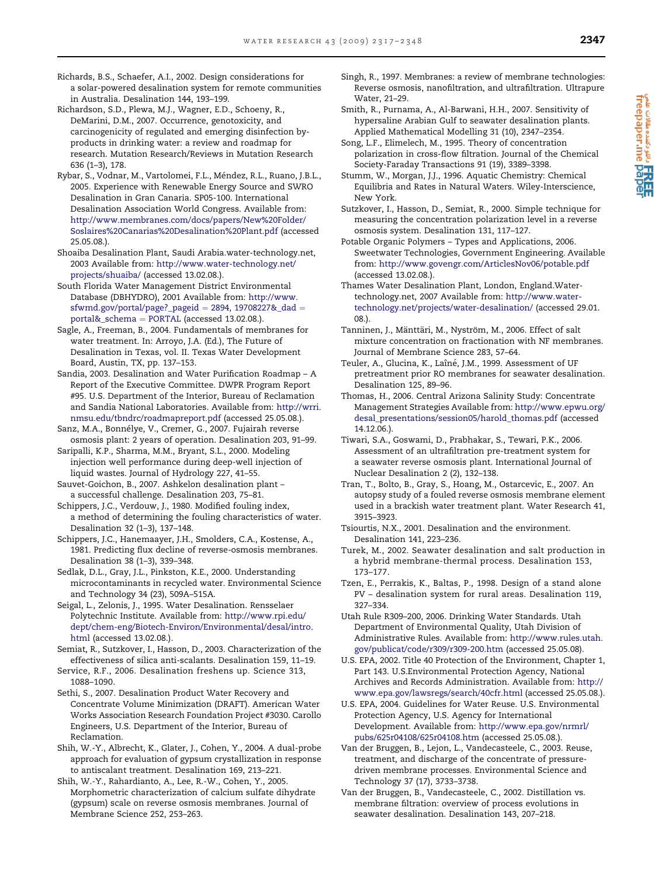- <span id="page-30-0"></span>Richards, B.S., Schaefer, A.I., 2002. Design considerations for a solar-powered desalination system for remote communities in Australia. Desalination 144, 193–199.
- Richardson, S.D., Plewa, M.J., Wagner, E.D., Schoeny, R., DeMarini, D.M., 2007. Occurrence, genotoxicity, and carcinogenicity of regulated and emerging disinfection byproducts in drinking water: a review and roadmap for research. Mutation Research/Reviews in Mutation Research 636 (1–3), 178.
- Rybar, S., Vodnar, M., Vartolomei, F.L., Méndez, R.L., Ruano, J.B.L., 2005. Experience with Renewable Energy Source and SWRO Desalination in Gran Canaria. SP05-100. International Desalination Association World Congress. Available from: [http://www.membranes.com/docs/papers/New%20Folder/](http://www.membranes.com/docs/papers/New%20Folder/Soslaires%20Canarias%20Desalination%20Plant.pdf) [Soslaires%20Canarias%20Desalination%20Plant.pdf](http://www.membranes.com/docs/papers/New%20Folder/Soslaires%20Canarias%20Desalination%20Plant.pdf) (accessed 25.05.08.).
- Shoaiba Desalination Plant, Saudi Arabia.water-technology.net, 2003 Available from: [http://www.water-technology.net/](http://www.water-technology.net/projects/shuaiba) [projects/shuaiba/](http://www.water-technology.net/projects/shuaiba) (accessed 13.02.08.).
- South Florida Water Management District Environmental Database (DBHYDRO), 2001 Available from: [http://www.](http://www.sfwmd.gov/portal/page?_pageid%20=%202894,%2019708227&_dad%20=%20portal&_schema%20=%20PORTAL) [sfwmd.gov/portal/page?\\_pageid](http://www.sfwmd.gov/portal/page?_pageid%20=%202894,%2019708227&_dad%20=%20portal&_schema%20=%20PORTAL) = [2894, 19708227&\\_dad](http://www.sfwmd.gov/portal/page?_pageid%20=%202894,%2019708227&_dad%20=%20portal&_schema%20=%20PORTAL) =  $portal&_Schema = PORTAL$  $portal&_Schema = PORTAL$  (accessed 13.02.08.).
- Sagle, A., Freeman, B., 2004. Fundamentals of membranes for water treatment. In: Arroyo, J.A. (Ed.), The Future of Desalination in Texas, vol. II. Texas Water Development Board, Austin, TX, pp. 137–153.
- Sandia, 2003. Desalination and Water Purification Roadmap A Report of the Executive Committee. DWPR Program Report #95. U.S. Department of the Interior, Bureau of Reclamation and Sandia National Laboratories. Available from: [http://wrri.](http://wrri.nmsu.edu/tbndrc/roadmapreport.pdf) [nmsu.edu/tbndrc/roadmapreport.pdf](http://wrri.nmsu.edu/tbndrc/roadmapreport.pdf) (accessed 25.05.08.).
- Sanz, M.A., Bonnélye, V., Cremer, G., 2007. Fujairah reverse osmosis plant: 2 years of operation. Desalination 203, 91–99.
- Saripalli, K.P., Sharma, M.M., Bryant, S.L., 2000. Modeling injection well performance during deep-well injection of liquid wastes. Journal of Hydrology 227, 41–55.
- Sauvet-Goichon, B., 2007. Ashkelon desalination plant a successful challenge. Desalination 203, 75–81.
- Schippers, J.C., Verdouw, J., 1980. Modified fouling index, a method of determining the fouling characteristics of water. Desalination 32 (1–3), 137–148.
- Schippers, J.C., Hanemaayer, J.H., Smolders, C.A., Kostense, A., 1981. Predicting flux decline of reverse-osmosis membranes. Desalination 38 (1–3), 339–348.
- Sedlak, D.L., Gray, J.L., Pinkston, K.E., 2000. Understanding microcontaminants in recycled water. Environmental Science and Technology 34 (23), 509A–515A.
- Seigal, L., Zelonis, J., 1995. Water Desalination. Rensselaer Polytechnic Institute. Available from: [http://www.rpi.edu/](http://www.rpi.edu/dept/chem-eng/Biotech-Environ/Environmental/desal/intro.html) [dept/chem-eng/Biotech-Environ/Environmental/desal/intro.](http://www.rpi.edu/dept/chem-eng/Biotech-Environ/Environmental/desal/intro.html) [html](http://www.rpi.edu/dept/chem-eng/Biotech-Environ/Environmental/desal/intro.html) (accessed 13.02.08.).
- Semiat, R., Sutzkover, I., Hasson, D., 2003. Characterization of the effectiveness of silica anti-scalants. Desalination 159, 11–19.
- Service, R.F., 2006. Desalination freshens up. Science 313, 1088–1090.
- Sethi, S., 2007. Desalination Product Water Recovery and Concentrate Volume Minimization (DRAFT). American Water Works Association Research Foundation Project #3030. Carollo Engineers, U.S. Department of the Interior, Bureau of Reclamation.
- Shih, W.-Y., Albrecht, K., Glater, J., Cohen, Y., 2004. A dual-probe approach for evaluation of gypsum crystallization in response to antiscalant treatment. Desalination 169, 213–221.
- Shih, W.-Y., Rahardianto, A., Lee, R.-W., Cohen, Y., 2005. Morphometric characterization of calcium sulfate dihydrate (gypsum) scale on reverse osmosis membranes. Journal of Membrane Science 252, 253–263.
- Singh, R., 1997. Membranes: a review of membrane technologies: Reverse osmosis, nanofiltration, and ultrafiltration. Ultrapure Water, 21–29.
- Smith, R., Purnama, A., Al-Barwani, H.H., 2007. Sensitivity of hypersaline Arabian Gulf to seawater desalination plants. Applied Mathematical Modelling 31 (10), 2347–2354.
- Song, L.F., Elimelech, M., 1995. Theory of concentration polarization in cross-flow filtration. Journal of the Chemical Society-Faraday Transactions 91 (19), 3389–3398.
- Stumm, W., Morgan, J.J., 1996. Aquatic Chemistry: Chemical Equilibria and Rates in Natural Waters. Wiley-Interscience, New York.
- Sutzkover, I., Hasson, D., Semiat, R., 2000. Simple technique for measuring the concentration polarization level in a reverse osmosis system. Desalination 131, 117–127.
- Potable Organic Polymers Types and Applications, 2006. Sweetwater Technologies, Government Engineering. Available from: <http://www.govengr.com/ArticlesNov06/potable.pdf> (accessed 13.02.08.).
- Thames Water Desalination Plant, London, England.Watertechnology.net, 2007 Available from: [http://www.water](http://www.water-technology.net/projects/water-desalination)[technology.net/projects/water-desalination/](http://www.water-technology.net/projects/water-desalination) (accessed 29.01. 08.).
- Tanninen, J., Mänttäri, M., Nyström, M., 2006. Effect of salt mixture concentration on fractionation with NF membranes. Journal of Membrane Science 283, 57–64.
- Teuler, A., Glucina, K., Laîné, J.M., 1999. Assessment of UF pretreatment prior RO membranes for seawater desalination. Desalination 125, 89–96.
- Thomas, H., 2006. Central Arizona Salinity Study: Concentrate Management Strategies Available from: [http://www.epwu.org/](http://www.epwu.org/desal_presentations/session05/harold_thomas.pdf) [desal\\_presentations/session05/harold\\_thomas.pdf](http://www.epwu.org/desal_presentations/session05/harold_thomas.pdf) (accessed 14.12.06.).
- Tiwari, S.A., Goswami, D., Prabhakar, S., Tewari, P.K., 2006. Assessment of an ultrafiltration pre-treatment system for a seawater reverse osmosis plant. International Journal of Nuclear Desalination 2 (2), 132–138.
- Tran, T., Bolto, B., Gray, S., Hoang, M., Ostarcevic, E., 2007. An autopsy study of a fouled reverse osmosis membrane element used in a brackish water treatment plant. Water Research 41, 3915–3923.
- Tsiourtis, N.X., 2001. Desalination and the environment. Desalination 141, 223–236.
- Turek, M., 2002. Seawater desalination and salt production in a hybrid membrane-thermal process. Desalination 153, 173–177.
- Tzen, E., Perrakis, K., Baltas, P., 1998. Design of a stand alone PV – desalination system for rural areas. Desalination 119, 327–334.
- Utah Rule R309–200, 2006. Drinking Water Standards. Utah Department of Environmental Quality, Utah Division of Administrative Rules. Available from: [http://www.rules.utah.](http://www.rules.utah.gov/publicat/code/r309/r309-200.htm) [gov/publicat/code/r309/r309-200.htm](http://www.rules.utah.gov/publicat/code/r309/r309-200.htm) (accessed 25.05.08).
- U.S. EPA, 2002. Title 40 Protection of the Environment, Chapter 1, Part 143. U.S.Environmental Protection Agency, National Archives and Records Administration. Available from: [http://](http://www.epa.gov/lawsregs/search/40cfr.html) [www.epa.gov/lawsregs/search/40cfr.html](http://www.epa.gov/lawsregs/search/40cfr.html) (accessed 25.05.08.).
- U.S. EPA, 2004. Guidelines for Water Reuse. U.S. Environmental Protection Agency, U.S. Agency for International Development. Available from: [http://www.epa.gov/nrmrl/](http://www.epa.gov/nrmrl/pubs/625r04108/625r04108.htm) [pubs/625r04108/625r04108.htm](http://www.epa.gov/nrmrl/pubs/625r04108/625r04108.htm) (accessed 25.05.08.).
- Van der Bruggen, B., Lejon, L., Vandecasteele, C., 2003. Reuse, treatment, and discharge of the concentrate of pressuredriven membrane processes. Environmental Science and Technology 37 (17), 3733–3738.
- Van der Bruggen, B., Vandecasteele, C., 2002. Distillation vs. membrane filtration: overview of process evolutions in seawater desalination. Desalination 143, 207–218.